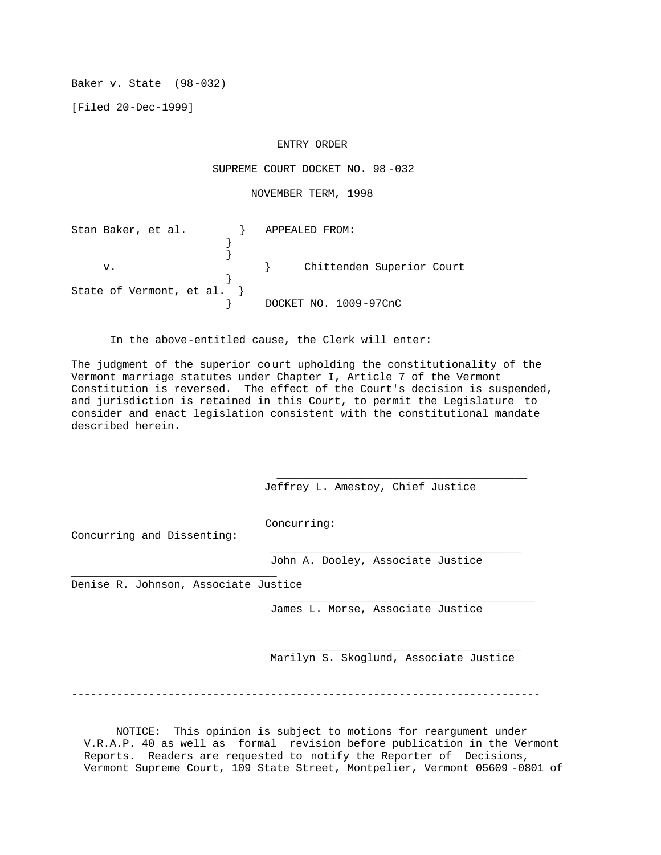Baker v. State (98-032)

[Filed 20-Dec-1999]

### ENTRY ORDER

SUPREME COURT DOCKET NO. 98 -032

NOVEMBER TERM, 1998

Stan Baker, et al. | APPEALED FROM: } } v. } Chittenden Superior Court } State of Vermont, et al. } } DOCKET NO. 1009-97CnC

In the above-entitled cause, the Clerk will enter:

The judgment of the superior court upholding the constitutionality of the Vermont marriage statutes under Chapter I, Article 7 of the Vermont Constitution is reversed. The effect of the Court's decision is suspended, and jurisdiction is retained in this Court, to permit the Legislature to consider and enact legislation consistent with the constitutional mandate described herein.

Jeffrey L. Amestoy, Chief Justice

Concurring:

 $\mathcal{L}_\mathcal{L}$  , and the state of the state of the state of the state of the state of the state of the state of the state of the state of the state of the state of the state of the state of the state of the state of the s

 $\mathcal{L}_\mathcal{L}$  , and the set of the set of the set of the set of the set of the set of the set of the set of the set of the set of the set of the set of the set of the set of the set of the set of the set of the set of th

 $\overline{\phantom{a}}$  , and the state of the state of the state of the state of the state of the state of the state of the state of the state of the state of the state of the state of the state of the state of the state of the stat

Concurring and Dissenting:

John A. Dooley, Associate Justice

Denise R. Johnson, Associate Justice

\_\_\_\_\_\_\_\_\_\_\_\_\_\_\_\_\_\_\_\_\_\_\_\_\_\_\_\_\_\_\_\_

James L. Morse, Associate Justice

Marilyn S. Skoglund, Associate Justice

-------------------------------------------------------------------------

 $\mathcal{L}_\mathcal{L}$  , and the state of the state of the state of the state of the state of the state of the state of the state of the state of the state of the state of the state of the state of the state of the state of the s

 NOTICE: This opinion is subject to motions for reargument under V.R.A.P. 40 as well as formal revision before publication in the Vermont Reports. Readers are requested to notify the Reporter of Decisions, Vermont Supreme Court, 109 State Street, Montpelier, Vermont 05609 -0801 of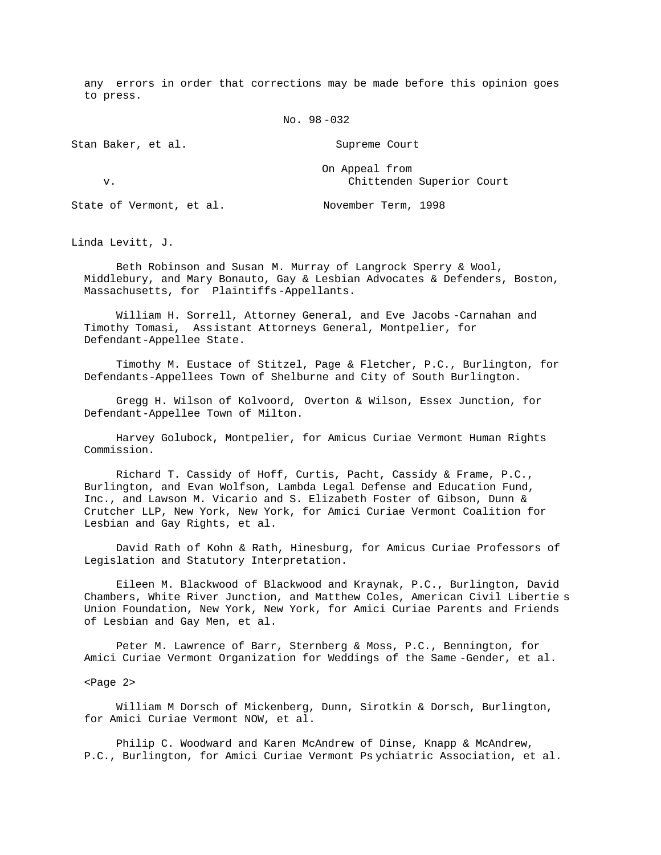any errors in order that corrections may be made before this opinion goes to press.

## No. 98 -032

Stan Baker, et al. Supreme Court

On Appeal from

v. Chittenden Superior Court

State of Vermont, et al. November Term, 1998

Linda Levitt, J.

 Beth Robinson and Susan M. Murray of Langrock Sperry & Wool, Middlebury, and Mary Bonauto, Gay & Lesbian Advocates & Defenders, Boston, Massachusetts, for Plaintiffs -Appellants.

 William H. Sorrell, Attorney General, and Eve Jacobs -Carnahan and Timothy Tomasi, Assistant Attorneys General, Montpelier, for Defendant-Appellee State.

 Timothy M. Eustace of Stitzel, Page & Fletcher, P.C., Burlington, for Defendants-Appellees Town of Shelburne and City of South Burlington.

 Gregg H. Wilson of Kolvoord, Overton & Wilson, Essex Junction, for Defendant-Appellee Town of Milton.

 Harvey Golubock, Montpelier, for Amicus Curiae Vermont Human Rights Commission.

 Richard T. Cassidy of Hoff, Curtis, Pacht, Cassidy & Frame, P.C., Burlington, and Evan Wolfson, Lambda Legal Defense and Education Fund, Inc., and Lawson M. Vicario and S. Elizabeth Foster of Gibson, Dunn & Crutcher LLP, New York, New York, for Amici Curiae Vermont Coalition for Lesbian and Gay Rights, et al.

 David Rath of Kohn & Rath, Hinesburg, for Amicus Curiae Professors of Legislation and Statutory Interpretation.

 Eileen M. Blackwood of Blackwood and Kraynak, P.C., Burlington, David Chambers, White River Junction, and Matthew Coles, American Civil Libertie s Union Foundation, New York, New York, for Amici Curiae Parents and Friends of Lesbian and Gay Men, et al.

 Peter M. Lawrence of Barr, Sternberg & Moss, P.C., Bennington, for Amici Curiae Vermont Organization for Weddings of the Same -Gender, et al.

<Page 2>

 William M Dorsch of Mickenberg, Dunn, Sirotkin & Dorsch, Burlington, for Amici Curiae Vermont NOW, et al.

 Philip C. Woodward and Karen McAndrew of Dinse, Knapp & McAndrew, P.C., Burlington, for Amici Curiae Vermont Ps ychiatric Association, et al.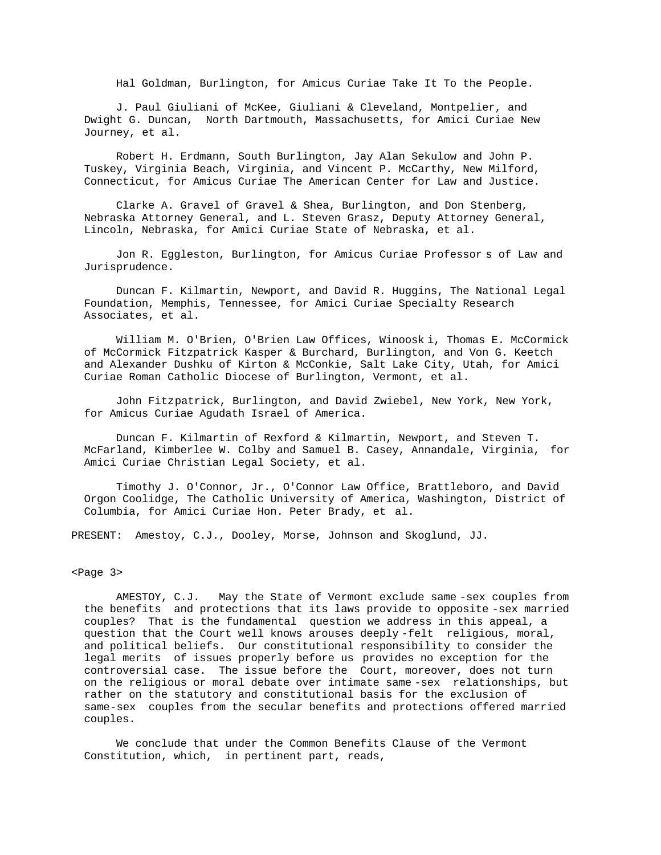Hal Goldman, Burlington, for Amicus Curiae Take It To the People.

 J. Paul Giuliani of McKee, Giuliani & Cleveland, Montpelier, and Dwight G. Duncan, North Dartmouth, Massachusetts, for Amici Curiae New Journey, et al.

 Robert H. Erdmann, South Burlington, Jay Alan Sekulow and John P. Tuskey, Virginia Beach, Virginia, and Vincent P. McCarthy, New Milford, Connecticut, for Amicus Curiae The American Center for Law and Justice.

 Clarke A. Gravel of Gravel & Shea, Burlington, and Don Stenberg, Nebraska Attorney General, and L. Steven Grasz, Deputy Attorney General, Lincoln, Nebraska, for Amici Curiae State of Nebraska, et al.

 Jon R. Eggleston, Burlington, for Amicus Curiae Professor s of Law and Jurisprudence.

 Duncan F. Kilmartin, Newport, and David R. Huggins, The National Legal Foundation, Memphis, Tennessee, for Amici Curiae Specialty Research Associates, et al.

 William M. O'Brien, O'Brien Law Offices, Winoosk i, Thomas E. McCormick of McCormick Fitzpatrick Kasper & Burchard, Burlington, and Von G. Keetch and Alexander Dushku of Kirton & McConkie, Salt Lake City, Utah, for Amici Curiae Roman Catholic Diocese of Burlington, Vermont, et al.

 John Fitzpatrick, Burlington, and David Zwiebel, New York, New York, for Amicus Curiae Agudath Israel of America.

 Duncan F. Kilmartin of Rexford & Kilmartin, Newport, and Steven T. McFarland, Kimberlee W. Colby and Samuel B. Casey, Annandale, Virginia, for Amici Curiae Christian Legal Society, et al.

 Timothy J. O'Connor, Jr., O'Connor Law Office, Brattleboro, and David Orgon Coolidge, The Catholic University of America, Washington, District of Columbia, for Amici Curiae Hon. Peter Brady, et al.

PRESENT: Amestoy, C.J., Dooley, Morse, Johnson and Skoglund, JJ.

#### <Page 3>

 AMESTOY, C.J. May the State of Vermont exclude same -sex couples from the benefits and protections that its laws provide to opposite -sex married couples? That is the fundamental question we address in this appeal, a question that the Court well knows arouses deeply -felt religious, moral, and political beliefs. Our constitutional responsibility to consider the legal merits of issues properly before us provides no exception for the controversial case. The issue before the Court, moreover, does not turn on the religious or moral debate over intimate same -sex relationships, but rather on the statutory and constitutional basis for the exclusion of same-sex couples from the secular benefits and protections offered married couples.

 We conclude that under the Common Benefits Clause of the Vermont Constitution, which, in pertinent part, reads,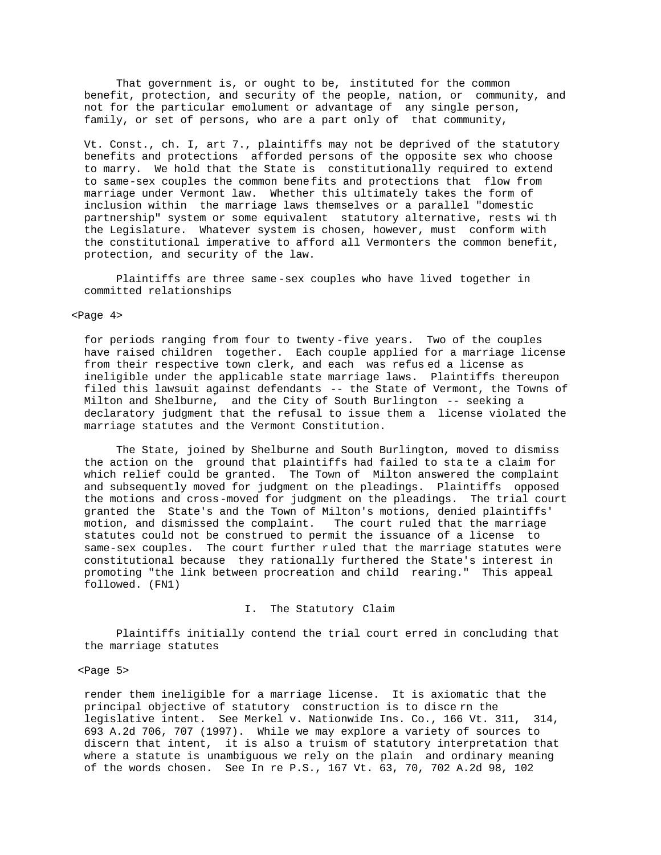That government is, or ought to be, instituted for the common benefit, protection, and security of the people, nation, or community, and not for the particular emolument or advantage of any single person, family, or set of persons, who are a part only of that community,

 Vt. Const., ch. I, art 7., plaintiffs may not be deprived of the statutory benefits and protections afforded persons of the opposite sex who choose to marry. We hold that the State is constitutionally required to extend to same-sex couples the common benefits and protections that flow from marriage under Vermont law. Whether this ultimately takes the form of inclusion within the marriage laws themselves or a parallel "domestic partnership" system or some equivalent statutory alternative, rests wi th the Legislature. Whatever system is chosen, however, must conform with the constitutional imperative to afford all Vermonters the common benefit, protection, and security of the law.

 Plaintiffs are three same -sex couples who have lived together in committed relationships

### <Page 4>

 for periods ranging from four to twenty -five years. Two of the couples have raised children together. Each couple applied for a marriage license from their respective town clerk, and each was refus ed a license as ineligible under the applicable state marriage laws. Plaintiffs thereupon filed this lawsuit against defendants -- the State of Vermont, the Towns of Milton and Shelburne, and the City of South Burlington -- seeking a declaratory judgment that the refusal to issue them a license violated the marriage statutes and the Vermont Constitution.

 The State, joined by Shelburne and South Burlington, moved to dismiss the action on the ground that plaintiffs had failed to sta te a claim for which relief could be granted. The Town of Milton answered the complaint and subsequently moved for judgment on the pleadings. Plaintiffs opposed the motions and cross-moved for judgment on the pleadings. The trial court granted the State's and the Town of Milton's motions, denied plaintiffs' motion, and dismissed the complaint. The court ruled that the marriage statutes could not be construed to permit the issuance of a license to same-sex couples. The court further r uled that the marriage statutes were constitutional because they rationally furthered the State's interest in promoting "the link between procreation and child rearing." This appeal followed. (FN1)

## I. The Statutory Claim

 Plaintiffs initially contend the trial court erred in concluding that the marriage statutes

## <Page 5>

 render them ineligible for a marriage license. It is axiomatic that the principal objective of statutory construction is to disce rn the legislative intent. See Merkel v. Nationwide Ins. Co., 166 Vt. 311, 314, 693 A.2d 706, 707 (1997). While we may explore a variety of sources to discern that intent, it is also a truism of statutory interpretation that where a statute is unambiguous we rely on the plain and ordinary meaning of the words chosen. See In re P.S., 167 Vt. 63, 70, 702 A.2d 98, 102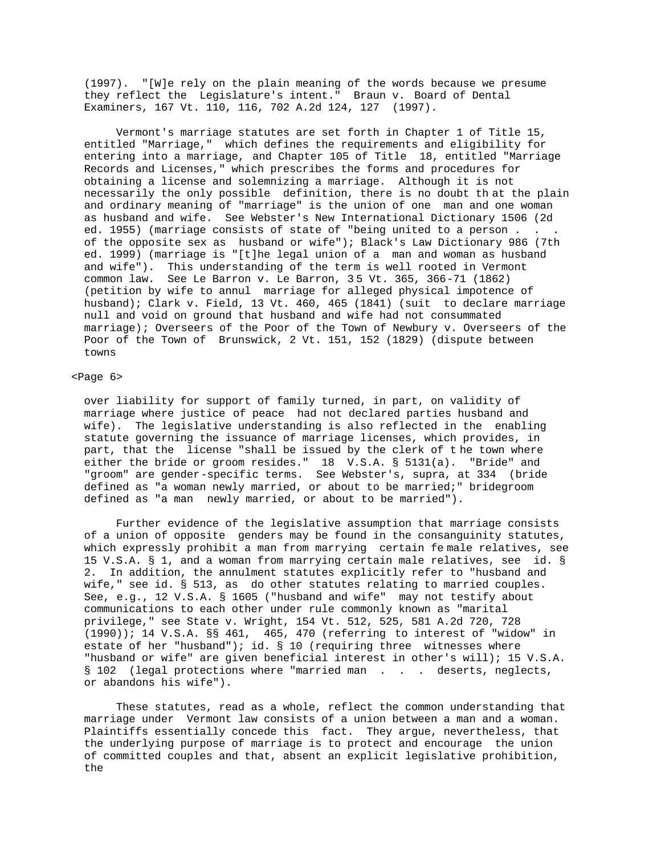(1997). "[W]e rely on the plain meaning of the words because we presume they reflect the Legislature's intent." Braun v. Board of Dental Examiners, 167 Vt. 110, 116, 702 A.2d 124, 127 (1997).

 Vermont's marriage statutes are set forth in Chapter 1 of Title 15, entitled "Marriage," which defines the requirements and eligibility for entering into a marriage, and Chapter 105 of Title 18, entitled "Marriage Records and Licenses," which prescribes the forms and procedures for obtaining a license and solemnizing a marriage. Although it is not necessarily the only possible definition, there is no doubt th at the plain and ordinary meaning of "marriage" is the union of one man and one woman as husband and wife. See Webster's New International Dictionary 1506 (2d ed. 1955) (marriage consists of state of "being united to a person . . . of the opposite sex as husband or wife"); Black's Law Dictionary 986 (7th ed. 1999) (marriage is "[t]he legal union of a man and woman as husband and wife"). This understanding of the term is well rooted in Vermont common law. See Le Barron v. Le Barron, 3 5 Vt. 365, 366-71 (1862) (petition by wife to annul marriage for alleged physical impotence of husband); Clark v. Field, 13 Vt. 460, 465 (1841) (suit to declare marriage null and void on ground that husband and wife had not consummated marriage); Overseers of the Poor of the Town of Newbury v. Overseers of the Poor of the Town of Brunswick, 2 Vt. 151, 152 (1829) (dispute between towns

# <Page 6>

 over liability for support of family turned, in part, on validity of marriage where justice of peace had not declared parties husband and wife). The legislative understanding is also reflected in the enabling statute governing the issuance of marriage licenses, which provides, in part, that the license "shall be issued by the clerk of t he town where either the bride or groom resides." 18 V.S.A. § 5131(a). "Bride" and "groom" are gender-specific terms. See Webster's, supra, at 334 (bride defined as "a woman newly married, or about to be married;" bridegroom defined as "a man newly married, or about to be married").

 Further evidence of the legislative assumption that marriage consists of a union of opposite genders may be found in the consanguinity statutes, which expressly prohibit a man from marrying certain fe male relatives, see 15 V.S.A. § 1, and a woman from marrying certain male relatives, see id. § 2. In addition, the annulment statutes explicitly refer to "husband and wife," see id. § 513, as do other statutes relating to married couples. See, e.g., 12 V.S.A. § 1605 ("husband and wife" may not testify about communications to each other under rule commonly known as "marital privilege," see State v. Wright, 154 Vt. 512, 525, 581 A.2d 720, 728 (1990)); 14 V.S.A. §§ 461, 465, 470 (referring to interest of "widow" in estate of her "husband"); id. § 10 (requiring three witnesses where "husband or wife" are given beneficial interest in other's will); 15 V.S.A. § 102 (legal protections where "married man . . . deserts, neglects, or abandons his wife").

 These statutes, read as a whole, reflect the common understanding that marriage under Vermont law consists of a union between a man and a woman. Plaintiffs essentially concede this fact. They argue, nevertheless, that the underlying purpose of marriage is to protect and encourage the union of committed couples and that, absent an explicit legislative prohibition, the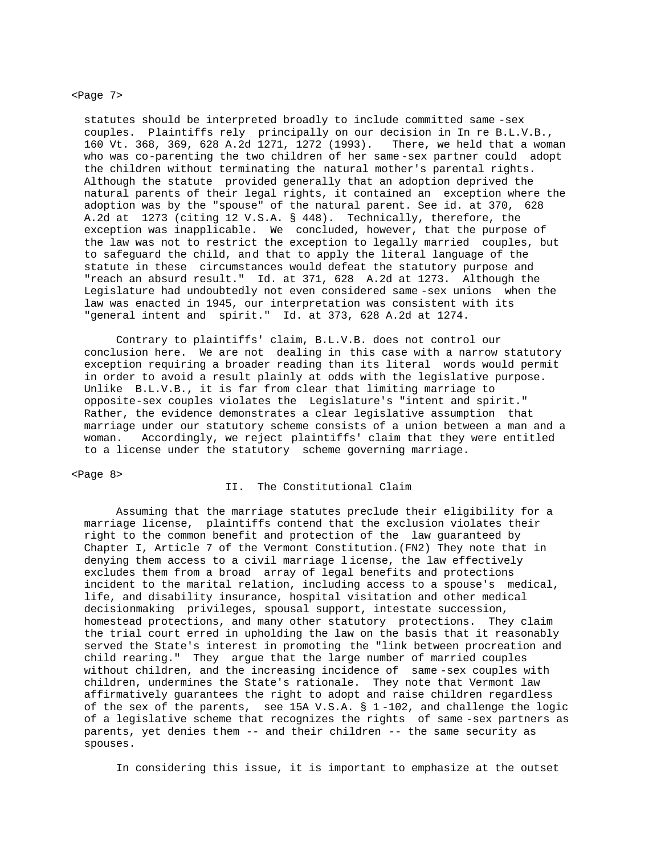# <Page 7>

 statutes should be interpreted broadly to include committed same -sex couples. Plaintiffs rely principally on our decision in In re B.L.V.B., 160 Vt. 368, 369, 628 A.2d 1271, 1272 (1993). There, we held that a woman who was co-parenting the two children of her same -sex partner could adopt the children without terminating the natural mother's parental rights. Although the statute provided generally that an adoption deprived the natural parents of their legal rights, it contained an exception where the adoption was by the "spouse" of the natural parent. See id. at 370, 628 A.2d at 1273 (citing 12 V.S.A. § 448). Technically, therefore, the exception was inapplicable. We concluded, however, that the purpose of the law was not to restrict the exception to legally married couples, but to safeguard the child, and that to apply the literal language of the statute in these circumstances would defeat the statutory purpose and "reach an absurd result." Id. at 371, 628 A.2d at 1273. Although the Legislature had undoubtedly not even considered same -sex unions when the law was enacted in 1945, our interpretation was consistent with its "general intent and spirit." Id. at 373, 628 A.2d at 1274.

 Contrary to plaintiffs' claim, B.L.V.B. does not control our conclusion here. We are not dealing in this case with a narrow statutory exception requiring a broader reading than its literal words would permit in order to avoid a result plainly at odds with the legislative purpose. Unlike B.L.V.B., it is far from clear that limiting marriage to opposite-sex couples violates the Legislature's "intent and spirit." Rather, the evidence demonstrates a clear legislative assumption that marriage under our statutory scheme consists of a union between a man and a woman. Accordingly, we reject plaintiffs' claim that they were entitled to a license under the statutory scheme governing marriage.

### <Page 8>

## II. The Constitutional Claim

 Assuming that the marriage statutes preclude their eligibility for a marriage license, plaintiffs contend that the exclusion violates their right to the common benefit and protection of the law guaranteed by Chapter I, Article 7 of the Vermont Constitution.(FN2) They note that in denying them access to a civil marriage l icense, the law effectively excludes them from a broad array of legal benefits and protections incident to the marital relation, including access to a spouse's medical, life, and disability insurance, hospital visitation and other medical decisionmaking privileges, spousal support, intestate succession, homestead protections, and many other statutory protections. They claim the trial court erred in upholding the law on the basis that it reasonably served the State's interest in promoting the "link between procreation and child rearing." They argue that the large number of married couples without children, and the increasing incidence of same -sex couples with children, undermines the State's rationale. They note that Vermont law affirmatively guarantees the right to adopt and raise children regardless of the sex of the parents, see 15A V.S.A. § 1 -102, and challenge the logic of a legislative scheme that recognizes the rights of same -sex partners as parents, yet denies them -- and their children -- the same security as spouses.

In considering this issue, it is important to emphasize at the outset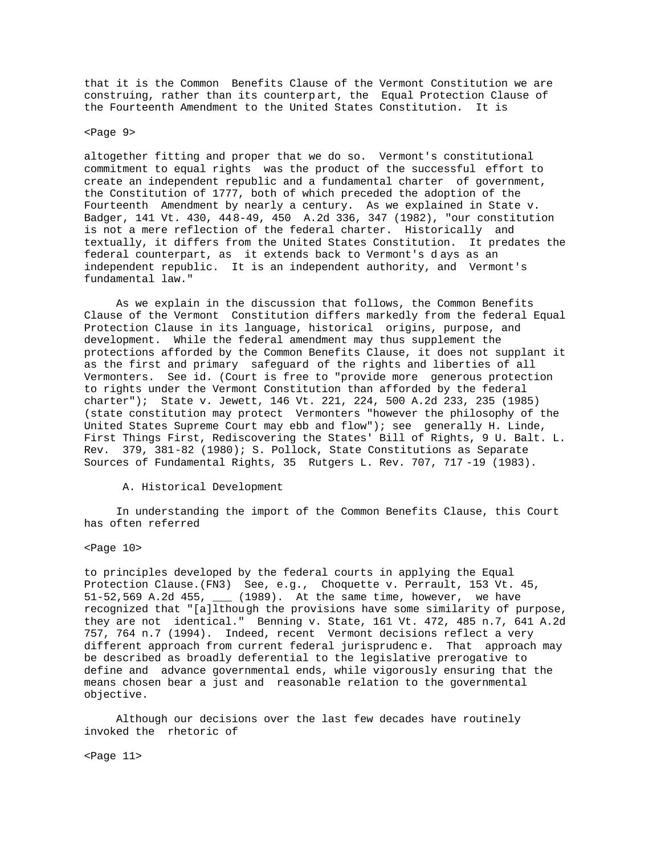that it is the Common Benefits Clause of the Vermont Constitution we are construing, rather than its counterp art, the Equal Protection Clause of the Fourteenth Amendment to the United States Constitution. It is

#### <Page 9>

 altogether fitting and proper that we do so. Vermont's constitutional commitment to equal rights was the product of the successful effort to create an independent republic and a fundamental charter of government, the Constitution of 1777, both of which preceded the adoption of the Fourteenth Amendment by nearly a century. As we explained in State v. Badger, 141 Vt. 430, 448-49, 450 A.2d 336, 347 (1982), "our constitution is not a mere reflection of the federal charter. Historically and textually, it differs from the United States Constitution. It predates the federal counterpart, as it extends back to Vermont's d ays as an independent republic. It is an independent authority, and Vermont's fundamental law."

 As we explain in the discussion that follows, the Common Benefits Clause of the Vermont Constitution differs markedly from the federal Equal Protection Clause in its language, historical origins, purpose, and development. While the federal amendment may thus supplement the protections afforded by the Common Benefits Clause, it does not supplant it as the first and primary safeguard of the rights and liberties of all Vermonters. See id. (Court is free to "provide more generous protection to rights under the Vermont Constitution than afforded by the federal charter"); State v. Jewett, 146 Vt. 221, 224, 500 A.2d 233, 235 (1985) (state constitution may protect Vermonters "however the philosophy of the United States Supreme Court may ebb and flow"); see generally H. Linde, First Things First, Rediscovering the States' Bill of Rights, 9 U. Balt. L. Rev. 379, 381-82 (1980); S. Pollock, State Constitutions as Separate Sources of Fundamental Rights, 35 Rutgers L. Rev. 707, 717 -19 (1983).

## A. Historical Development

 In understanding the import of the Common Benefits Clause, this Court has often referred

<Page 10>

 to principles developed by the federal courts in applying the Equal Protection Clause.(FN3) See, e.g., Choquette v. Perrault, 153 Vt. 45, 51-52,569 A.2d 455, \_\_\_ (1989). At the same time, however, we have recognized that "[a]lthough the provisions have some similarity of purpose, they are not identical." Benning v. State, 161 Vt. 472, 485 n.7, 641 A.2d 757, 764 n.7 (1994). Indeed, recent Vermont decisions reflect a very different approach from current federal jurisprudenc e. That approach may be described as broadly deferential to the legislative prerogative to define and advance governmental ends, while vigorously ensuring that the means chosen bear a just and reasonable relation to the governmental objective.

 Although our decisions over the last few decades have routinely invoked the rhetoric of

<Page 11>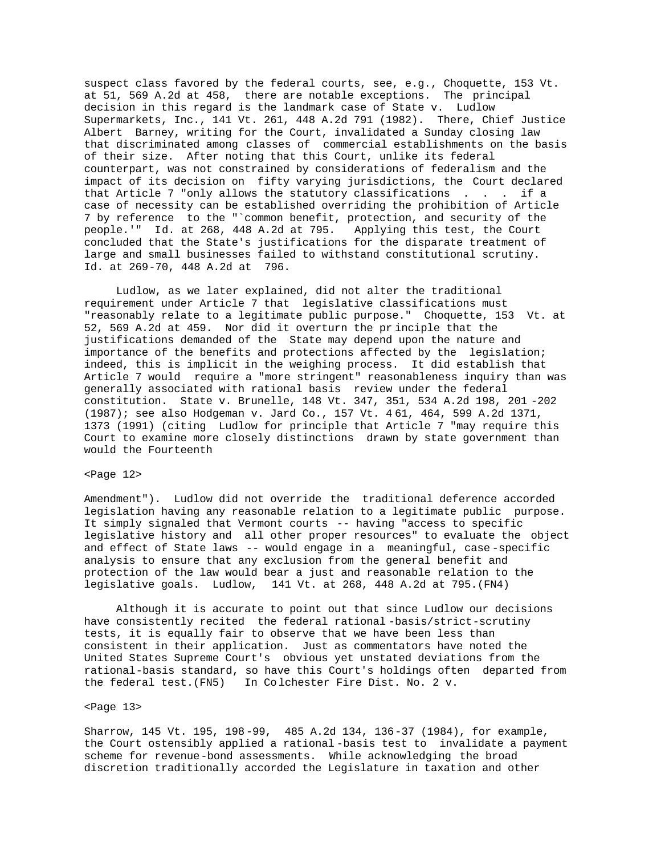suspect class favored by the federal courts, see, e.g., Choquette, 153 Vt. at 51, 569 A.2d at 458, there are notable exceptions. The principal decision in this regard is the landmark case of State v. Ludlow Supermarkets, Inc., 141 Vt. 261, 448 A.2d 791 (1982). There, Chief Justice Albert Barney, writing for the Court, invalidated a Sunday closing law that discriminated among classes of commercial establishments on the basis of their size. After noting that this Court, unlike its federal counterpart, was not constrained by considerations of federalism and the impact of its decision on fifty varying jurisdictions, the Court declared that Article 7 "only allows the statutory classifications . . . if a case of necessity can be established overriding the prohibition of Article 7 by reference to the "`common benefit, protection, and security of the people.'" Id. at 268, 448 A.2d at 795. Applying this test, the Court concluded that the State's justifications for the disparate treatment of large and small businesses failed to withstand constitutional scrutiny. Id. at 269-70, 448 A.2d at 796.

 Ludlow, as we later explained, did not alter the traditional requirement under Article 7 that legislative classifications must "reasonably relate to a legitimate public purpose." Choquette, 153 Vt. at 52, 569 A.2d at 459. Nor did it overturn the pr inciple that the justifications demanded of the State may depend upon the nature and importance of the benefits and protections affected by the legislation; indeed, this is implicit in the weighing process. It did establish that Article 7 would require a "more stringent" reasonableness inquiry than was generally associated with rational basis review under the federal constitution. State v. Brunelle, 148 Vt. 347, 351, 534 A.2d 198, 201 -202 (1987); see also Hodgeman v. Jard Co., 157 Vt. 4 61, 464, 599 A.2d 1371, 1373 (1991) (citing Ludlow for principle that Article 7 "may require this Court to examine more closely distinctions drawn by state government than would the Fourteenth

## <Page 12>

 Amendment"). Ludlow did not override the traditional deference accorded legislation having any reasonable relation to a legitimate public purpose. It simply signaled that Vermont courts -- having "access to specific legislative history and all other proper resources" to evaluate the object and effect of State laws -- would engage in a meaningful, case -specific analysis to ensure that any exclusion from the general benefit and protection of the law would bear a just and reasonable relation to the legislative goals. Ludlow, 141 Vt. at 268, 448 A.2d at 795.(FN4)

 Although it is accurate to point out that since Ludlow our decisions have consistently recited the federal rational -basis/strict-scrutiny tests, it is equally fair to observe that we have been less than consistent in their application. Just as commentators have noted the United States Supreme Court's obvious yet unstated deviations from the rational-basis standard, so have this Court's holdings often departed from the federal test.(FN5) In Co lchester Fire Dist. No. 2 v.

## <Page 13>

 Sharrow, 145 Vt. 195, 198-99, 485 A.2d 134, 136-37 (1984), for example, the Court ostensibly applied a rational -basis test to invalidate a payment scheme for revenue-bond assessments. While acknowledging the broad discretion traditionally accorded the Legislature in taxation and other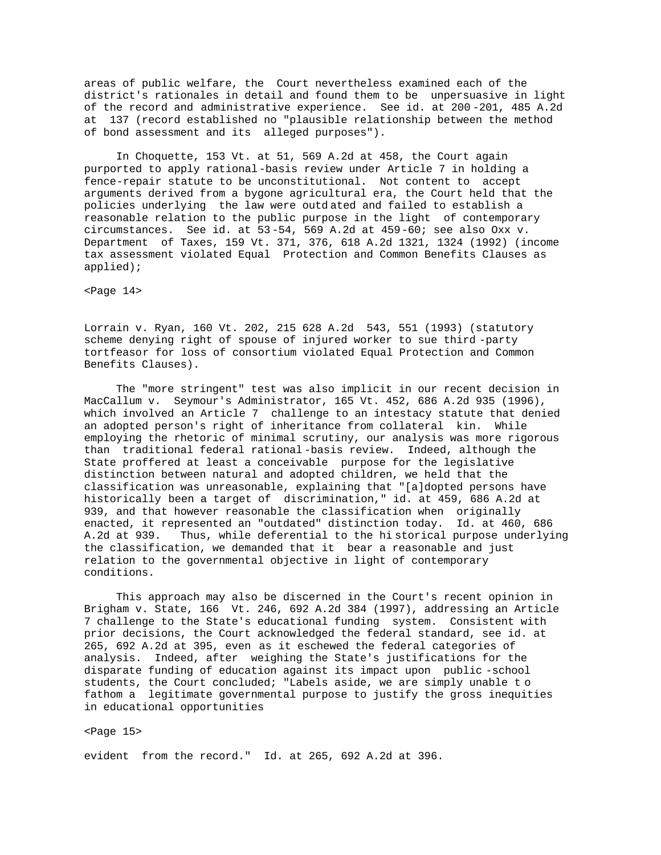areas of public welfare, the Court nevertheless examined each of the district's rationales in detail and found them to be unpersuasive in light of the record and administrative experience. See id. at 200 -201, 485 A.2d at 137 (record established no "plausible relationship between the method of bond assessment and its alleged purposes").

 In Choquette, 153 Vt. at 51, 569 A.2d at 458, the Court again purported to apply rational-basis review under Article 7 in holding a fence-repair statute to be unconstitutional. Not content to accept arguments derived from a bygone agricultural era, the Court held that the policies underlying the law were outd ated and failed to establish a reasonable relation to the public purpose in the light of contemporary circumstances. See id. at 53 -54, 569 A.2d at 459-60; see also Oxx v. Department of Taxes, 159 Vt. 371, 376, 618 A.2d 1321, 1324 (1992) (income tax assessment violated Equal Protection and Common Benefits Clauses as applied);

<Page 14>

 Lorrain v. Ryan, 160 Vt. 202, 215 628 A.2d 543, 551 (1993) (statutory scheme denying right of spouse of injured worker to sue third -party tortfeasor for loss of consortium violated Equal Protection and Common Benefits Clauses).

 The "more stringent" test was also implicit in our recent decision in MacCallum v. Seymour's Administrator, 165 Vt. 452, 686 A.2d 935 (1996), which involved an Article 7 challenge to an intestacy statute that denied an adopted person's right of inheritance from collateral kin. While employing the rhetoric of minimal scrutiny, our analysis was more rigorous than traditional federal rational -basis review. Indeed, although the State proffered at least a conceivable purpose for the legislative distinction between natural and adopted children, we held that the classification was unreasonable, explaining that "[a]dopted persons have historically been a target of discrimination," id. at 459, 686 A.2d at 939, and that however reasonable the classification when originally enacted, it represented an "outdated" distinction today. Id. at 460, 686 A.2d at 939. Thus, while deferential to the hi storical purpose underlying the classification, we demanded that it bear a reasonable and just relation to the governmental objective in light of contemporary conditions.

 This approach may also be discerned in the Court's recent opinion in Brigham v. State, 166 Vt. 246, 692 A.2d 384 (1997), addressing an Article 7 challenge to the State's educational funding system. Consistent with prior decisions, the Court acknowledged the federal standard, see id. at 265, 692 A.2d at 395, even as it eschewed the federal categories of analysis. Indeed, after weighing the State's justifications for the disparate funding of education against its impact upon public -school students, the Court concluded; "Labels aside, we are simply unable t o fathom a legitimate governmental purpose to justify the gross inequities in educational opportunities

<Page 15>

evident from the record." Id. at 265, 692 A.2d at 396.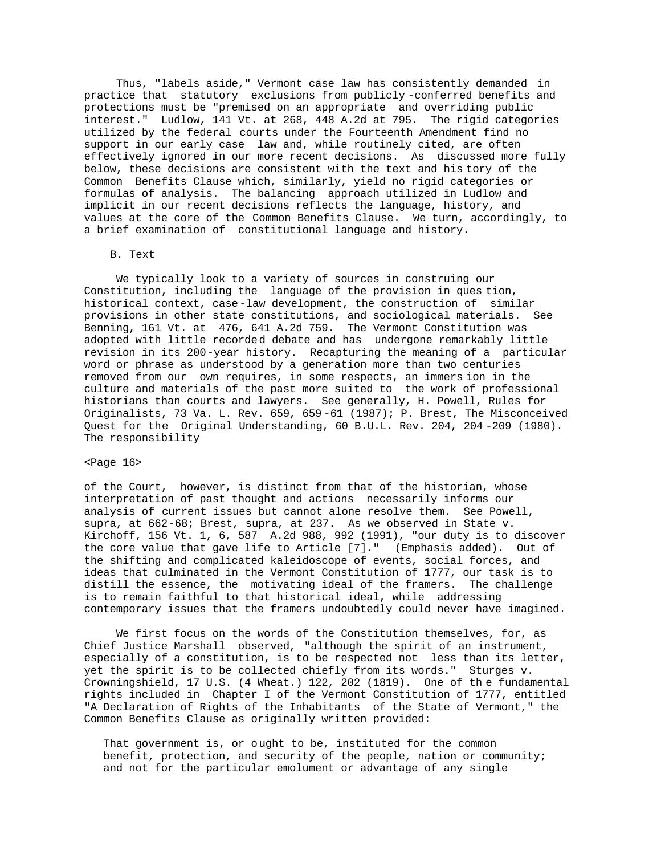Thus, "labels aside," Vermont case law has consistently demanded in practice that statutory exclusions from publicly -conferred benefits and protections must be "premised on an appropriate and overriding public interest." Ludlow, 141 Vt. at 268, 448 A.2d at 795. The rigid categories utilized by the federal courts under the Fourteenth Amendment find no support in our early case law and, while routinely cited, are often effectively ignored in our more recent decisions. As discussed more fully below, these decisions are consistent with the text and his tory of the Common Benefits Clause which, similarly, yield no rigid categories or formulas of analysis. The balancing approach utilized in Ludlow and implicit in our recent decisions reflects the language, history, and values at the core of the Common Benefits Clause. We turn, accordingly, to a brief examination of constitutional language and history.

### B. Text

 We typically look to a variety of sources in construing our Constitution, including the language of the provision in ques tion, historical context, case-law development, the construction of similar provisions in other state constitutions, and sociological materials. See Benning, 161 Vt. at 476, 641 A.2d 759. The Vermont Constitution was adopted with little recorded debate and has undergone remarkably little revision in its 200-year history. Recapturing the meaning of a particular word or phrase as understood by a generation more than two centuries removed from our own requires, in some respects, an immers ion in the culture and materials of the past more suited to the work of professional historians than courts and lawyers. See generally, H. Powell, Rules for Originalists, 73 Va. L. Rev. 659, 659 -61 (1987); P. Brest, The Misconceived Quest for the Original Understanding, 60 B.U.L. Rev. 204, 204 -209 (1980). The responsibility

## <Page 16>

 of the Court, however, is distinct from that of the historian, whose interpretation of past thought and actions necessarily informs our analysis of current issues but cannot alone resolve them. See Powell, supra, at 662-68; Brest, supra, at 237. As we observed in State v. Kirchoff, 156 Vt. 1, 6, 587 A.2d 988, 992 (1991), "our duty is to discover the core value that gave life to Article [7]." (Emphasis added). Out of the shifting and complicated kaleidoscope of events, social forces, and ideas that culminated in the Vermont Constitution of 1777, our task is to distill the essence, the motivating ideal of the framers. The challenge is to remain faithful to that historical ideal, while addressing contemporary issues that the framers undoubtedly could never have imagined.

 We first focus on the words of the Constitution themselves, for, as Chief Justice Marshall observed, "although the spirit of an instrument, especially of a constitution, is to be respected not less than its letter, yet the spirit is to be collected chiefly from its words." Sturges v. Crowningshield, 17 U.S. (4 Wheat.) 122, 202 (1819). One of th e fundamental rights included in Chapter I of the Vermont Constitution of 1777, entitled "A Declaration of Rights of the Inhabitants of the State of Vermont," the Common Benefits Clause as originally written provided:

 That government is, or ought to be, instituted for the common benefit, protection, and security of the people, nation or community; and not for the particular emolument or advantage of any single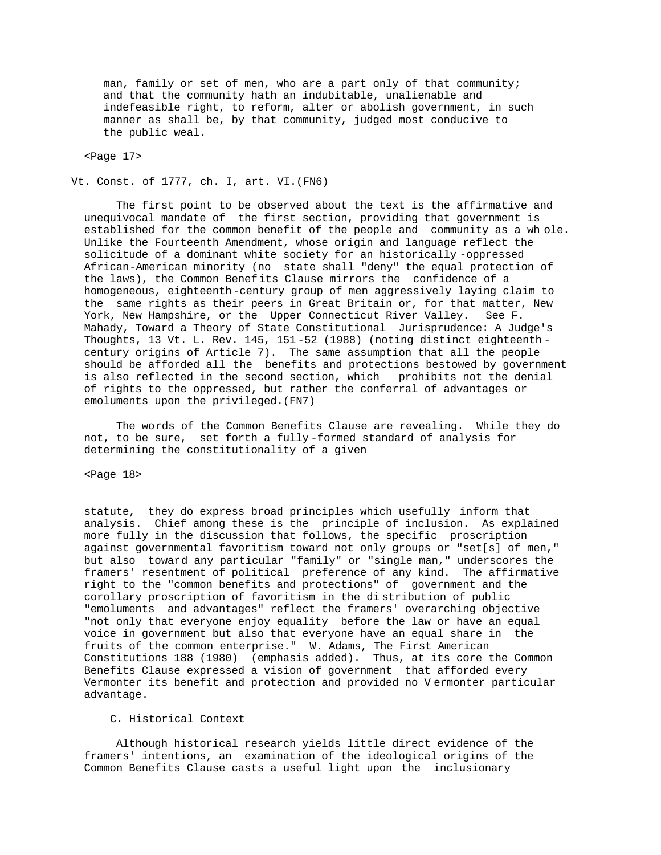man, family or set of men, who are a part only of that community; and that the community hath an indubitable, unalienable and indefeasible right, to reform, alter or abolish government, in such manner as shall be, by that community, judged most conducive to the public weal.

<Page 17>

Vt. Const. of 1777, ch. I, art. VI.(FN6)

 The first point to be observed about the text is the affirmative and unequivocal mandate of the first section, providing that government is established for the common benefit of the people and community as a wh ole. Unlike the Fourteenth Amendment, whose origin and language reflect the solicitude of a dominant white society for an historically -oppressed African-American minority (no state shall "deny" the equal protection of the laws), the Common Benefits Clause mirrors the confidence of a homogeneous, eighteenth-century group of men aggressively laying claim to the same rights as their peers in Great Britain or, for that matter, New York, New Hampshire, or the Upper Connecticut River Valley. See F. Mahady, Toward a Theory of State Constitutional Jurisprudence: A Judge's Thoughts, 13 Vt. L. Rev. 145, 151 -52 (1988) (noting distinct eighteenth century origins of Article 7). The same assumption that all the people should be afforded all the benefits and protections bestowed by government is also reflected in the second section, which prohibits not the denial of rights to the oppressed, but rather the conferral of advantages or emoluments upon the privileged.(FN7)

 The words of the Common Benefits Clause are revealing. While they do not, to be sure, set forth a fully -formed standard of analysis for determining the constitutionality of a given

<Page 18>

 statute, they do express broad principles which usefully inform that analysis. Chief among these is the principle of inclusion. As explained more fully in the discussion that follows, the specific proscription against governmental favoritism toward not only groups or "set[s] of men," but also toward any particular "family" or "single man," underscores the framers' resentment of political preference of any kind. The affirmative right to the "common benefits and protections" of government and the corollary proscription of favoritism in the di stribution of public "emoluments and advantages" reflect the framers' overarching objective "not only that everyone enjoy equality before the law or have an equal voice in government but also that everyone have an equal share in the fruits of the common enterprise." W. Adams, The First American Constitutions 188 (1980) (emphasis added). Thus, at its core the Common Benefits Clause expressed a vision of government that afforded every Vermonter its benefit and protection and provided no V ermonter particular advantage.

C. Historical Context

 Although historical research yields little direct evidence of the framers' intentions, an examination of the ideological origins of the Common Benefits Clause casts a useful light upon the inclusionary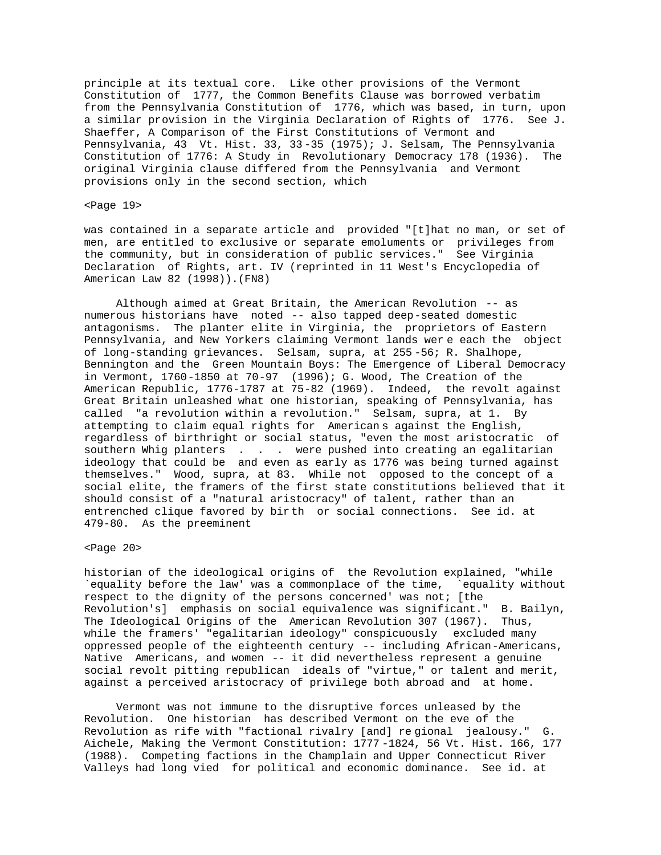principle at its textual core. Like other provisions of the Vermont Constitution of 1777, the Common Benefits Clause was borrowed verbatim from the Pennsylvania Constitution of 1776, which was based, in turn, upon a similar provision in the Virginia Declaration of Rights of 1776. See J. Shaeffer, A Comparison of the First Constitutions of Vermont and Pennsylvania, 43 Vt. Hist. 33, 33 -35 (1975); J. Selsam, The Pennsylvania Constitution of 1776: A Study in Revolutionary Democracy 178 (1936). The original Virginia clause differed from the Pennsylvania and Vermont provisions only in the second section, which

#### <Page 19>

 was contained in a separate article and provided "[t]hat no man, or set of men, are entitled to exclusive or separate emoluments or privileges from the community, but in consideration of public services." See Virginia Declaration of Rights, art. IV (reprinted in 11 West's Encyclopedia of American Law 82 (1998)).(FN8)

 Although aimed at Great Britain, the American Revolution -- as numerous historians have noted -- also tapped deep-seated domestic antagonisms. The planter elite in Virginia, the proprietors of Eastern Pennsylvania, and New Yorkers claiming Vermont lands wer e each the object of long-standing grievances. Selsam, supra, at 255 -56; R. Shalhope, Bennington and the Green Mountain Boys: The Emergence of Liberal Democracy in Vermont, 1760-1850 at 70-97 (1996); G. Wood, The Creation of the American Republic, 1776-1787 at 75-82 (1969). Indeed, the revolt against Great Britain unleashed what one historian, speaking of Pennsylvania, has called "a revolution within a revolution." Selsam, supra, at 1. By attempting to claim equal rights for American s against the English, regardless of birthright or social status, "even the most aristocratic of southern Whig planters . . . were pushed into creating an egalitarian ideology that could be and even as early as 1776 was being turned against themselves." Wood, supra, at 83. While not opposed to the concept of a social elite, the framers of the first state constitutions believed that it should consist of a "natural aristocracy" of talent, rather than an entrenched clique favored by bir th or social connections. See id. at 479-80. As the preeminent

## <Page 20>

 historian of the ideological origins of the Revolution explained, "while `equality before the law' was a commonplace of the time, `equality without respect to the dignity of the persons concerned' was not; [the Revolution's] emphasis on social equivalence was significant." B. Bailyn, The Ideological Origins of the American Revolution 307 (1967). Thus, while the framers' "egalitarian ideology" conspicuously excluded many oppressed people of the eighteenth century -- including African-Americans, Native Americans, and women -- it did nevertheless represent a genuine social revolt pitting republican ideals of "virtue," or talent and merit, against a perceived aristocracy of privilege both abroad and at home.

 Vermont was not immune to the disruptive forces unleased by the Revolution. One historian has described Vermont on the eve of the Revolution as rife with "factional rivalry [and] re gional jealousy." G. Aichele, Making the Vermont Constitution: 1777 -1824, 56 Vt. Hist. 166, 177 (1988). Competing factions in the Champlain and Upper Connecticut River Valleys had long vied for political and economic dominance. See id. at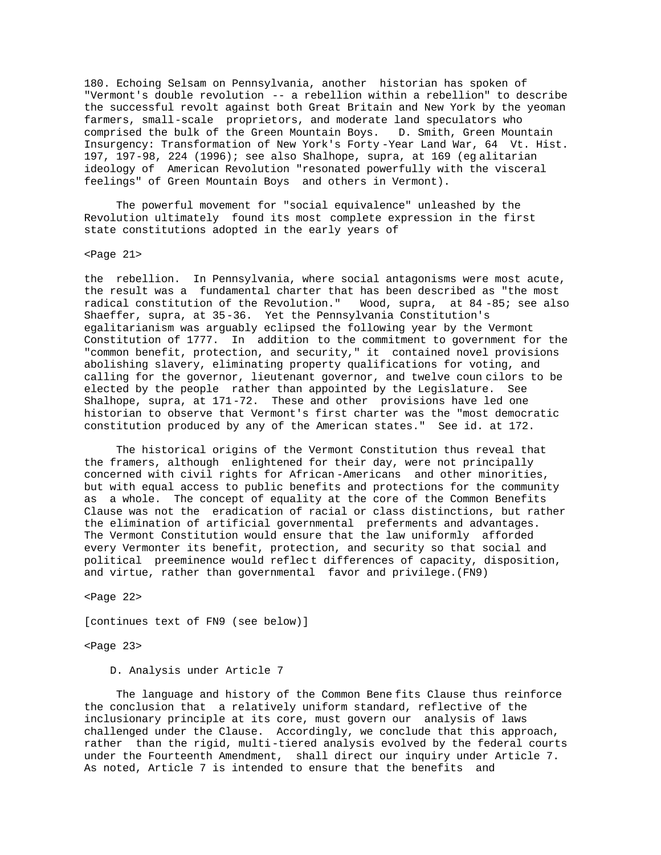180. Echoing Selsam on Pennsylvania, another historian has spoken of "Vermont's double revolution -- a rebellion within a rebellion" to describe the successful revolt against both Great Britain and New York by the yeoman farmers, small-scale proprietors, and moderate land speculators who comprised the bulk of the Green Mountain Boys. D. Smith, Green Mountain Insurgency: Transformation of New York's Forty -Year Land War, 64 Vt. Hist. 197, 197-98, 224 (1996); see also Shalhope, supra, at 169 (eg alitarian ideology of American Revolution "resonated powerfully with the visceral feelings" of Green Mountain Boys and others in Vermont).

 The powerful movement for "social equivalence" unleashed by the Revolution ultimately found its most complete expression in the first state constitutions adopted in the early years of

## <Page 21>

 the rebellion. In Pennsylvania, where social antagonisms were most acute, the result was a fundamental charter that has been described as "the most radical constitution of the Revolution." Wood, supra, at 84 -85; see also Shaeffer, supra, at 35-36. Yet the Pennsylvania Constitution's egalitarianism was arguably eclipsed the following year by the Vermont Constitution of 1777. In addition to the commitment to government for the "common benefit, protection, and security," it contained novel provisions abolishing slavery, eliminating property qualifications for voting, and calling for the governor, lieutenant governor, and twelve coun cilors to be elected by the people rather than appointed by the Legislature. See Shalhope, supra, at 171-72. These and other provisions have led one historian to observe that Vermont's first charter was the "most democratic constitution produced by any of the American states." See id. at 172.

 The historical origins of the Vermont Constitution thus reveal that the framers, although enlightened for their day, were not principally concerned with civil rights for African -Americans and other minorities, but with equal access to public benefits and protections for the community as a whole. The concept of equality at the core of the Common Benefits Clause was not the eradication of racial or class distinctions, but rather the elimination of artificial governmental preferments and advantages. The Vermont Constitution would ensure that the law uniformly afforded every Vermonter its benefit, protection, and security so that social and political preeminence would reflec t differences of capacity, disposition, and virtue, rather than governmental favor and privilege.(FN9)

<Page 22>

[continues text of FN9 (see below)]

<Page 23>

D. Analysis under Article 7

 The language and history of the Common Bene fits Clause thus reinforce the conclusion that a relatively uniform standard, reflective of the inclusionary principle at its core, must govern our analysis of laws challenged under the Clause. Accordingly, we conclude that this approach, rather than the rigid, multi-tiered analysis evolved by the federal courts under the Fourteenth Amendment, shall direct our inquiry under Article 7. As noted, Article 7 is intended to ensure that the benefits and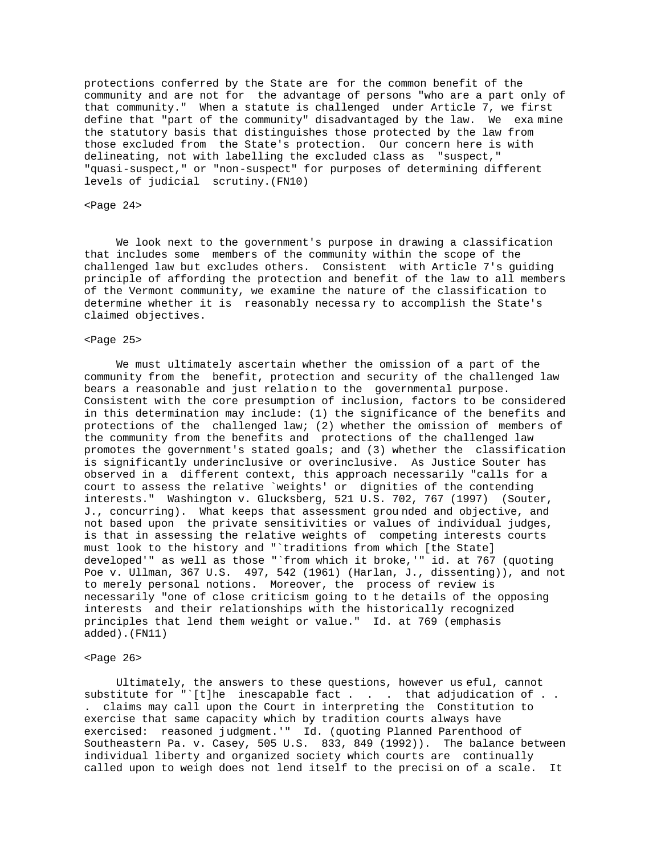protections conferred by the State are for the common benefit of the community and are not for the advantage of persons "who are a part only of that community." When a statute is challenged under Article 7, we first define that "part of the community" disadvantaged by the law. We exa mine the statutory basis that distinguishes those protected by the law from those excluded from the State's protection. Our concern here is with delineating, not with labelling the excluded class as "suspect," "quasi-suspect," or "non-suspect" for purposes of determining different levels of judicial scrutiny.(FN10)

### <Page 24>

 We look next to the government's purpose in drawing a classification that includes some members of the community within the scope of the challenged law but excludes others. Consistent with Article 7's guiding principle of affording the protection and benefit of the law to all members of the Vermont community, we examine the nature of the classification to determine whether it is reasonably necessa ry to accomplish the State's claimed objectives.

# <Page 25>

 We must ultimately ascertain whether the omission of a part of the community from the benefit, protection and security of the challenged law bears a reasonable and just relation to the governmental purpose. Consistent with the core presumption of inclusion, factors to be considered in this determination may include: (1) the significance of the benefits and protections of the challenged law; (2) whether the omission of members of the community from the benefits and protections of the challenged law promotes the government's stated goals; and (3) whether the classification is significantly underinclusive or overinclusive. As Justice Souter has observed in a different context, this approach necessarily "calls for a court to assess the relative `weights' or dignities of the contending interests." Washington v. Glucksberg, 521 U.S. 702, 767 (1997) (Souter, J., concurring). What keeps that assessment grou nded and objective, and not based upon the private sensitivities or values of individual judges, is that in assessing the relative weights of competing interests courts must look to the history and "`traditions from which [the State] developed'" as well as those "`from which it broke,'" id. at 767 (quoting Poe v. Ullman, 367 U.S. 497, 542 (1961) (Harlan, J., dissenting)), and not to merely personal notions. Moreover, the process of review is necessarily "one of close criticism going to t he details of the opposing interests and their relationships with the historically recognized principles that lend them weight or value." Id. at 769 (emphasis added).(FN11)

## <Page 26>

 Ultimately, the answers to these questions, however us eful, cannot substitute for "`[t]he inescapable fact . . . that adjudication of . . . claims may call upon the Court in interpreting the Constitution to exercise that same capacity which by tradition courts always have exercised: reasoned judgment.'" Id. (quoting Planned Parenthood of Southeastern Pa. v. Casey, 505 U.S. 833, 849 (1992)). The balance between individual liberty and organized society which courts are continually called upon to weigh does not lend itself to the precisi on of a scale. It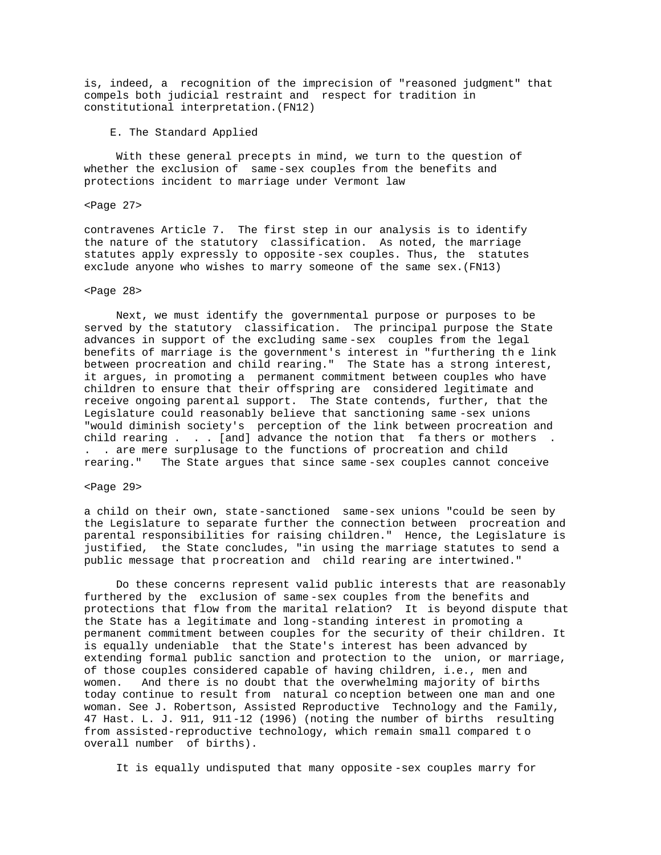is, indeed, a recognition of the imprecision of "reasoned judgment" that compels both judicial restraint and respect for tradition in constitutional interpretation.(FN12)

# E. The Standard Applied

With these general precepts in mind, we turn to the question of whether the exclusion of same -sex couples from the benefits and protections incident to marriage under Vermont law

#### <Page 27>

 contravenes Article 7. The first step in our analysis is to identify the nature of the statutory classification. As noted, the marriage statutes apply expressly to opposite -sex couples. Thus, the statutes exclude anyone who wishes to marry someone of the same sex.(FN13)

## <Page 28>

 Next, we must identify the governmental purpose or purposes to be served by the statutory classification. The principal purpose the State advances in support of the excluding same -sex couples from the legal benefits of marriage is the government's interest in "furthering th e link between procreation and child rearing." The State has a strong interest, it argues, in promoting a permanent commitment between couples who have children to ensure that their offspring are considered legitimate and receive ongoing parental support. The State contends, further, that the Legislature could reasonably believe that sanctioning same -sex unions "would diminish society's perception of the link between procreation and child rearing . . . [and] advance the notion that fa thers or mothers . . . are mere surplusage to the functions of procreation and child rearing." The State argues that since same -sex couples cannot conceive

## <Page 29>

 a child on their own, state-sanctioned same-sex unions "could be seen by the Legislature to separate further the connection between procreation and parental responsibilities for raising children." Hence, the Legislature is justified, the State concludes, "in using the marriage statutes to send a public message that procreation and child rearing are intertwined."

 Do these concerns represent valid public interests that are reasonably furthered by the exclusion of same -sex couples from the benefits and protections that flow from the marital relation? It is beyond dispute that the State has a legitimate and long -standing interest in promoting a permanent commitment between couples for the security of their children. It is equally undeniable that the State's interest has been advanced by extending formal public sanction and protection to the union, or marriage, of those couples considered capable of having children, i.e., men and women. And there is no doubt that the overwhelming majority of births today continue to result from natural co nception between one man and one woman. See J. Robertson, Assisted Reproductive Technology and the Family, 47 Hast. L. J. 911, 911-12 (1996) (noting the number of births resulting from assisted-reproductive technology, which remain small compared t o overall number of births).

It is equally undisputed that many opposite -sex couples marry for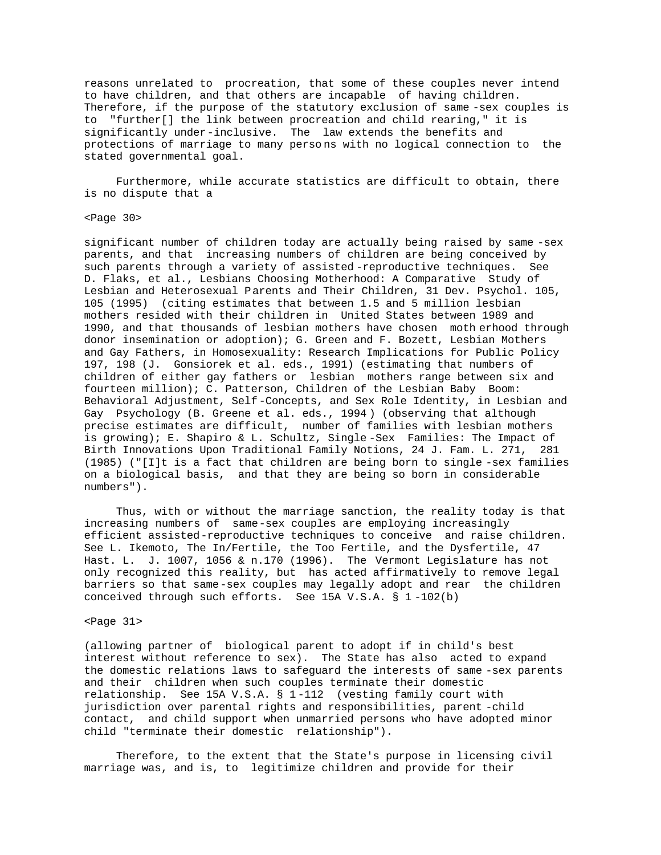reasons unrelated to procreation, that some of these couples never intend to have children, and that others are incapable of having children. Therefore, if the purpose of the statutory exclusion of same -sex couples is to "further[] the link between procreation and child rearing," it is significantly under-inclusive. The law extends the benefits and protections of marriage to many perso ns with no logical connection to the stated governmental goal.

 Furthermore, while accurate statistics are difficult to obtain, there is no dispute that a

### <Page 30>

 significant number of children today are actually being raised by same -sex parents, and that increasing numbers of children are being conceived by such parents through a variety of assisted -reproductive techniques. See D. Flaks, et al., Lesbians Choosing Motherhood: A Comparative Study of Lesbian and Heterosexual Parents and Their Children, 31 Dev. Psychol. 105, 105 (1995) (citing estimates that between 1.5 and 5 million lesbian mothers resided with their children in United States between 1989 and 1990, and that thousands of lesbian mothers have chosen moth erhood through donor insemination or adoption); G. Green and F. Bozett, Lesbian Mothers and Gay Fathers, in Homosexuality: Research Implications for Public Policy 197, 198 (J. Gonsiorek et al. eds., 1991) (estimating that numbers of children of either gay fathers or lesbian mothers range between six and fourteen million); C. Patterson, Children of the Lesbian Baby Boom: Behavioral Adjustment, Self-Concepts, and Sex Role Identity, in Lesbian and Gay Psychology (B. Greene et al. eds., 1994 ) (observing that although precise estimates are difficult, number of families with lesbian mothers is growing); E. Shapiro & L. Schultz, Single -Sex Families: The Impact of Birth Innovations Upon Traditional Family Notions, 24 J. Fam. L. 271, 281 (1985) ("[I]t is a fact that children are being born to single -sex families on a biological basis, and that they are being so born in considerable numbers").

 Thus, with or without the marriage sanction, the reality today is that increasing numbers of same-sex couples are employing increasingly efficient assisted-reproductive techniques to conceive and raise children. See L. Ikemoto, The In/Fertile, the Too Fertile, and the Dysfertile, 47 Hast. L. J. 1007, 1056 & n.170 (1996). The Vermont Legislature has not only recognized this reality, but has acted affirmatively to remove legal barriers so that same-sex couples may legally adopt and rear the children conceived through such efforts. See 15A V.S.A. § 1 -102(b)

### <Page 31>

 (allowing partner of biological parent to adopt if in child's best interest without reference to sex). The State has also acted to expand the domestic relations laws to safeguard the interests of same -sex parents and their children when such couples terminate their domestic relationship. See 15A V.S.A. § 1 -112 (vesting family court with jurisdiction over parental rights and responsibilities, parent -child contact, and child support when unmarried persons who have adopted minor child "terminate their domestic relationship").

 Therefore, to the extent that the State's purpose in licensing civil marriage was, and is, to legitimize children and provide for their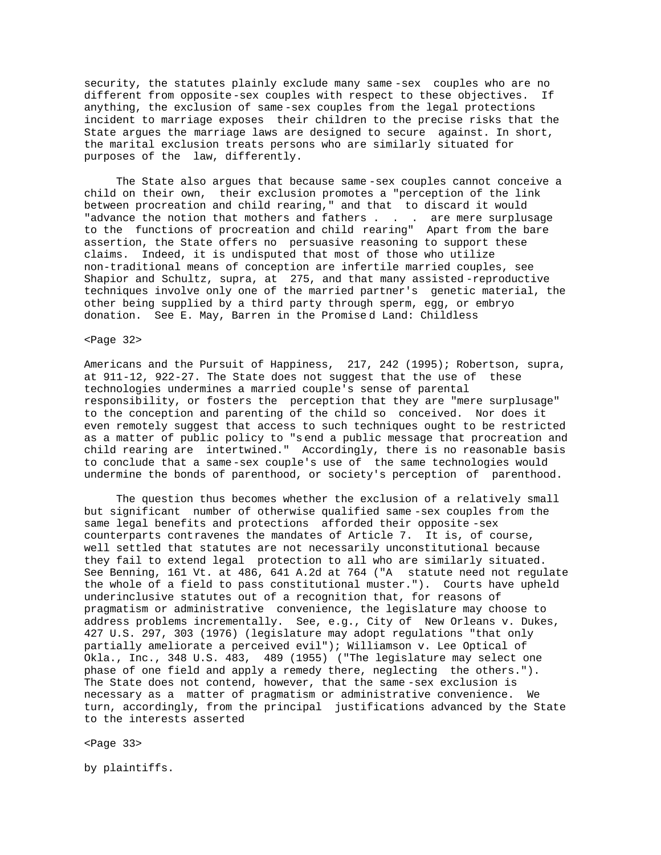security, the statutes plainly exclude many same -sex couples who are no different from opposite-sex couples with respect to these objectives. If anything, the exclusion of same -sex couples from the legal protections incident to marriage exposes their children to the precise risks that the State argues the marriage laws are designed to secure against. In short, the marital exclusion treats persons who are similarly situated for purposes of the law, differently.

 The State also argues that because same -sex couples cannot conceive a child on their own, their exclusion promotes a "perception of the link between procreation and child rearing," and that to discard it would "advance the notion that mothers and fathers . . . are mere surplusage to the functions of procreation and child rearing" Apart from the bare assertion, the State offers no persuasive reasoning to support these claims. Indeed, it is undisputed that most of those who utilize non-traditional means of conception are infertile married couples, see Shapior and Schultz, supra, at 275, and that many assisted -reproductive techniques involve only one of the married partner's genetic material, the other being supplied by a third party through sperm, egg, or embryo donation. See E. May, Barren in the Promise d Land: Childless

# <Page 32>

 Americans and the Pursuit of Happiness, 217, 242 (1995); Robertson, supra, at 911-12, 922-27. The State does not suggest that the use of these technologies undermines a married couple's sense of parental responsibility, or fosters the perception that they are "mere surplusage" to the conception and parenting of the child so conceived. Nor does it even remotely suggest that access to such techniques ought to be restricted as a matter of public policy to "s end a public message that procreation and child rearing are intertwined." Accordingly, there is no reasonable basis to conclude that a same-sex couple's use of the same technologies would undermine the bonds of parenthood, or society's perception of parenthood.

 The question thus becomes whether the exclusion of a relatively small but significant number of otherwise qualified same -sex couples from the same legal benefits and protections afforded their opposite -sex counterparts contravenes the mandates of Article 7. It is, of course, well settled that statutes are not necessarily unconstitutional because they fail to extend legal protection to all who are similarly situated. See Benning, 161 Vt. at 486, 641 A.2d at 764 ("A statute need not regulate the whole of a field to pass constitutional muster."). Courts have upheld underinclusive statutes out of a recognition that, for reasons of pragmatism or administrative convenience, the legislature may choose to address problems incrementally. See, e.g., City of New Orleans v. Dukes, 427 U.S. 297, 303 (1976) (legislature may adopt regulations "that only partially ameliorate a perceived evil"); Williamson v. Lee Optical of Okla., Inc., 348 U.S. 483, 489 (1955) ("The legislature may select one phase of one field and apply a remedy there, neglecting the others."). The State does not contend, however, that the same -sex exclusion is necessary as a matter of pragmatism or administrative convenience. We turn, accordingly, from the principal justifications advanced by the State to the interests asserted

<Page 33>

by plaintiffs.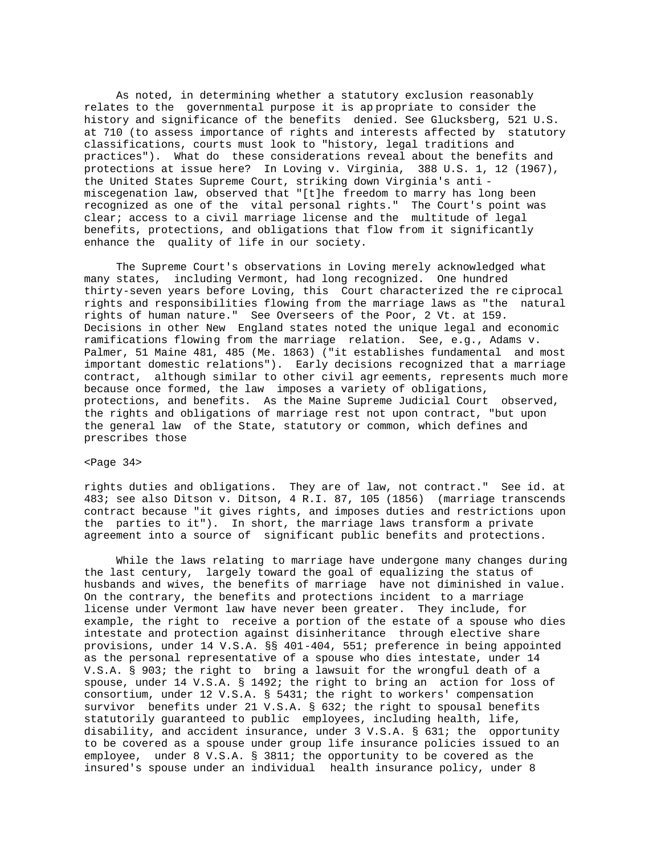As noted, in determining whether a statutory exclusion reasonably relates to the governmental purpose it is ap propriate to consider the history and significance of the benefits denied. See Glucksberg, 521 U.S. at 710 (to assess importance of rights and interests affected by statutory classifications, courts must look to "history, legal traditions and practices"). What do these considerations reveal about the benefits and protections at issue here? In Loving v. Virginia, 388 U.S. 1, 12 (1967), the United States Supreme Court, striking down Virginia's anti miscegenation law, observed that "[t]he freedom to marry has long been recognized as one of the vital personal rights." The Court's point was clear; access to a civil marriage license and the multitude of legal benefits, protections, and obligations that flow from it significantly enhance the quality of life in our society.

 The Supreme Court's observations in Loving merely acknowledged what many states, including Vermont, had long recognized. One hundred thirty-seven years before Loving, this Court characterized the re ciprocal rights and responsibilities flowing from the marriage laws as "the natural rights of human nature." See Overseers of the Poor, 2 Vt. at 159. Decisions in other New England states noted the unique legal and economic ramifications flowing from the marriage relation. See, e.g., Adams v. Palmer, 51 Maine 481, 485 (Me. 1863) ("it establishes fundamental and most important domestic relations"). Early decisions recognized that a marriage contract, although similar to other civil agr eements, represents much more because once formed, the law imposes a variety of obligations, protections, and benefits. As the Maine Supreme Judicial Court observed, the rights and obligations of marriage rest not upon contract, "but upon the general law of the State, statutory or common, which defines and prescribes those

## <Page 34>

 rights duties and obligations. They are of law, not contract." See id. at 483; see also Ditson v. Ditson, 4 R.I. 87, 105 (1856) (marriage transcends contract because "it gives rights, and imposes duties and restrictions upon the parties to it"). In short, the marriage laws transform a private agreement into a source of significant public benefits and protections.

 While the laws relating to marriage have undergone many changes during the last century, largely toward the goal of equalizing the status of husbands and wives, the benefits of marriage have not diminished in value. On the contrary, the benefits and protections incident to a marriage license under Vermont law have never been greater. They include, for example, the right to receive a portion of the estate of a spouse who dies intestate and protection against disinheritance through elective share provisions, under 14 V.S.A. §§ 401-404, 551; preference in being appointed as the personal representative of a spouse who dies intestate, under 14 V.S.A. § 903; the right to bring a lawsuit for the wrongful death of a spouse, under 14 V.S.A. § 1492; the right to bring an action for loss of consortium, under 12 V.S.A. § 5431; the right to workers' compensation survivor benefits under 21 V.S.A. § 632; the right to spousal benefits statutorily guaranteed to public employees, including health, life, disability, and accident insurance, under 3 V.S.A. § 631; the opportunity to be covered as a spouse under group life insurance policies issued to an employee, under 8 V.S.A. § 3811; the opportunity to be covered as the insured's spouse under an individual health insurance policy, under 8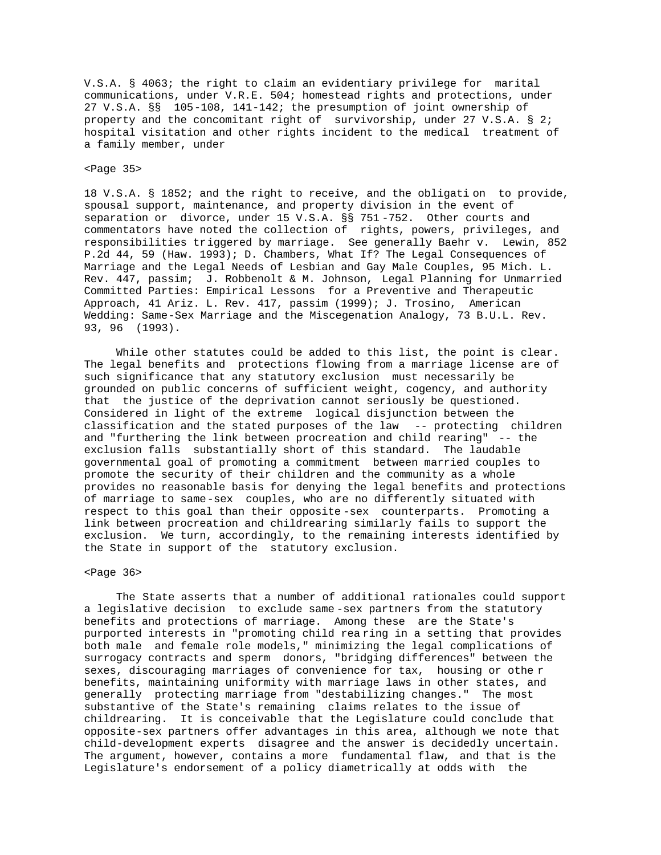V.S.A. § 4063; the right to claim an evidentiary privilege for marital communications, under V.R.E. 504; homestead rights and protections, under 27 V.S.A. §§ 105-108, 141-142; the presumption of joint ownership of property and the concomitant right of survivorship, under 27 V.S.A. § 2; hospital visitation and other rights incident to the medical treatment of a family member, under

## <Page 35>

 18 V.S.A. § 1852; and the right to receive, and the obligati on to provide, spousal support, maintenance, and property division in the event of separation or divorce, under 15 V.S.A. §§ 751 -752. Other courts and commentators have noted the collection of rights, powers, privileges, and responsibilities triggered by marriage. See generally Baehr v. Lewin, 852 P.2d 44, 59 (Haw. 1993); D. Chambers, What If? The Legal Consequences of Marriage and the Legal Needs of Lesbian and Gay Male Couples, 95 Mich. L. Rev. 447, passim; J. Robbenolt & M. Johnson, Legal Planning for Unmarried Committed Parties: Empirical Lessons for a Preventive and Therapeutic Approach, 41 Ariz. L. Rev. 417, passim (1999); J. Trosino, American Wedding: Same-Sex Marriage and the Miscegenation Analogy, 73 B.U.L. Rev. 93, 96 (1993).

 While other statutes could be added to this list, the point is clear. The legal benefits and protections flowing from a marriage license are of such significance that any statutory exclusion must necessarily be grounded on public concerns of sufficient weight, cogency, and authority that the justice of the deprivation cannot seriously be questioned. Considered in light of the extreme logical disjunction between the classification and the stated purposes of the law -- protecting children and "furthering the link between procreation and child rearing" -- the exclusion falls substantially short of this standard. The laudable governmental goal of promoting a commitment between married couples to promote the security of their children and the community as a whole provides no reasonable basis for denying the legal benefits and protections of marriage to same-sex couples, who are no differently situated with respect to this goal than their opposite -sex counterparts. Promoting a link between procreation and childrearing similarly fails to support the exclusion. We turn, accordingly, to the remaining interests identified by the State in support of the statutory exclusion.

#### <Page 36>

 The State asserts that a number of additional rationales could support a legislative decision to exclude same -sex partners from the statutory benefits and protections of marriage. Among these are the State's purported interests in "promoting child rea ring in a setting that provides both male and female role models," minimizing the legal complications of surrogacy contracts and sperm donors, "bridging differences" between the sexes, discouraging marriages of convenience for tax, housing or othe r benefits, maintaining uniformity with marriage laws in other states, and generally protecting marriage from "destabilizing changes." The most substantive of the State's remaining claims relates to the issue of childrearing. It is conceivable that the Legislature could conclude that opposite-sex partners offer advantages in this area, although we note that child-development experts disagree and the answer is decidedly uncertain. The argument, however, contains a more fundamental flaw, and that is the Legislature's endorsement of a policy diametrically at odds with the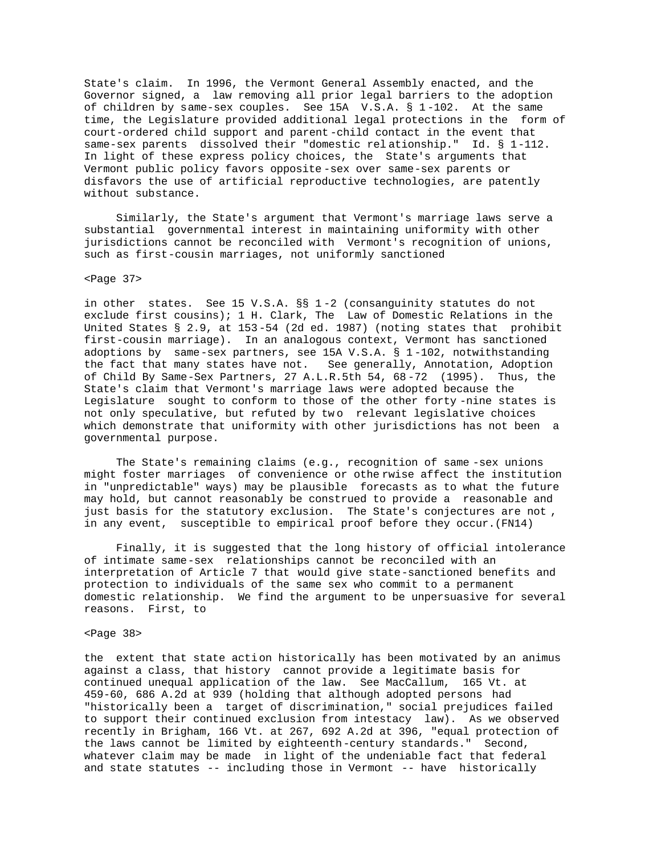State's claim. In 1996, the Vermont General Assembly enacted, and the Governor signed, a law removing all prior legal barriers to the adoption of children by same-sex couples. See 15A V.S.A. § 1 -102. At the same time, the Legislature provided additional legal protections in the form of court-ordered child support and parent -child contact in the event that same-sex parents dissolved their "domestic rel ationship." Id. § 1-112. In light of these express policy choices, the State's arguments that Vermont public policy favors opposite -sex over same-sex parents or disfavors the use of artificial reproductive technologies, are patently without substance.

 Similarly, the State's argument that Vermont's marriage laws serve a substantial governmental interest in maintaining uniformity with other jurisdictions cannot be reconciled with Vermont's recognition of unions, such as first-cousin marriages, not uniformly sanctioned

### <Page 37>

 in other states. See 15 V.S.A. §§ 1 -2 (consanguinity statutes do not exclude first cousins); 1 H. Clark, The Law of Domestic Relations in the United States § 2.9, at 153-54 (2d ed. 1987) (noting states that prohibit first-cousin marriage). In an analogous context, Vermont has sanctioned adoptions by same-sex partners, see 15A V.S.A. § 1 -102, notwithstanding the fact that many states have not. See generally, Annotation, Adoption of Child By Same-Sex Partners, 27 A.L.R.5th 54, 68 -72 (1995). Thus, the State's claim that Vermont's marriage laws were adopted because the Legislature sought to conform to those of the other forty -nine states is not only speculative, but refuted by two relevant legislative choices which demonstrate that uniformity with other jurisdictions has not been a governmental purpose.

 The State's remaining claims (e.g., recognition of same -sex unions might foster marriages of convenience or othe rwise affect the institution in "unpredictable" ways) may be plausible forecasts as to what the future may hold, but cannot reasonably be construed to provide a reasonable and just basis for the statutory exclusion. The State's conjectures are not , in any event, susceptible to empirical proof before they occur.(FN14)

 Finally, it is suggested that the long history of official intolerance of intimate same-sex relationships cannot be reconciled with an interpretation of Article 7 that would give state-sanctioned benefits and protection to individuals of the same sex who commit to a permanent domestic relationship. We find the argument to be unpersuasive for several reasons. First, to

## <Page 38>

 the extent that state action historically has been motivated by an animus against a class, that history cannot provide a legitimate basis for continued unequal application of the law. See MacCallum, 165 Vt. at 459-60, 686 A.2d at 939 (holding that although adopted persons had "historically been a target of discrimination," social prejudices failed to support their continued exclusion from intestacy law). As we observed recently in Brigham, 166 Vt. at 267, 692 A.2d at 396, "equal protection of the laws cannot be limited by eighteenth-century standards." Second, whatever claim may be made in light of the undeniable fact that federal and state statutes -- including those in Vermont -- have historically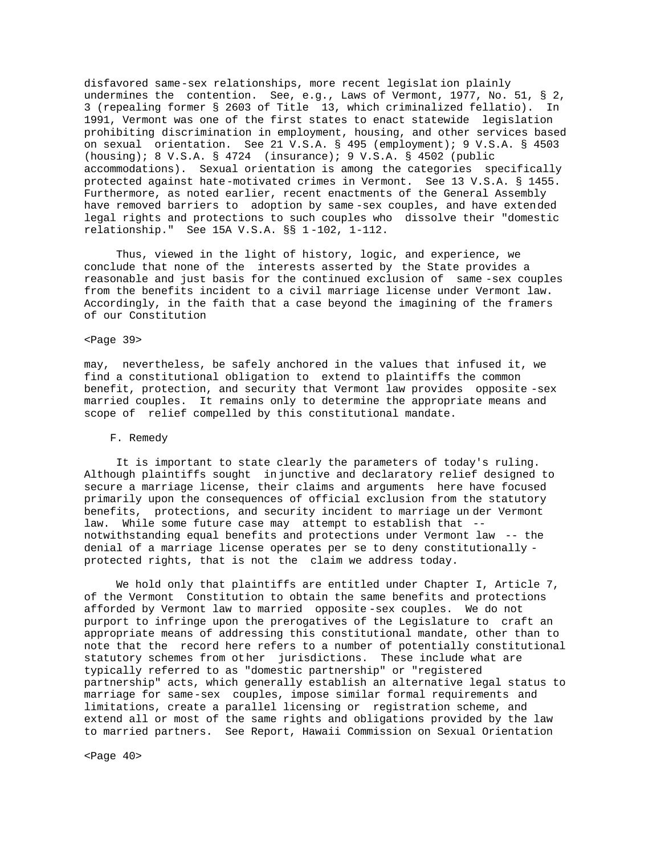disfavored same-sex relationships, more recent legislat ion plainly undermines the contention. See, e.g., Laws of Vermont, 1977, No. 51, § 2, 3 (repealing former § 2603 of Title 13, which criminalized fellatio). In 1991, Vermont was one of the first states to enact statewide legislation prohibiting discrimination in employment, housing, and other services based on sexual orientation. See 21 V.S.A. § 495 (employment); 9 V.S.A. § 4503 (housing); 8 V.S.A. § 4724 (insurance); 9 V.S.A. § 4502 (public accommodations). Sexual orientation is among the categories specifically protected against hate-motivated crimes in Vermont. See 13 V.S.A. § 1455. Furthermore, as noted earlier, recent enactments of the General Assembly have removed barriers to adoption by same -sex couples, and have extended legal rights and protections to such couples who dissolve their "domestic relationship." See 15A V.S.A. §§ 1 -102, 1-112.

 Thus, viewed in the light of history, logic, and experience, we conclude that none of the interests asserted by the State provides a reasonable and just basis for the continued exclusion of same -sex couples from the benefits incident to a civil marriage license under Vermont law. Accordingly, in the faith that a case beyond the imagining of the framers of our Constitution

## <Page 39>

 may, nevertheless, be safely anchored in the values that infused it, we find a constitutional obligation to extend to plaintiffs the common benefit, protection, and security that Vermont law provides opposite -sex married couples. It remains only to determine the appropriate means and scope of relief compelled by this constitutional mandate.

### F. Remedy

 It is important to state clearly the parameters of today's ruling. Although plaintiffs sought in junctive and declaratory relief designed to secure a marriage license, their claims and arguments here have focused primarily upon the consequences of official exclusion from the statutory benefits, protections, and security incident to marriage un der Vermont law. While some future case may attempt to establish that - notwithstanding equal benefits and protections under Vermont law -- the denial of a marriage license operates per se to deny constitutionally protected rights, that is not the claim we address today.

We hold only that plaintiffs are entitled under Chapter I, Article 7, of the Vermont Constitution to obtain the same benefits and protections afforded by Vermont law to married opposite -sex couples. We do not purport to infringe upon the prerogatives of the Legislature to craft an appropriate means of addressing this constitutional mandate, other than to note that the record here refers to a number of potentially constitutional statutory schemes from other jurisdictions. These include what are typically referred to as "domestic partnership" or "registered partnership" acts, which generally establish an alternative legal status to marriage for same-sex couples, impose similar formal requirements and limitations, create a parallel licensing or registration scheme, and extend all or most of the same rights and obligations provided by the law to married partners. See Report, Hawaii Commission on Sexual Orientation

<Page 40>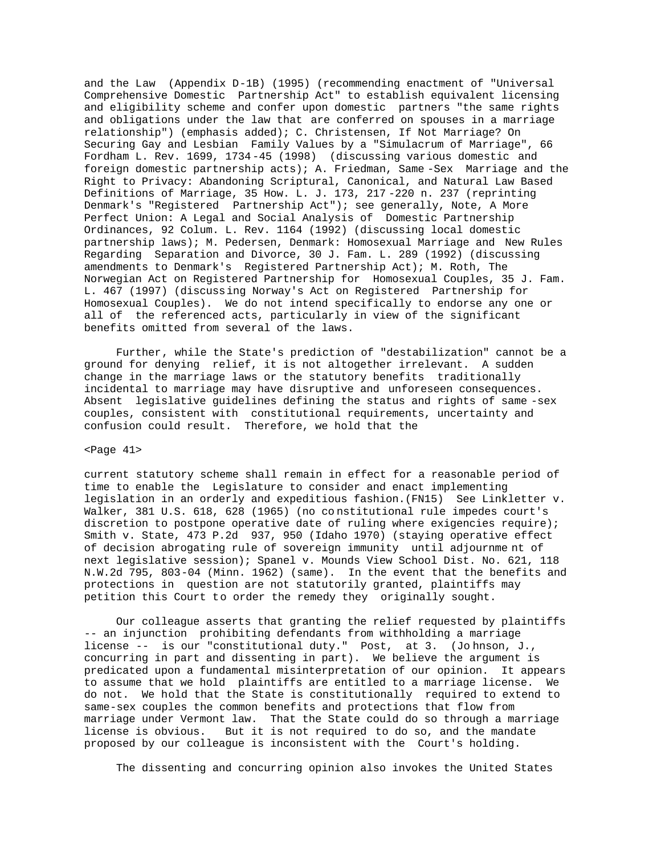and the Law (Appendix D-1B) (1995) (recommending enactment of "Universal Comprehensive Domestic Partnership Act" to establish equivalent licensing and eligibility scheme and confer upon domestic partners "the same rights and obligations under the law that are conferred on spouses in a marriage relationship") (emphasis added); C. Christensen, If Not Marriage? On Securing Gay and Lesbian Family Values by a "Simulacrum of Marriage", 66 Fordham L. Rev. 1699, 1734-45 (1998) (discussing various domestic and foreign domestic partnership acts); A. Friedman, Same -Sex Marriage and the Right to Privacy: Abandoning Scriptural, Canonical, and Natural Law Based Definitions of Marriage, 35 How. L. J. 173, 217 -220 n. 237 (reprinting Denmark's "Registered Partnership Act"); see generally, Note, A More Perfect Union: A Legal and Social Analysis of Domestic Partnership Ordinances, 92 Colum. L. Rev. 1164 (1992) (discussing local domestic partnership laws); M. Pedersen, Denmark: Homosexual Marriage and New Rules Regarding Separation and Divorce, 30 J. Fam. L. 289 (1992) (discussing amendments to Denmark's Registered Partnership Act); M. Roth, The Norwegian Act on Registered Partnership for Homosexual Couples, 35 J. Fam. L. 467 (1997) (discussing Norway's Act on Registered Partnership for Homosexual Couples). We do not intend specifically to endorse any one or all of the referenced acts, particularly in view of the significant benefits omitted from several of the laws.

 Further, while the State's prediction of "destabilization" cannot be a ground for denying relief, it is not altogether irrelevant. A sudden change in the marriage laws or the statutory benefits traditionally incidental to marriage may have disruptive and unforeseen consequences. Absent legislative guidelines defining the status and rights of same -sex couples, consistent with constitutional requirements, uncertainty and confusion could result. Therefore, we hold that the

## <Page 41>

 current statutory scheme shall remain in effect for a reasonable period of time to enable the Legislature to consider and enact implementing legislation in an orderly and expeditious fashion.(FN15) See Linkletter v. Walker, 381 U.S. 618, 628 (1965) (no co nstitutional rule impedes court's discretion to postpone operative date of ruling where exigencies require); Smith v. State, 473 P.2d 937, 950 (Idaho 1970) (staying operative effect of decision abrogating rule of sovereign immunity until adjournme nt of next legislative session); Spanel v. Mounds View School Dist. No. 621, 118 N.W.2d 795, 803-04 (Minn. 1962) (same). In the event that the benefits and protections in question are not statutorily granted, plaintiffs may petition this Court to order the remedy they originally sought.

 Our colleague asserts that granting the relief requested by plaintiffs -- an injunction prohibiting defendants from withholding a marriage license -- is our "constitutional duty." Post, at 3. (Jo hnson, J., concurring in part and dissenting in part). We believe the argument is predicated upon a fundamental misinterpretation of our opinion. It appears to assume that we hold plaintiffs are entitled to a marriage license. We do not. We hold that the State is constitutionally required to extend to same-sex couples the common benefits and protections that flow from marriage under Vermont law. That the State could do so through a marriage license is obvious. But it is not required to do so, and the mandate proposed by our colleague is inconsistent with the Court's holding.

The dissenting and concurring opinion also invokes the United States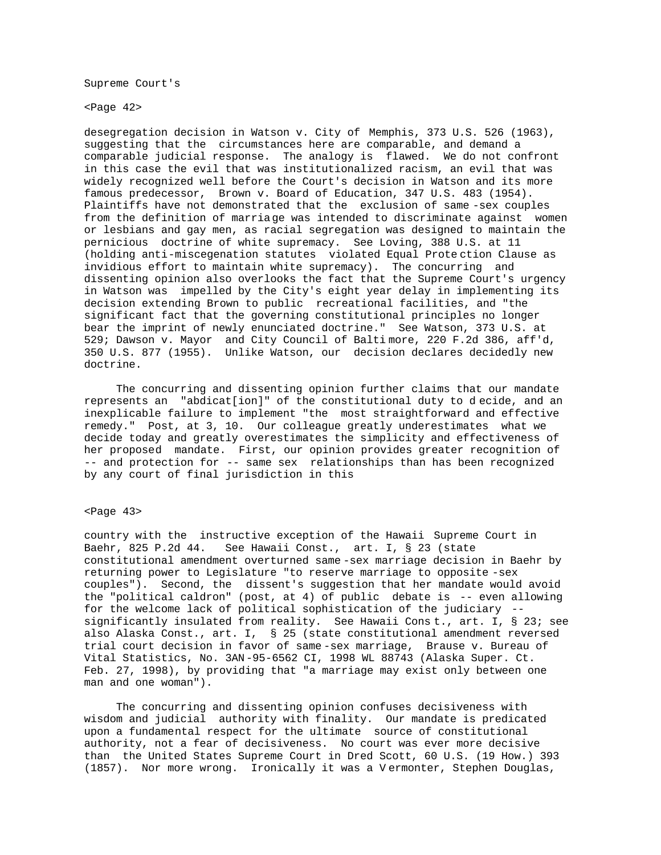Supreme Court's

<Page 42>

 desegregation decision in Watson v. City of Memphis, 373 U.S. 526 (1963), suggesting that the circumstances here are comparable, and demand a comparable judicial response. The analogy is flawed. We do not confront in this case the evil that was institutionalized racism, an evil that was widely recognized well before the Court's decision in Watson and its more famous predecessor, Brown v. Board of Education, 347 U.S. 483 (1954). Plaintiffs have not demonstrated that the exclusion of same -sex couples from the definition of marria ge was intended to discriminate against women or lesbians and gay men, as racial segregation was designed to maintain the pernicious doctrine of white supremacy. See Loving, 388 U.S. at 11 (holding anti-miscegenation statutes violated Equal Prote ction Clause as invidious effort to maintain white supremacy). The concurring and dissenting opinion also overlooks the fact that the Supreme Court's urgency in Watson was impelled by the City's eight year delay in implementing its decision extending Brown to public recreational facilities, and "the significant fact that the governing constitutional principles no longer bear the imprint of newly enunciated doctrine." See Watson, 373 U.S. at 529; Dawson v. Mayor and City Council of Balti more, 220 F.2d 386, aff'd, 350 U.S. 877 (1955). Unlike Watson, our decision declares decidedly new doctrine.

 The concurring and dissenting opinion further claims that our mandate represents an "abdicat[ion]" of the constitutional duty to d ecide, and an inexplicable failure to implement "the most straightforward and effective remedy." Post, at 3, 10. Our colleague greatly underestimates what we decide today and greatly overestimates the simplicity and effectiveness of her proposed mandate. First, our opinion provides greater recognition of -- and protection for -- same sex relationships than has been recognized by any court of final jurisdiction in this

# <Page 43>

 country with the instructive exception of the Hawaii Supreme Court in Baehr, 825 P.2d 44. See Hawaii Const., art. I, § 23 (state constitutional amendment overturned same -sex marriage decision in Baehr by returning power to Legislature "to reserve marriage to opposite -sex couples"). Second, the dissent's suggestion that her mandate would avoid the "political caldron" (post, at 4) of public debate is -- even allowing for the welcome lack of political sophistication of the judiciary - significantly insulated from reality. See Hawaii Cons t., art. I, § 23; see also Alaska Const., art. I, § 25 (state constitutional amendment reversed trial court decision in favor of same -sex marriage, Brause v. Bureau of Vital Statistics, No. 3AN-95-6562 CI, 1998 WL 88743 (Alaska Super. Ct. Feb. 27, 1998), by providing that "a marriage may exist only between one man and one woman").

 The concurring and dissenting opinion confuses decisiveness with wisdom and judicial authority with finality. Our mandate is predicated upon a fundamental respect for the ultimate source of constitutional authority, not a fear of decisiveness. No court was ever more decisive than the United States Supreme Court in Dred Scott, 60 U.S. (19 How.) 393 (1857). Nor more wrong. Ironically it was a V ermonter, Stephen Douglas,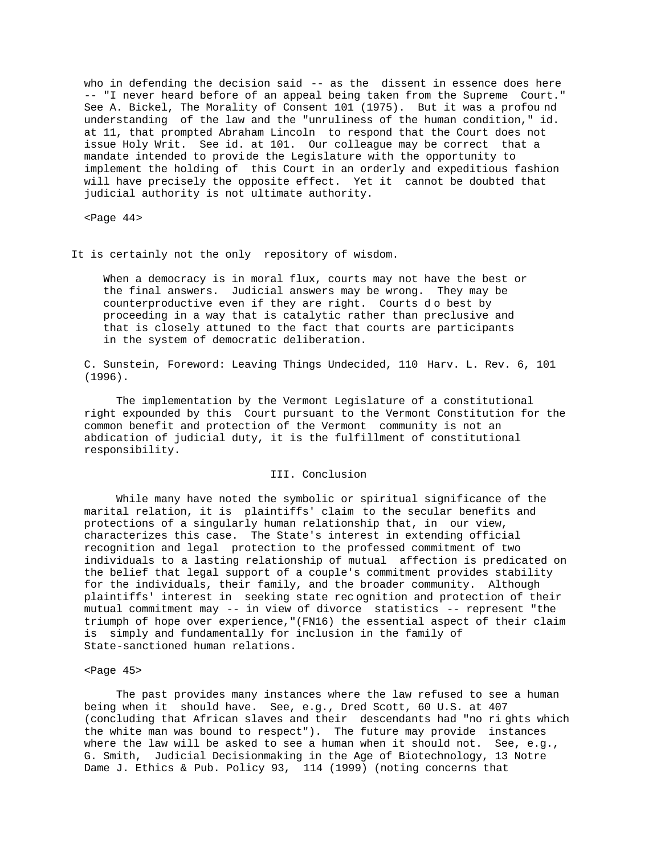who in defending the decision said -- as the dissent in essence does here -- "I never heard before of an appeal being taken from the Supreme Court." See A. Bickel, The Morality of Consent 101 (1975). But it was a profou nd understanding of the law and the "unruliness of the human condition," id. at 11, that prompted Abraham Lincoln to respond that the Court does not issue Holy Writ. See id. at 101. Our colleague may be correct that a mandate intended to provide the Legislature with the opportunity to implement the holding of this Court in an orderly and expeditious fashion will have precisely the opposite effect. Yet it cannot be doubted that judicial authority is not ultimate authority.

<Page 44>

It is certainly not the only repository of wisdom.

 When a democracy is in moral flux, courts may not have the best or the final answers. Judicial answers may be wrong. They may be counterproductive even if they are right. Courts d o best by proceeding in a way that is catalytic rather than preclusive and that is closely attuned to the fact that courts are participants in the system of democratic deliberation.

 C. Sunstein, Foreword: Leaving Things Undecided, 110 Harv. L. Rev. 6, 101 (1996).

 The implementation by the Vermont Legislature of a constitutional right expounded by this Court pursuant to the Vermont Constitution for the common benefit and protection of the Vermont community is not an abdication of judicial duty, it is the fulfillment of constitutional responsibility.

## III. Conclusion

 While many have noted the symbolic or spiritual significance of the marital relation, it is plaintiffs' claim to the secular benefits and protections of a singularly human relationship that, in our view, characterizes this case. The State's interest in extending official recognition and legal protection to the professed commitment of two individuals to a lasting relationship of mutual affection is predicated on the belief that legal support of a couple's commitment provides stability for the individuals, their family, and the broader community. Although plaintiffs' interest in seeking state rec ognition and protection of their mutual commitment may -- in view of divorce statistics -- represent "the triumph of hope over experience,"(FN16) the essential aspect of their claim is simply and fundamentally for inclusion in the family of State-sanctioned human relations.

## <Page 45>

 The past provides many instances where the law refused to see a human being when it should have. See, e.g., Dred Scott, 60 U.S. at 407 (concluding that African slaves and their descendants had "no ri ghts which the white man was bound to respect"). The future may provide instances where the law will be asked to see a human when it should not. See, e.g., G. Smith, Judicial Decisionmaking in the Age of Biotechnology, 13 Notre Dame J. Ethics & Pub. Policy 93, 114 (1999) (noting concerns that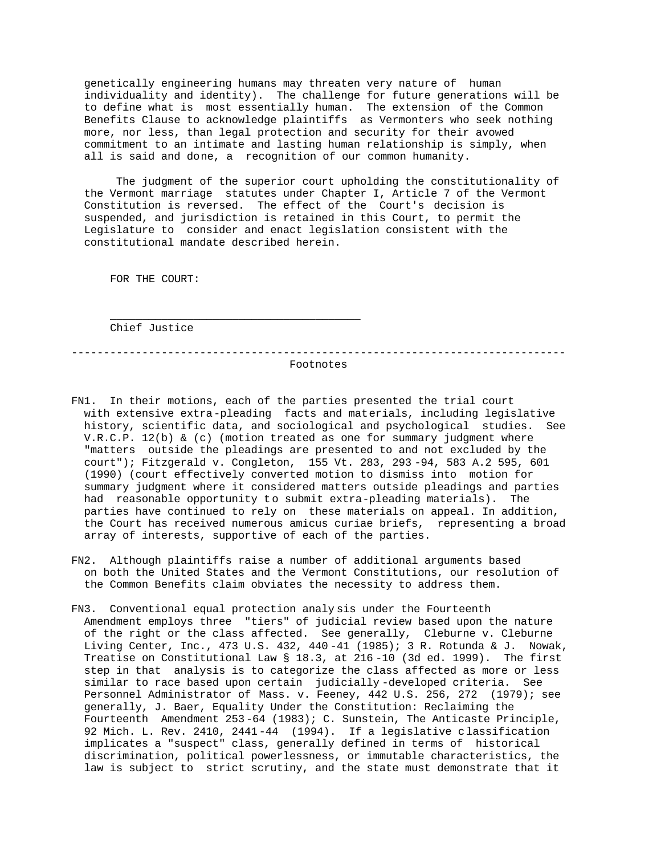genetically engineering humans may threaten very nature of human individuality and identity). The challenge for future generations will be to define what is most essentially human. The extension of the Common Benefits Clause to acknowledge plaintiffs as Vermonters who seek nothing more, nor less, than legal protection and security for their avowed commitment to an intimate and lasting human relationship is simply, when all is said and done, a recognition of our common humanity.

 The judgment of the superior court upholding the constitutionality of the Vermont marriage statutes under Chapter I, Article 7 of the Vermont Constitution is reversed. The effect of the Court's decision is suspended, and jurisdiction is retained in this Court, to permit the Legislature to consider and enact legislation consistent with the constitutional mandate described herein.

FOR THE COURT:

Chief Justice

 $\_$ 

-----------------------------------------------------------------------------

#### Footnotes

- FN1. In their motions, each of the parties presented the trial court with extensive extra-pleading facts and materials, including legislative history, scientific data, and sociological and psychological studies. See V.R.C.P.  $12(b)$  & (c) (motion treated as one for summary judgment where "matters outside the pleadings are presented to and not excluded by the court"); Fitzgerald v. Congleton, 155 Vt. 283, 293 -94, 583 A.2 595, 601 (1990) (court effectively converted motion to dismiss into motion for summary judgment where it considered matters outside pleadings and parties had reasonable opportunity to submit extra-pleading materials). The parties have continued to rely on these materials on appeal. In addition, the Court has received numerous amicus curiae briefs, representing a broad array of interests, supportive of each of the parties.
- FN2. Although plaintiffs raise a number of additional arguments based on both the United States and the Vermont Constitutions, our resolution of the Common Benefits claim obviates the necessity to address them.
- FN3. Conventional equal protection analy sis under the Fourteenth Amendment employs three "tiers" of judicial review based upon the nature of the right or the class affected. See generally, Cleburne v. Cleburne Living Center, Inc., 473 U.S. 432, 440 -41 (1985); 3 R. Rotunda & J. Nowak, Treatise on Constitutional Law § 18.3, at 216 -10 (3d ed. 1999). The first step in that analysis is to categorize the class affected as more or less similar to race based upon certain judicially -developed criteria. See Personnel Administrator of Mass. v. Feeney, 442 U.S. 256, 272 (1979); see generally, J. Baer, Equality Under the Constitution: Reclaiming the Fourteenth Amendment 253-64 (1983); C. Sunstein, The Anticaste Principle, 92 Mich. L. Rev. 2410, 2441-44 (1994). If a legislative c lassification implicates a "suspect" class, generally defined in terms of historical discrimination, political powerlessness, or immutable characteristics, the law is subject to strict scrutiny, and the state must demonstrate that it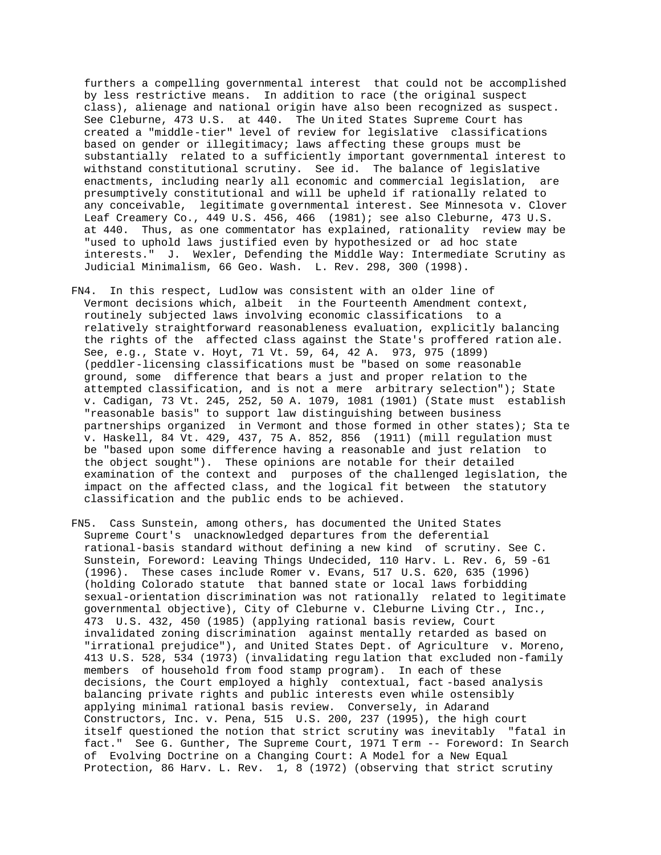furthers a compelling governmental interest that could not be accomplished by less restrictive means. In addition to race (the original suspect class), alienage and national origin have also been recognized as suspect. See Cleburne, 473 U.S. at 440. The Un ited States Supreme Court has created a "middle-tier" level of review for legislative classifications based on gender or illegitimacy; laws affecting these groups must be substantially related to a sufficiently important governmental interest to withstand constitutional scrutiny. See id. The balance of legislative enactments, including nearly all economic and commercial legislation, are presumptively constitutional and will be upheld if rationally related to any conceivable, legitimate g overnmental interest. See Minnesota v. Clover Leaf Creamery Co., 449 U.S. 456, 466 (1981); see also Cleburne, 473 U.S. at 440. Thus, as one commentator has explained, rationality review may be "used to uphold laws justified even by hypothesized or ad hoc state interests." J. Wexler, Defending the Middle Way: Intermediate Scrutiny as Judicial Minimalism, 66 Geo. Wash. L. Rev. 298, 300 (1998).

- FN4. In this respect, Ludlow was consistent with an older line of Vermont decisions which, albeit in the Fourteenth Amendment context, routinely subjected laws involving economic classifications to a relatively straightforward reasonableness evaluation, explicitly balancing the rights of the affected class against the State's proffered ration ale. See, e.g., State v. Hoyt, 71 Vt. 59, 64, 42 A. 973, 975 (1899) (peddler-licensing classifications must be "based on some reasonable ground, some difference that bears a just and proper relation to the attempted classification, and is not a mere arbitrary selection"); State v. Cadigan, 73 Vt. 245, 252, 50 A. 1079, 1081 (1901) (State must establish "reasonable basis" to support law distinguishing between business partnerships organized in Vermont and those formed in other states); Sta te v. Haskell, 84 Vt. 429, 437, 75 A. 852, 856 (1911) (mill regulation must be "based upon some difference having a reasonable and just relation to the object sought"). These opinions are notable for their detailed examination of the context and purposes of the challenged legislation, the impact on the affected class, and the logical fit between the statutory classification and the public ends to be achieved.
- FN5. Cass Sunstein, among others, has documented the United States Supreme Court's unacknowledged departures from the deferential rational-basis standard without defining a new kind of scrutiny. See C. Sunstein, Foreword: Leaving Things Undecided, 110 Harv. L. Rev. 6, 59 -61 (1996). These cases include Romer v. Evans, 517 U.S. 620, 635 (1996) (holding Colorado statute that banned state or local laws forbidding sexual-orientation discrimination was not rationally related to legitimate governmental objective), City of Cleburne v. Cleburne Living Ctr., Inc., 473 U.S. 432, 450 (1985) (applying rational basis review, Court invalidated zoning discrimination against mentally retarded as based on "irrational prejudice"), and United States Dept. of Agriculture v. Moreno, 413 U.S. 528, 534 (1973) (invalidating regu lation that excluded non-family members of household from food stamp program). In each of these decisions, the Court employed a highly contextual, fact -based analysis balancing private rights and public interests even while ostensibly applying minimal rational basis review. Conversely, in Adarand Constructors, Inc. v. Pena, 515 U.S. 200, 237 (1995), the high court itself questioned the notion that strict scrutiny was inevitably "fatal in fact." See G. Gunther, The Supreme Court, 1971 T erm -- Foreword: In Search of Evolving Doctrine on a Changing Court: A Model for a New Equal Protection, 86 Harv. L. Rev. 1, 8 (1972) (observing that strict scrutiny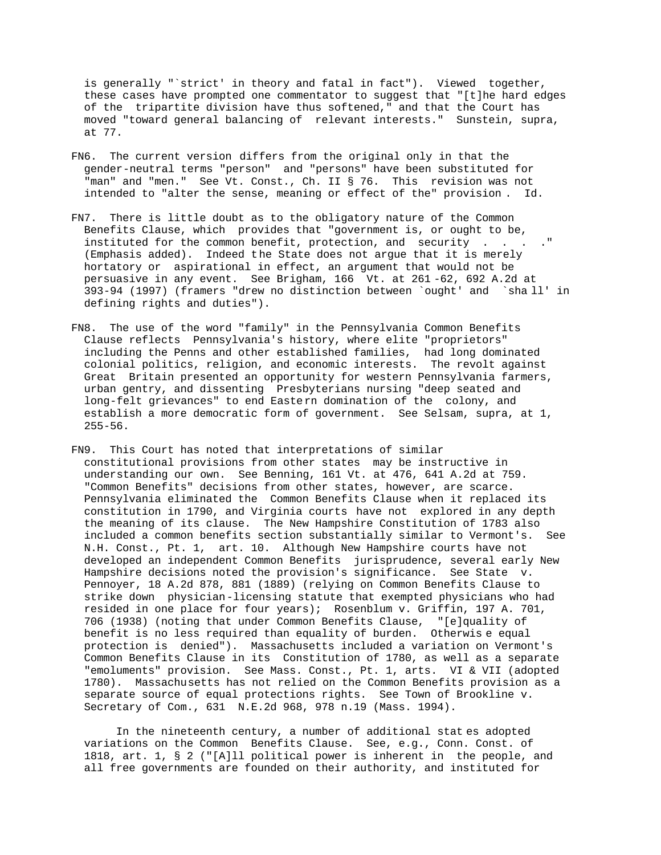is generally "`strict' in theory and fatal in fact"). Viewed together, these cases have prompted one commentator to suggest that "[t]he hard edges of the tripartite division have thus softened," and that the Court has moved "toward general balancing of relevant interests." Sunstein, supra, at 77.

- FN6. The current version differs from the original only in that the gender-neutral terms "person" and "persons" have been substituted for "man" and "men." See Vt. Const., Ch. II § 76. This revision was not intended to "alter the sense, meaning or effect of the" provision . Id.
- FN7. There is little doubt as to the obligatory nature of the Common Benefits Clause, which provides that "government is, or ought to be, instituted for the common benefit, protection, and security . . . . . " (Emphasis added). Indeed the State does not argue that it is merely hortatory or aspirational in effect, an argument that would not be persuasive in any event. See Brigham, 166 Vt. at 261 -62, 692 A.2d at 393-94 (1997) (framers "drew no distinction between `ought' and `sha ll' in defining rights and duties").
- FN8. The use of the word "family" in the Pennsylvania Common Benefits Clause reflects Pennsylvania's history, where elite "proprietors" including the Penns and other established families, had long dominated colonial politics, religion, and economic interests. The revolt against Great Britain presented an opportunity for western Pennsylvania farmers, urban gentry, and dissenting Presbyterians nursing "deep seated and long-felt grievances" to end Eastern domination of the colony, and establish a more democratic form of government. See Selsam, supra, at 1,  $255 - 56$ .
- FN9. This Court has noted that interpretations of similar constitutional provisions from other states may be instructive in understanding our own. See Benning, 161 Vt. at 476, 641 A.2d at 759. "Common Benefits" decisions from other states, however, are scarce. Pennsylvania eliminated the Common Benefits Clause when it replaced its constitution in 1790, and Virginia courts have not explored in any depth the meaning of its clause. The New Hampshire Constitution of 1783 also included a common benefits section substantially similar to Vermont's. See N.H. Const., Pt. 1, art. 10. Although New Hampshire courts have not developed an independent Common Benefits jurisprudence, several early New Hampshire decisions noted the provision's significance. See State v. Pennoyer, 18 A.2d 878, 881 (1889) (relying on Common Benefits Clause to strike down physician-licensing statute that exempted physicians who had resided in one place for four years); Rosenblum v. Griffin, 197 A. 701, 706 (1938) (noting that under Common Benefits Clause, "[e]quality of benefit is no less required than equality of burden. Otherwis e equal protection is denied"). Massachusetts included a variation on Vermont's Common Benefits Clause in its Constitution of 1780, as well as a separate "emoluments" provision. See Mass. Const., Pt. 1, arts. VI & VII (adopted 1780). Massachusetts has not relied on the Common Benefits provision as a separate source of equal protections rights. See Town of Brookline v. Secretary of Com., 631 N.E.2d 968, 978 n.19 (Mass. 1994).

 In the nineteenth century, a number of additional stat es adopted variations on the Common Benefits Clause. See, e.g., Conn. Const. of 1818, art. 1, § 2 ("[A]ll political power is inherent in the people, and all free governments are founded on their authority, and instituted for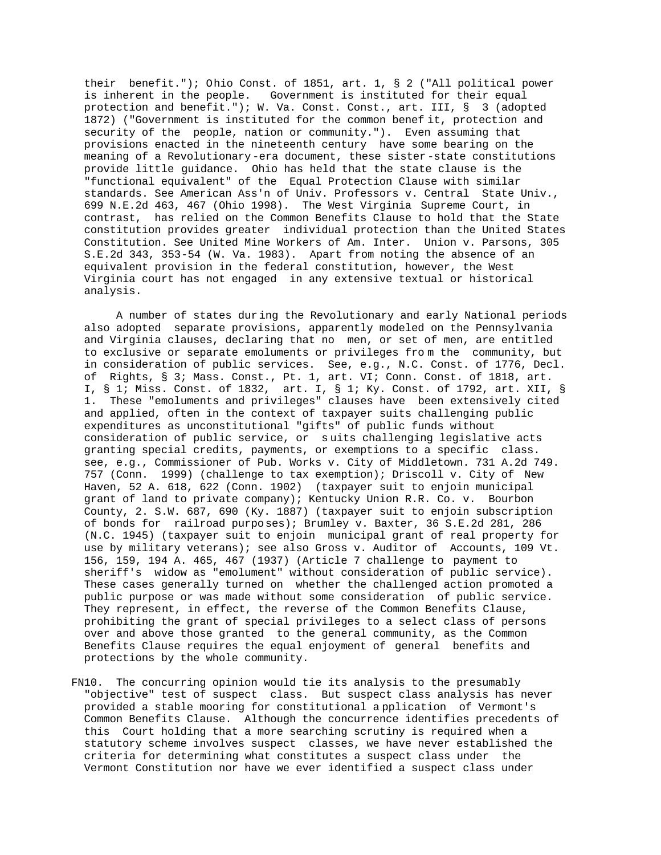their benefit."); Ohio Const. of 1851, art. 1, § 2 ("All political power is inherent in the people. Government is instituted for their equal protection and benefit."); W. Va. Const. Const., art. III, § 3 (adopted 1872) ("Government is instituted for the common benef it, protection and security of the people, nation or community."). Even assuming that provisions enacted in the nineteenth century have some bearing on the meaning of a Revolutionary-era document, these sister-state constitutions provide little guidance. Ohio has held that the state clause is the "functional equivalent" of the Equal Protection Clause with similar standards. See American Ass'n of Univ. Professors v. Central State Univ., 699 N.E.2d 463, 467 (Ohio 1998). The West Virginia Supreme Court, in contrast, has relied on the Common Benefits Clause to hold that the State constitution provides greater individual protection than the United States Constitution. See United Mine Workers of Am. Inter. Union v. Parsons, 305 S.E.2d 343, 353-54 (W. Va. 1983). Apart from noting the absence of an equivalent provision in the federal constitution, however, the West Virginia court has not engaged in any extensive textual or historical analysis.

 A number of states during the Revolutionary and early National periods also adopted separate provisions, apparently modeled on the Pennsylvania and Virginia clauses, declaring that no men, or set of men, are entitled to exclusive or separate emoluments or privileges fro m the community, but in consideration of public services. See, e.g., N.C. Const. of 1776, Decl. of Rights, § 3; Mass. Const., Pt. 1, art. VI; Conn. Const. of 1818, art. I, § 1; Miss. Const. of 1832, art. I, § 1; Ky. Const. of 1792, art. XII, § 1. These "emoluments and privileges" clauses have been extensively cited and applied, often in the context of taxpayer suits challenging public expenditures as unconstitutional "gifts" of public funds without consideration of public service, or s uits challenging legislative acts granting special credits, payments, or exemptions to a specific class. see, e.g., Commissioner of Pub. Works v. City of Middletown. 731 A.2d 749. 757 (Conn. 1999) (challenge to tax exemption); Driscoll v. City of New Haven, 52 A. 618, 622 (Conn. 1902) (taxpayer suit to enjoin municipal grant of land to private company); Kentucky Union R.R. Co. v. Bourbon County, 2. S.W. 687, 690 (Ky. 1887) (taxpayer suit to enjoin subscription of bonds for railroad purposes); Brumley v. Baxter, 36 S.E.2d 281, 286 (N.C. 1945) (taxpayer suit to enjoin municipal grant of real property for use by military veterans); see also Gross v. Auditor of Accounts, 109 Vt. 156, 159, 194 A. 465, 467 (1937) (Article 7 challenge to payment to sheriff's widow as "emolument" without consideration of public service). These cases generally turned on whether the challenged action promoted a public purpose or was made without some consideration of public service. They represent, in effect, the reverse of the Common Benefits Clause, prohibiting the grant of special privileges to a select class of persons over and above those granted to the general community, as the Common Benefits Clause requires the equal enjoyment of general benefits and protections by the whole community.

FN10. The concurring opinion would tie its analysis to the presumably "objective" test of suspect class. But suspect class analysis has never provided a stable mooring for constitutional a pplication of Vermont's Common Benefits Clause. Although the concurrence identifies precedents of this Court holding that a more searching scrutiny is required when a statutory scheme involves suspect classes, we have never established the criteria for determining what constitutes a suspect class under the Vermont Constitution nor have we ever identified a suspect class under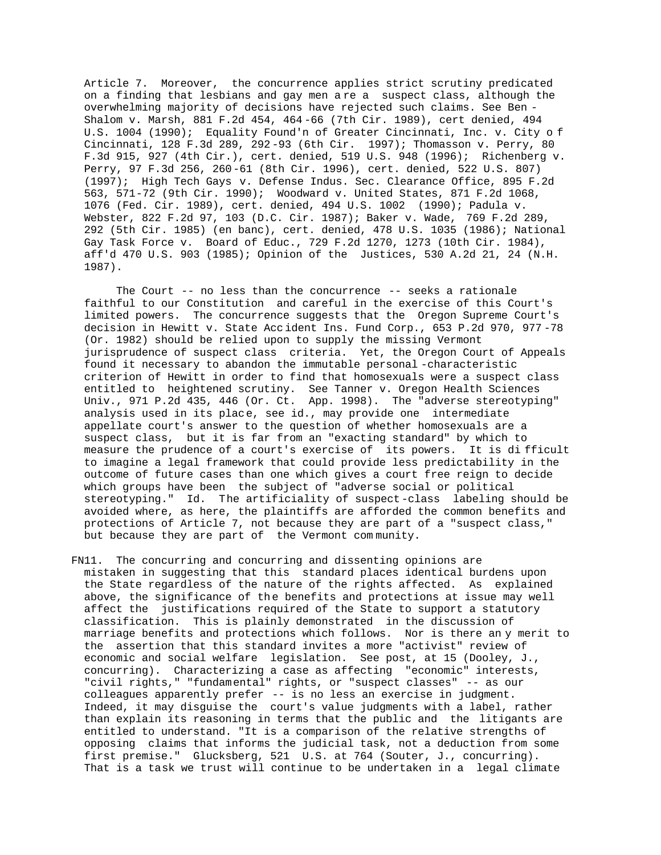Article 7. Moreover, the concurrence applies strict scrutiny predicated on a finding that lesbians and gay men a re a suspect class, although the overwhelming majority of decisions have rejected such claims. See Ben - Shalom v. Marsh, 881 F.2d 454, 464 -66 (7th Cir. 1989), cert denied, 494 U.S. 1004 (1990); Equality Found'n of Greater Cincinnati, Inc. v. City o f Cincinnati, 128 F.3d 289, 292 -93 (6th Cir. 1997); Thomasson v. Perry, 80 F.3d 915, 927 (4th Cir.), cert. denied, 519 U.S. 948 (1996); Richenberg v. Perry, 97 F.3d 256, 260-61 (8th Cir. 1996), cert. denied, 522 U.S. 807) (1997); High Tech Gays v. Defense Indus. Sec. Clearance Office, 895 F.2d 563, 571-72 (9th Cir. 1990); Woodward v. United States, 871 F.2d 1068, 1076 (Fed. Cir. 1989), cert. denied, 494 U.S. 1002 (1990); Padula v. Webster, 822 F.2d 97, 103 (D.C. Cir. 1987); Baker v. Wade, 769 F.2d 289, 292 (5th Cir. 1985) (en banc), cert. denied, 478 U.S. 1035 (1986); National Gay Task Force v. Board of Educ., 729 F.2d 1270, 1273 (10th Cir. 1984), aff'd 470 U.S. 903 (1985); Opinion of the Justices, 530 A.2d 21, 24 (N.H. 1987).

The Court -- no less than the concurrence -- seeks a rationale faithful to our Constitution and careful in the exercise of this Court's limited powers. The concurrence suggests that the Oregon Supreme Court's decision in Hewitt v. State Acc ident Ins. Fund Corp., 653 P.2d 970, 977 -78 (Or. 1982) should be relied upon to supply the missing Vermont jurisprudence of suspect class criteria. Yet, the Oregon Court of Appeals found it necessary to abandon the immutable personal -characteristic criterion of Hewitt in order to find that homosexuals were a suspect class entitled to heightened scrutiny. See Tanner v. Oregon Health Sciences Univ., 971 P.2d 435, 446 (Or. Ct. App. 1998). The "adverse stereotyping" analysis used in its place, see id., may provide one intermediate appellate court's answer to the question of whether homosexuals are a suspect class, but it is far from an "exacting standard" by which to measure the prudence of a court's exercise of its powers. It is di fficult to imagine a legal framework that could provide less predictability in the outcome of future cases than one which gives a court free reign to decide which groups have been the subject of "adverse social or political stereotyping." Id. The artificiality of suspect-class labeling should be avoided where, as here, the plaintiffs are afforded the common benefits and protections of Article 7, not because they are part of a "suspect class," but because they are part of the Vermont com munity.

FN11. The concurring and concurring and dissenting opinions are mistaken in suggesting that this standard places identical burdens upon the State regardless of the nature of the rights affected. As explained above, the significance of the benefits and protections at issue may well affect the justifications required of the State to support a statutory classification. This is plainly demonstrated in the discussion of marriage benefits and protections which follows. Nor is there an y merit to the assertion that this standard invites a more "activist" review of economic and social welfare legislation. See post, at 15 (Dooley, J., concurring). Characterizing a case as affecting "economic" interests, "civil rights," "fundamental" rights, or "suspect classes" -- as our colleagues apparently prefer -- is no less an exercise in judgment. Indeed, it may disguise the court's value judgments with a label, rather than explain its reasoning in terms that the public and the litigants are entitled to understand. "It is a comparison of the relative strengths of opposing claims that informs the judicial task, not a deduction from some first premise." Glucksberg, 521 U.S. at 764 (Souter, J., concurring). That is a task we trust will continue to be undertaken in a legal climate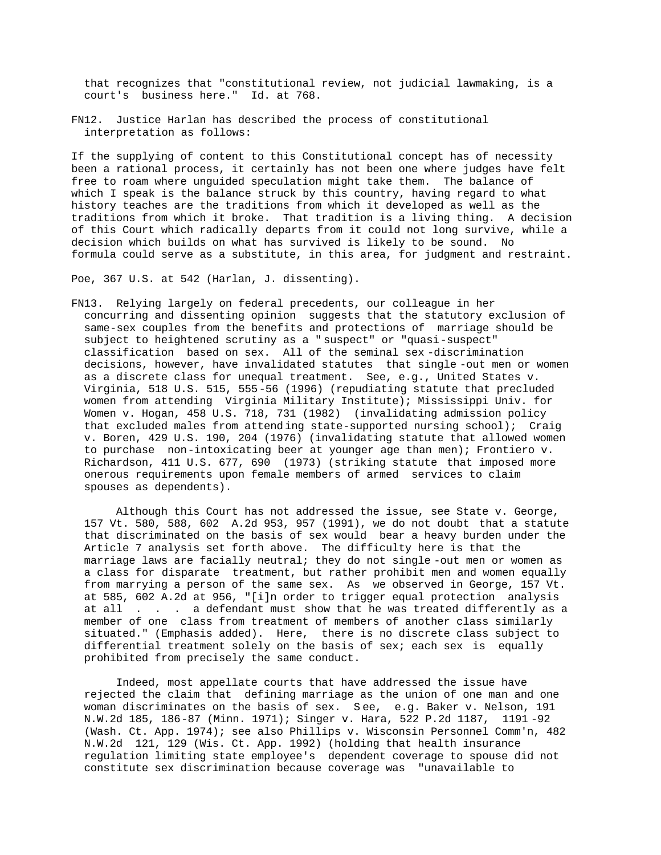that recognizes that "constitutional review, not judicial lawmaking, is a court's business here." Id. at 768.

FN12. Justice Harlan has described the process of constitutional interpretation as follows:

If the supplying of content to this Constitutional concept has of necessity been a rational process, it certainly has not been one where judges have felt free to roam where unguided speculation might take them. The balance of which I speak is the balance struck by this country, having regard to what history teaches are the traditions from which it developed as well as the traditions from which it broke. That tradition is a living thing. A decision of this Court which radically departs from it could not long survive, while a decision which builds on what has survived is likely to be sound. No formula could serve as a substitute, in this area, for judgment and restraint.

Poe, 367 U.S. at 542 (Harlan, J. dissenting).

FN13. Relying largely on federal precedents, our colleague in her concurring and dissenting opinion suggests that the statutory exclusion of same-sex couples from the benefits and protections of marriage should be subject to heightened scrutiny as a " suspect" or "quasi-suspect" classification based on sex. All of the seminal sex -discrimination decisions, however, have invalidated statutes that single -out men or women as a discrete class for unequal treatment. See, e.g., United States v. Virginia, 518 U.S. 515, 555-56 (1996) (repudiating statute that precluded women from attending Virginia Military Institute); Mississippi Univ. for Women v. Hogan, 458 U.S. 718, 731 (1982) (invalidating admission policy that excluded males from attend ing state-supported nursing school); Craig v. Boren, 429 U.S. 190, 204 (1976) (invalidating statute that allowed women to purchase non-intoxicating beer at younger age than men); Frontiero v. Richardson, 411 U.S. 677, 690 (1973) (striking statute that imposed more onerous requirements upon female members of armed services to claim spouses as dependents).

 Although this Court has not addressed the issue, see State v. George, 157 Vt. 580, 588, 602 A.2d 953, 957 (1991), we do not doubt that a statute that discriminated on the basis of sex would bear a heavy burden under the Article 7 analysis set forth above. The difficulty here is that the marriage laws are facially neutral; they do not single -out men or women as a class for disparate treatment, but rather prohibit men and women equally from marrying a person of the same sex. As we observed in George, 157 Vt. at 585, 602 A.2d at 956, "[i]n order to trigger equal protection analysis at all . . . a defendant must show that he was treated differently as a member of one class from treatment of members of another class similarly situated." (Emphasis added). Here, there is no discrete class subject to differential treatment solely on the basis of sex; each sex is equally prohibited from precisely the same conduct.

 Indeed, most appellate courts that have addressed the issue have rejected the claim that defining marriage as the union of one man and one woman discriminates on the basis of sex. S ee, e.g. Baker v. Nelson, 191 N.W.2d 185, 186-87 (Minn. 1971); Singer v. Hara, 522 P.2d 1187, 1191 -92 (Wash. Ct. App. 1974); see also Phillips v. Wisconsin Personnel Comm'n, 482 N.W.2d 121, 129 (Wis. Ct. App. 1992) (holding that health insurance regulation limiting state employee's dependent coverage to spouse did not constitute sex discrimination because coverage was "unavailable to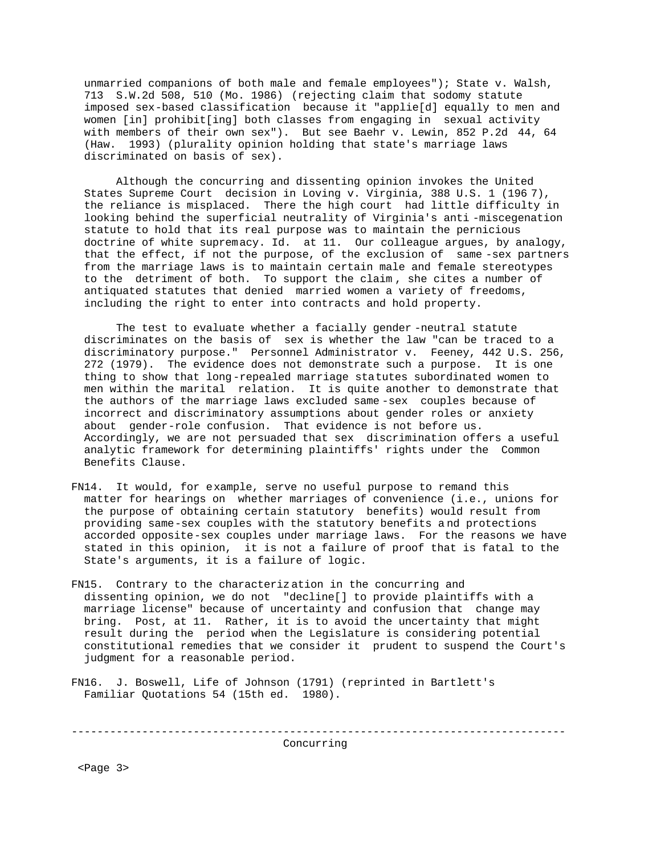unmarried companions of both male and female employees"); State v. Walsh, 713 S.W.2d 508, 510 (Mo. 1986) (rejecting claim that sodomy statute imposed sex-based classification because it "applie[d] equally to men and women [in] prohibit[ing] both classes from engaging in sexual activity with members of their own sex"). But see Baehr v. Lewin, 852 P.2d 44, 64 (Haw. 1993) (plurality opinion holding that state's marriage laws discriminated on basis of sex).

 Although the concurring and dissenting opinion invokes the United States Supreme Court decision in Loving v. Virginia, 388 U.S. 1 (196 7), the reliance is misplaced. There the high court had little difficulty in looking behind the superficial neutrality of Virginia's anti -miscegenation statute to hold that its real purpose was to maintain the pernicious doctrine of white supremacy. Id. at 11. Our colleague argues, by analogy, that the effect, if not the purpose, of the exclusion of same -sex partners from the marriage laws is to maintain certain male and female stereotypes to the detriment of both. To support the claim , she cites a number of antiquated statutes that denied married women a variety of freedoms, including the right to enter into contracts and hold property.

 The test to evaluate whether a facially gender -neutral statute discriminates on the basis of sex is whether the law "can be traced to a discriminatory purpose." Personnel Administrator v. Feeney, 442 U.S. 256, 272 (1979). The evidence does not demonstrate such a purpose. It is one thing to show that long-repealed marriage statutes subordinated women to men within the marital relation. It is quite another to demonstrate that the authors of the marriage laws excluded same -sex couples because of incorrect and discriminatory assumptions about gender roles or anxiety about gender-role confusion. That evidence is not before us. Accordingly, we are not persuaded that sex discrimination offers a useful analytic framework for determining plaintiffs' rights under the Common Benefits Clause.

- FN14. It would, for example, serve no useful purpose to remand this matter for hearings on whether marriages of convenience (i.e., unions for the purpose of obtaining certain statutory benefits) would result from providing same-sex couples with the statutory benefits a nd protections accorded opposite-sex couples under marriage laws. For the reasons we have stated in this opinion, it is not a failure of proof that is fatal to the State's arguments, it is a failure of logic.
- FN15. Contrary to the characteriz ation in the concurring and dissenting opinion, we do not "decline[] to provide plaintiffs with a marriage license" because of uncertainty and confusion that change may bring. Post, at 11. Rather, it is to avoid the uncertainty that might result during the period when the Legislature is considering potential constitutional remedies that we consider it prudent to suspend the Court's judgment for a reasonable period.
- FN16. J. Boswell, Life of Johnson (1791) (reprinted in Bartlett's Familiar Quotations 54 (15th ed. 1980).

Concurring

-----------------------------------------------------------------------------

<Page 3>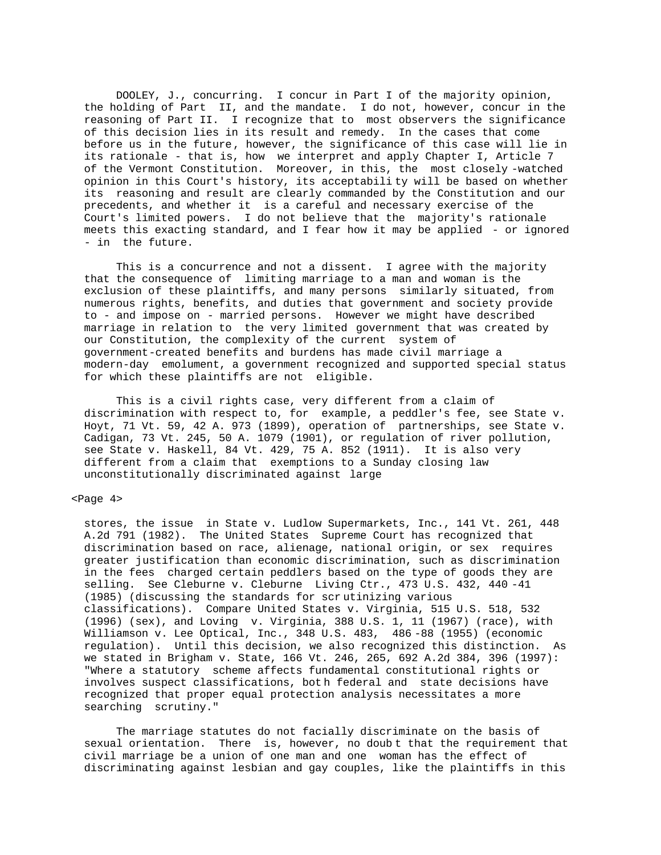DOOLEY, J., concurring. I concur in Part I of the majority opinion, the holding of Part II, and the mandate. I do not, however, concur in the reasoning of Part II. I recognize that to most observers the significance of this decision lies in its result and remedy. In the cases that come before us in the future, however, the significance of this case will lie in its rationale - that is, how we interpret and apply Chapter I, Article 7 of the Vermont Constitution. Moreover, in this, the most closely -watched opinion in this Court's history, its acceptabili ty will be based on whether its reasoning and result are clearly commanded by the Constitution and our precedents, and whether it is a careful and necessary exercise of the Court's limited powers. I do not believe that the majority's rationale meets this exacting standard, and I fear how it may be applied - or ignored - in the future.

 This is a concurrence and not a dissent. I agree with the majority that the consequence of limiting marriage to a man and woman is the exclusion of these plaintiffs, and many persons similarly situated, from numerous rights, benefits, and duties that government and society provide to - and impose on - married persons. However we might have described marriage in relation to the very limited government that was created by our Constitution, the complexity of the current system of government-created benefits and burdens has made civil marriage a modern-day emolument, a government recognized and supported special status for which these plaintiffs are not eligible.

 This is a civil rights case, very different from a claim of discrimination with respect to, for example, a peddler's fee, see State v. Hoyt, 71 Vt. 59, 42 A. 973 (1899), operation of partnerships, see State v. Cadigan, 73 Vt. 245, 50 A. 1079 (1901), or regulation of river pollution, see State v. Haskell, 84 Vt. 429, 75 A. 852 (1911). It is also very different from a claim that exemptions to a Sunday closing law unconstitutionally discriminated against large

## <Page 4>

 stores, the issue in State v. Ludlow Supermarkets, Inc., 141 Vt. 261, 448 A.2d 791 (1982). The United States Supreme Court has recognized that discrimination based on race, alienage, national origin, or sex requires greater justification than economic discrimination, such as discrimination in the fees charged certain peddlers based on the type of goods they are selling. See Cleburne v. Cleburne Living Ctr., 473 U.S. 432, 440 -41 (1985) (discussing the standards for scr utinizing various classifications). Compare United States v. Virginia, 515 U.S. 518, 532 (1996) (sex), and Loving v. Virginia, 388 U.S. 1, 11 (1967) (race), with Williamson v. Lee Optical, Inc., 348 U.S. 483, 486 -88 (1955) (economic regulation). Until this decision, we also recognized this distinction. As we stated in Brigham v. State, 166 Vt. 246, 265, 692 A.2d 384, 396 (1997): "Where a statutory scheme affects fundamental constitutional rights or involves suspect classifications, bot h federal and state decisions have recognized that proper equal protection analysis necessitates a more searching scrutiny."

 The marriage statutes do not facially discriminate on the basis of sexual orientation. There is, however, no doubt that the requirement that civil marriage be a union of one man and one woman has the effect of discriminating against lesbian and gay couples, like the plaintiffs in this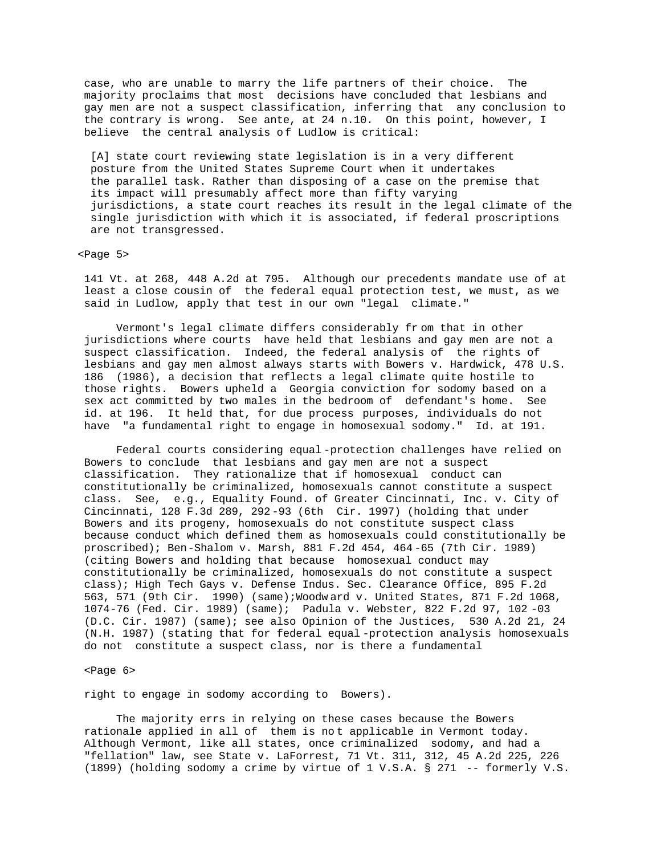case, who are unable to marry the life partners of their choice. The majority proclaims that most decisions have concluded that lesbians and gay men are not a suspect classification, inferring that any conclusion to the contrary is wrong. See ante, at 24 n.10. On this point, however, I believe the central analysis of Ludlow is critical:

 [A] state court reviewing state legislation is in a very different posture from the United States Supreme Court when it undertakes the parallel task. Rather than disposing of a case on the premise that its impact will presumably affect more than fifty varying jurisdictions, a state court reaches its result in the legal climate of the single jurisdiction with which it is associated, if federal proscriptions are not transgressed.

## <Page 5>

 141 Vt. at 268, 448 A.2d at 795. Although our precedents mandate use of at least a close cousin of the federal equal protection test, we must, as we said in Ludlow, apply that test in our own "legal climate."

 Vermont's legal climate differs considerably fr om that in other jurisdictions where courts have held that lesbians and gay men are not a suspect classification. Indeed, the federal analysis of the rights of lesbians and gay men almost always starts with Bowers v. Hardwick, 478 U.S. 186 (1986), a decision that reflects a legal climate quite hostile to those rights. Bowers upheld a Georgia conviction for sodomy based on a sex act committed by two males in the bedroom of defendant's home. See id. at 196. It held that, for due process purposes, individuals do not have "a fundamental right to engage in homosexual sodomy." Id. at 191.

 Federal courts considering equal -protection challenges have relied on Bowers to conclude that lesbians and gay men are not a suspect classification. They rationalize that if homosexual conduct can constitutionally be criminalized, homosexuals cannot constitute a suspect class. See, e.g., Equality Found. of Greater Cincinnati, Inc. v. City of Cincinnati, 128 F.3d 289, 292 -93 (6th Cir. 1997) (holding that under Bowers and its progeny, homosexuals do not constitute suspect class because conduct which defined them as homosexuals could constitutionally be proscribed); Ben-Shalom v. Marsh, 881 F.2d 454, 464 -65 (7th Cir. 1989) (citing Bowers and holding that because homosexual conduct may constitutionally be criminalized, homosexuals do not constitute a suspect class); High Tech Gays v. Defense Indus. Sec. Clearance Office, 895 F.2d 563, 571 (9th Cir. 1990) (same);Woodw ard v. United States, 871 F.2d 1068, 1074-76 (Fed. Cir. 1989) (same); Padula v. Webster, 822 F.2d 97, 102 -03 (D.C. Cir. 1987) (same); see also Opinion of the Justices, 530 A.2d 21, 24 (N.H. 1987) (stating that for federal equal -protection analysis homosexuals do not constitute a suspect class, nor is there a fundamental

# <Page 6>

right to engage in sodomy according to Bowers).

 The majority errs in relying on these cases because the Bowers rationale applied in all of them is not applicable in Vermont today. Although Vermont, like all states, once criminalized sodomy, and had a "fellation" law, see State v. LaForrest, 71 Vt. 311, 312, 45 A.2d 225, 226 (1899) (holding sodomy a crime by virtue of 1 V.S.A. § 271 -- formerly V.S.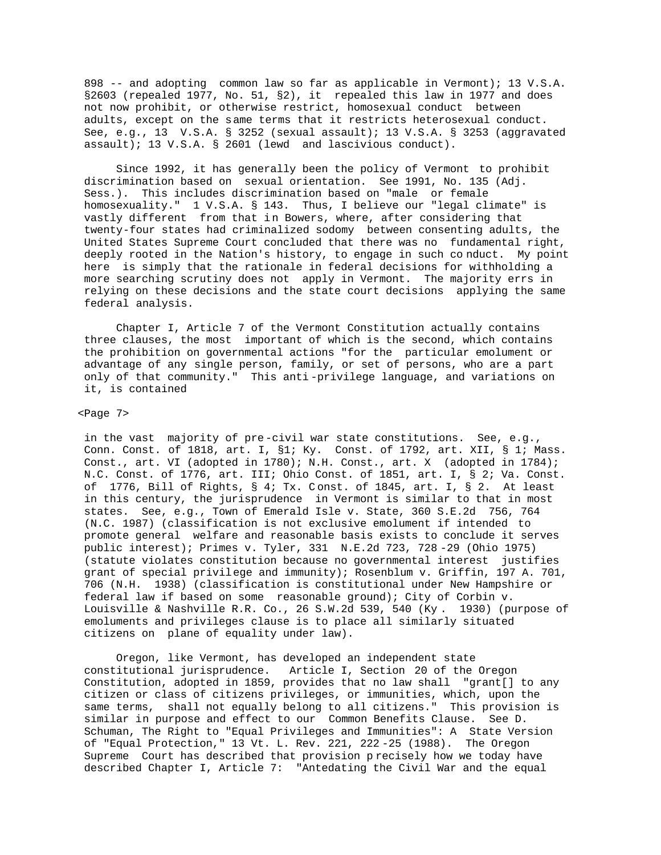898 -- and adopting common law so far as applicable in Vermont); 13 V.S.A. §2603 (repealed 1977, No. 51, §2), it repealed this law in 1977 and does not now prohibit, or otherwise restrict, homosexual conduct between adults, except on the same terms that it restricts heterosexual conduct. See, e.g., 13 V.S.A. § 3252 (sexual assault); 13 V.S.A. § 3253 (aggravated assault); 13 V.S.A. § 2601 (lewd and lascivious conduct).

 Since 1992, it has generally been the policy of Vermont to prohibit discrimination based on sexual orientation. See 1991, No. 135 (Adj. Sess.). This includes discrimination based on "male or female homosexuality." 1 V.S.A. § 143. Thus, I believe our "legal climate" is vastly different from that in Bowers, where, after considering that twenty-four states had criminalized sodomy between consenting adults, the United States Supreme Court concluded that there was no fundamental right, deeply rooted in the Nation's history, to engage in such co nduct. My point here is simply that the rationale in federal decisions for withholding a more searching scrutiny does not apply in Vermont. The majority errs in relying on these decisions and the state court decisions applying the same federal analysis.

 Chapter I, Article 7 of the Vermont Constitution actually contains three clauses, the most important of which is the second, which contains the prohibition on governmental actions "for the particular emolument or advantage of any single person, family, or set of persons, who are a part only of that community." This anti -privilege language, and variations on it, is contained

### <Page 7>

 in the vast majority of pre-civil war state constitutions. See, e.g., Conn. Const. of 1818, art. I, §1; Ky. Const. of 1792, art. XII, § 1; Mass. Const., art. VI (adopted in 1780); N.H. Const., art. X (adopted in 1784); N.C. Const. of 1776, art. III; Ohio Const. of 1851, art. I, § 2; Va. Const. of 1776, Bill of Rights, § 4; Tx. C onst. of 1845, art. I, § 2. At least in this century, the jurisprudence in Vermont is similar to that in most states. See, e.g., Town of Emerald Isle v. State, 360 S.E.2d 756, 764 (N.C. 1987) (classification is not exclusive emolument if intended to promote general welfare and reasonable basis exists to conclude it serves public interest); Primes v. Tyler, 331 N.E.2d 723, 728 -29 (Ohio 1975) (statute violates constitution because no governmental interest justifies grant of special privilege and immunity); Rosenblum v. Griffin, 197 A. 701, 706 (N.H. 1938) (classification is constitutional under New Hampshire or federal law if based on some reasonable ground); City of Corbin v. Louisville & Nashville R.R. Co., 26 S.W.2d 539, 540 (Ky . 1930) (purpose of emoluments and privileges clause is to place all similarly situated citizens on plane of equality under law).

 Oregon, like Vermont, has developed an independent state constitutional jurisprudence. Article I, Section 20 of the Oregon Constitution, adopted in 1859, provides that no law shall "grant[] to any citizen or class of citizens privileges, or immunities, which, upon the same terms, shall not equally belong to all citizens." This provision is similar in purpose and effect to our Common Benefits Clause. See D. Schuman, The Right to "Equal Privileges and Immunities": A State Version of "Equal Protection," 13 Vt. L. Rev. 221, 222 -25 (1988). The Oregon Supreme Court has described that provision p recisely how we today have described Chapter I, Article 7: "Antedating the Civil War and the equal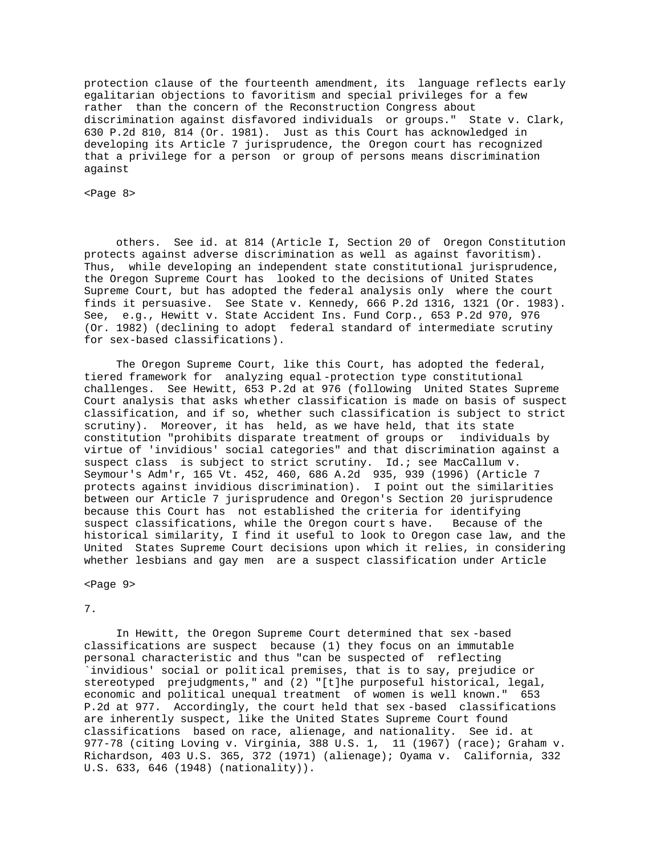protection clause of the fourteenth amendment, its language reflects early egalitarian objections to favoritism and special privileges for a few rather than the concern of the Reconstruction Congress about discrimination against disfavored individuals or groups." State v. Clark, 630 P.2d 810, 814 (Or. 1981). Just as this Court has acknowledged in developing its Article 7 jurisprudence, the Oregon court has recognized that a privilege for a person or group of persons means discrimination against

<Page 8>

 others. See id. at 814 (Article I, Section 20 of Oregon Constitution protects against adverse discrimination as well as against favoritism). Thus, while developing an independent state constitutional jurisprudence, the Oregon Supreme Court has looked to the decisions of United States Supreme Court, but has adopted the federal analysis only where the court finds it persuasive. See State v. Kennedy, 666 P.2d 1316, 1321 (Or. 1983). See, e.g., Hewitt v. State Accident Ins. Fund Corp., 653 P.2d 970, 976 (Or. 1982) (declining to adopt federal standard of intermediate scrutiny for sex-based classifications).

 The Oregon Supreme Court, like this Court, has adopted the federal, tiered framework for analyzing equal -protection type constitutional challenges. See Hewitt, 653 P.2d at 976 (following United States Supreme Court analysis that asks whether classification is made on basis of suspect classification, and if so, whether such classification is subject to strict scrutiny). Moreover, it has held, as we have held, that its state constitution "prohibits disparate treatment of groups or individuals by virtue of 'invidious' social categories" and that discrimination against a suspect class is subject to strict scrutiny. Id.; see MacCallum v. Seymour's Adm'r, 165 Vt. 452, 460, 686 A.2d 935, 939 (1996) (Article 7 protects against invidious discrimination). I point out the similarities between our Article 7 jurisprudence and Oregon's Section 20 jurisprudence because this Court has not established the criteria for identifying suspect classifications, while the Oregon court s have. Because of the historical similarity, I find it useful to look to Oregon case law, and the United States Supreme Court decisions upon which it relies, in considering whether lesbians and gay men are a suspect classification under Article

<Page 9>

7.

 In Hewitt, the Oregon Supreme Court determined that sex -based classifications are suspect because (1) they focus on an immutable personal characteristic and thus "can be suspected of reflecting `invidious' social or political premises, that is to say, prejudice or stereotyped prejudgments," and (2) "[t]he purposeful historical, legal, economic and political unequal treatment of women is well known." 653 P.2d at 977. Accordingly, the court held that sex -based classifications are inherently suspect, like the United States Supreme Court found classifications based on race, alienage, and nationality. See id. at 977-78 (citing Loving v. Virginia, 388 U.S. 1, 11 (1967) (race); Graham v. Richardson, 403 U.S. 365, 372 (1971) (alienage); Oyama v. California, 332 U.S. 633, 646 (1948) (nationality)).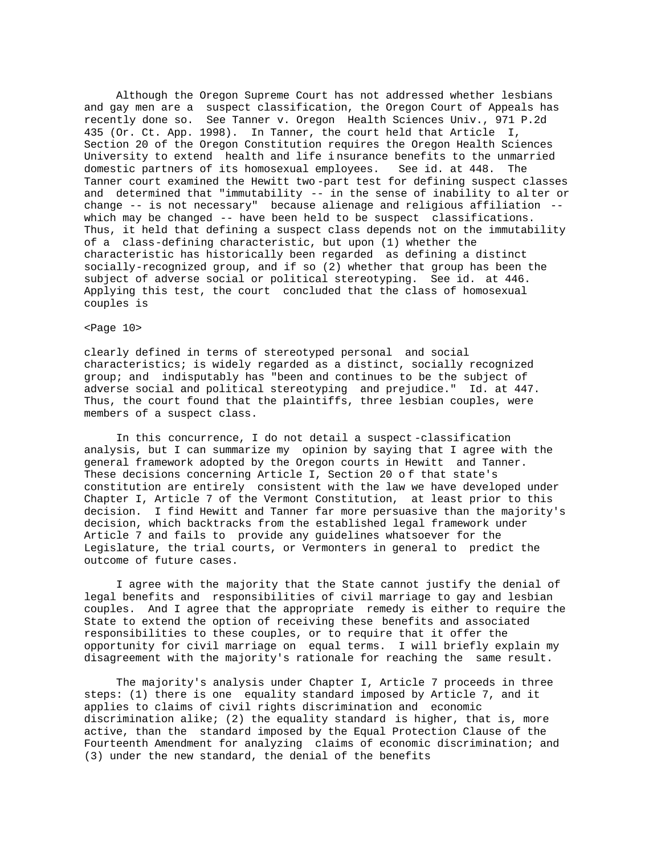Although the Oregon Supreme Court has not addressed whether lesbians and gay men are a suspect classification, the Oregon Court of Appeals has recently done so. See Tanner v. Oregon Health Sciences Univ., 971 P.2d 435 (Or. Ct. App. 1998). In Tanner, the court held that Article I, Section 20 of the Oregon Constitution requires the Oregon Health Sciences University to extend health and life i nsurance benefits to the unmarried domestic partners of its homosexual employees. See id. at 448. The Tanner court examined the Hewitt two -part test for defining suspect classes and determined that "immutability -- in the sense of inability to al ter or change -- is not necessary" because alienage and religious affiliation - which may be changed -- have been held to be suspect classifications. Thus, it held that defining a suspect class depends not on the immutability of a class-defining characteristic, but upon (1) whether the characteristic has historically been regarded as defining a distinct socially-recognized group, and if so (2) whether that group has been the subject of adverse social or political stereotyping. See id. at 446. Applying this test, the court concluded that the class of homosexual couples is

## <Page 10>

 clearly defined in terms of stereotyped personal and social characteristics; is widely regarded as a distinct, socially recognized group; and indisputably has "been and continues to be the subject of adverse social and political stereotyping and prejudice." Id. at 447. Thus, the court found that the plaintiffs, three lesbian couples, were members of a suspect class.

 In this concurrence, I do not detail a suspect -classification analysis, but I can summarize my opinion by saying that I agree with the general framework adopted by the Oregon courts in Hewitt and Tanner. These decisions concerning Article I, Section 20 of that state's constitution are entirely consistent with the law we have developed under Chapter I, Article 7 of the Vermont Constitution, at least prior to this decision. I find Hewitt and Tanner far more persuasive than the majority's decision, which backtracks from the established legal framework under Article 7 and fails to provide any guidelines whatsoever for the Legislature, the trial courts, or Vermonters in general to predict the outcome of future cases.

 I agree with the majority that the State cannot justify the denial of legal benefits and responsibilities of civil marriage to gay and lesbian couples. And I agree that the appropriate remedy is either to require the State to extend the option of receiving these benefits and associated responsibilities to these couples, or to require that it offer the opportunity for civil marriage on equal terms. I will briefly explain my disagreement with the majority's rationale for reaching the same result.

 The majority's analysis under Chapter I, Article 7 proceeds in three steps: (1) there is one equality standard imposed by Article 7, and it applies to claims of civil rights discrimination and economic discrimination alike; (2) the equality standard is higher, that is, more active, than the standard imposed by the Equal Protection Clause of the Fourteenth Amendment for analyzing claims of economic discrimination; and (3) under the new standard, the denial of the benefits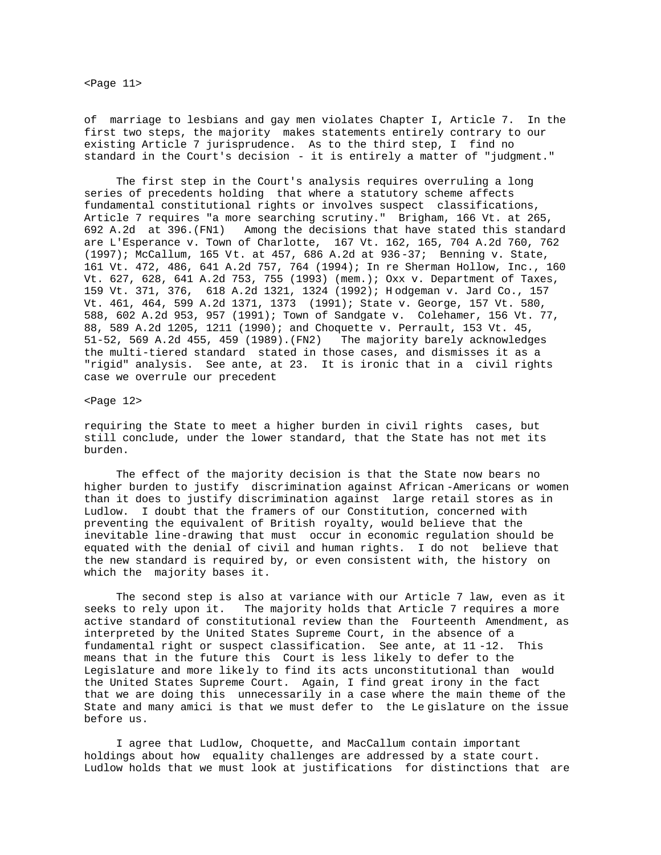<Page 11>

 of marriage to lesbians and gay men violates Chapter I, Article 7. In the first two steps, the majority makes statements entirely contrary to our existing Article 7 jurisprudence. As to the third step, I find no standard in the Court's decision - it is entirely a matter of "judgment."

 The first step in the Court's analysis requires overruling a long series of precedents holding that where a statutory scheme affects fundamental constitutional rights or involves suspect classifications, Article 7 requires "a more searching scrutiny." Brigham, 166 Vt. at 265, 692 A.2d at 396.(FN1) Among the decisions that have stated this standard are L'Esperance v. Town of Charlotte, 167 Vt. 162, 165, 704 A.2d 760, 762 (1997); McCallum, 165 Vt. at 457, 686 A.2d at 936-37; Benning v. State, 161 Vt. 472, 486, 641 A.2d 757, 764 (1994); In re Sherman Hollow, Inc., 160 Vt. 627, 628, 641 A.2d 753, 755 (1993) (mem.); Oxx v. Department of Taxes, 159 Vt. 371, 376, 618 A.2d 1321, 1324 (1992); H odgeman v. Jard Co., 157 Vt. 461, 464, 599 A.2d 1371, 1373 (1991); State v. George, 157 Vt. 580, 588, 602 A.2d 953, 957 (1991); Town of Sandgate v. Colehamer, 156 Vt. 77, 88, 589 A.2d 1205, 1211 (1990); and Choquette v. Perrault, 153 Vt. 45, 51-52, 569 A.2d 455, 459 (1989).(FN2) The majority barely acknowledges the multi-tiered standard stated in those cases, and dismisses it as a "rigid" analysis. See ante, at 23. It is ironic that in a civil rights case we overrule our precedent

<Page 12>

 requiring the State to meet a higher burden in civil rights cases, but still conclude, under the lower standard, that the State has not met its burden.

 The effect of the majority decision is that the State now bears no higher burden to justify discrimination against African -Americans or women than it does to justify discrimination against large retail stores as in Ludlow. I doubt that the framers of our Constitution, concerned with preventing the equivalent of British royalty, would believe that the inevitable line-drawing that must occur in economic regulation should be equated with the denial of civil and human rights. I do not believe that the new standard is required by, or even consistent with, the history on which the majority bases it.

 The second step is also at variance with our Article 7 law, even as it seeks to rely upon it. The majority holds that Article 7 requires a more active standard of constitutional review than the Fourteenth Amendment, as interpreted by the United States Supreme Court, in the absence of a fundamental right or suspect classification. See ante, at 11 -12. This means that in the future this Court is less likely to defer to the Legislature and more likely to find its acts unconstitutional than would the United States Supreme Court. Again, I find great irony in the fact that we are doing this unnecessarily in a case where the main theme of the State and many amici is that we must defer to the Le gislature on the issue before us.

 I agree that Ludlow, Choquette, and MacCallum contain important holdings about how equality challenges are addressed by a state court. Ludlow holds that we must look at justifications for distinctions that are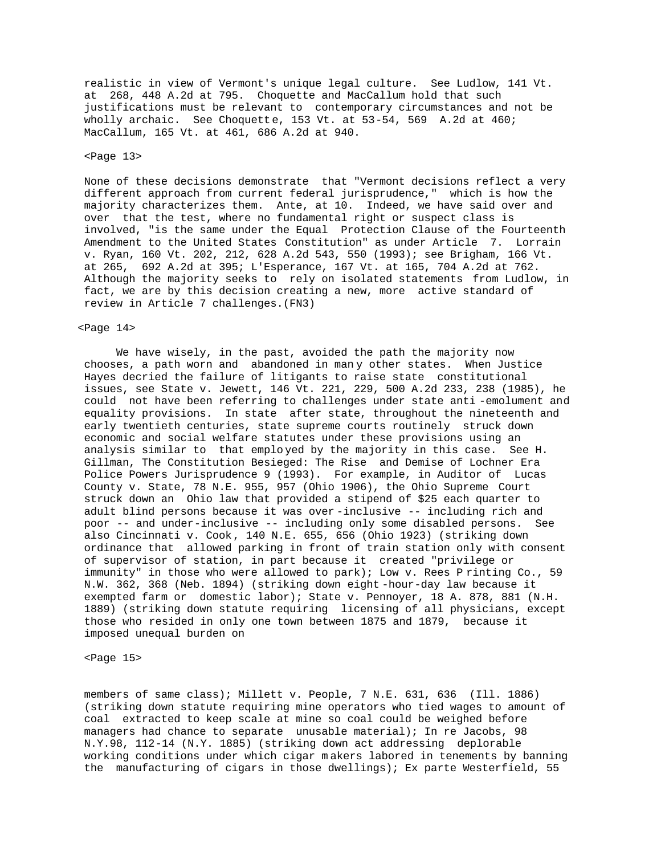realistic in view of Vermont's unique legal culture. See Ludlow, 141 Vt. at 268, 448 A.2d at 795. Choquette and MacCallum hold that such justifications must be relevant to contemporary circumstances and not be wholly archaic. See Choquette,  $153 \text{ Vt}$ . at  $53-54$ ,  $569$  A.2d at  $460i$ MacCallum, 165 Vt. at 461, 686 A.2d at 940.

#### <Page 13>

 None of these decisions demonstrate that "Vermont decisions reflect a very different approach from current federal jurisprudence," which is how the majority characterizes them. Ante, at 10. Indeed, we have said over and over that the test, where no fundamental right or suspect class is involved, "is the same under the Equal Protection Clause of the Fourteenth Amendment to the United States Constitution" as under Article 7. Lorrain v. Ryan, 160 Vt. 202, 212, 628 A.2d 543, 550 (1993); see Brigham, 166 Vt. at 265, 692 A.2d at 395; L'Esperance, 167 Vt. at 165, 704 A.2d at 762. Although the majority seeks to rely on isolated statements from Ludlow, in fact, we are by this decision creating a new, more active standard of review in Article 7 challenges.(FN3)

## <Page 14>

 We have wisely, in the past, avoided the path the majority now chooses, a path worn and abandoned in man y other states. When Justice Hayes decried the failure of litigants to raise state constitutional issues, see State v. Jewett, 146 Vt. 221, 229, 500 A.2d 233, 238 (1985), he could not have been referring to challenges under state anti -emolument and equality provisions. In state after state, throughout the nineteenth and early twentieth centuries, state supreme courts routinely struck down economic and social welfare statutes under these provisions using an analysis similar to that emplo yed by the majority in this case. See H. Gillman, The Constitution Besieged: The Rise and Demise of Lochner Era Police Powers Jurisprudence 9 (1993). For example, in Auditor of Lucas County v. State, 78 N.E. 955, 957 (Ohio 1906), the Ohio Supreme Court struck down an Ohio law that provided a stipend of \$25 each quarter to adult blind persons because it was over -inclusive -- including rich and poor -- and under-inclusive -- including only some disabled persons. See also Cincinnati v. Cook, 140 N.E. 655, 656 (Ohio 1923) (striking down ordinance that allowed parking in front of train station only with consent of supervisor of station, in part because it created "privilege or immunity" in those who were allowed to park); Low v. Rees P rinting Co., 59 N.W. 362, 368 (Neb. 1894) (striking down eight -hour-day law because it exempted farm or domestic labor); State v. Pennoyer, 18 A. 878, 881 (N.H. 1889) (striking down statute requiring licensing of all physicians, except those who resided in only one town between 1875 and 1879, because it imposed unequal burden on

<Page 15>

 members of same class); Millett v. People, 7 N.E. 631, 636 (Ill. 1886) (striking down statute requiring mine operators who tied wages to amount of coal extracted to keep scale at mine so coal could be weighed before managers had chance to separate unusable material); In re Jacobs, 98 N.Y.98, 112-14 (N.Y. 1885) (striking down act addressing deplorable working conditions under which cigar m akers labored in tenements by banning the manufacturing of cigars in those dwellings); Ex parte Westerfield, 55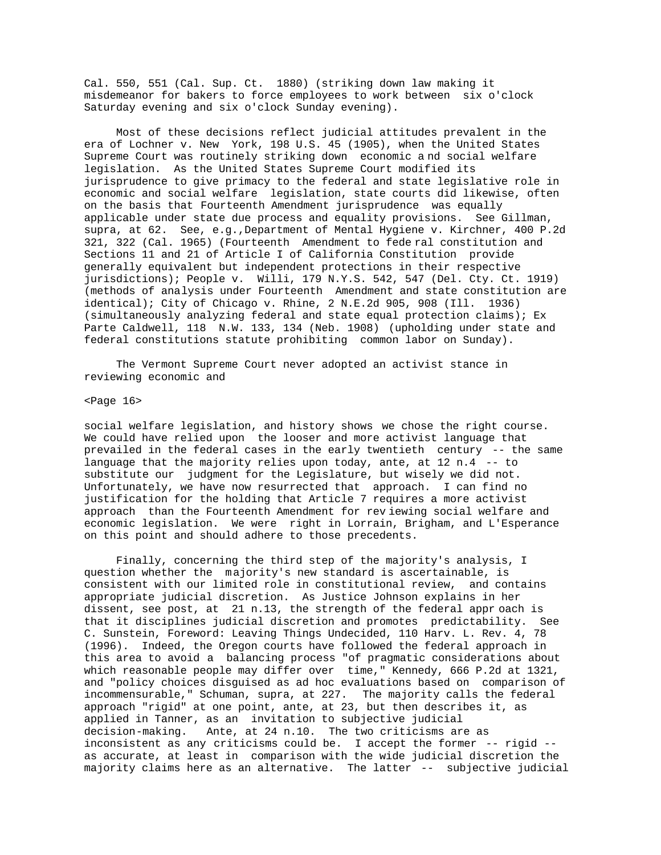Cal. 550, 551 (Cal. Sup. Ct. 1880) (striking down law making it misdemeanor for bakers to force employees to work between six o'clock Saturday evening and six o'clock Sunday evening).

 Most of these decisions reflect judicial attitudes prevalent in the era of Lochner v. New York, 198 U.S. 45 (1905), when the United States Supreme Court was routinely striking down economic a nd social welfare legislation. As the United States Supreme Court modified its jurisprudence to give primacy to the federal and state legislative role in economic and social welfare legislation, state courts did likewise, often on the basis that Fourteenth Amendment jurisprudence was equally applicable under state due process and equality provisions. See Gillman, supra, at 62. See, e.g.,Department of Mental Hygiene v. Kirchner, 400 P.2d 321, 322 (Cal. 1965) (Fourteenth Amendment to fede ral constitution and Sections 11 and 21 of Article I of California Constitution provide generally equivalent but independent protections in their respective jurisdictions); People v. Willi, 179 N.Y.S. 542, 547 (Del. Cty. Ct. 1919) (methods of analysis under Fourteenth Amendment and state constitution are identical); City of Chicago v. Rhine, 2 N.E.2d 905, 908 (Ill. 1936) (simultaneously analyzing federal and state equal protection claims); Ex Parte Caldwell, 118 N.W. 133, 134 (Neb. 1908) (upholding under state and federal constitutions statute prohibiting common labor on Sunday).

 The Vermont Supreme Court never adopted an activist stance in reviewing economic and

#### <Page 16>

 social welfare legislation, and history shows we chose the right course. We could have relied upon the looser and more activist language that prevailed in the federal cases in the early twentieth century -- the same language that the majority relies upon today, ante, at 12 n.4 -- to substitute our judgment for the Legislature, but wisely we did not. Unfortunately, we have now resurrected that approach. I can find no justification for the holding that Article 7 requires a more activist approach than the Fourteenth Amendment for rev iewing social welfare and economic legislation. We were right in Lorrain, Brigham, and L'Esperance on this point and should adhere to those precedents.

 Finally, concerning the third step of the majority's analysis, I question whether the majority's new standard is ascertainable, is consistent with our limited role in constitutional review, and contains appropriate judicial discretion. As Justice Johnson explains in her dissent, see post, at 21 n.13, the strength of the federal appr oach is that it disciplines judicial discretion and promotes predictability. See C. Sunstein, Foreword: Leaving Things Undecided, 110 Harv. L. Rev. 4, 78 (1996). Indeed, the Oregon courts have followed the federal approach in this area to avoid a balancing process "of pragmatic considerations about which reasonable people may differ over time," Kennedy, 666 P.2d at 1321, and "policy choices disguised as ad hoc evaluations based on comparison of incommensurable," Schuman, supra, at 227. The majority calls the federal approach "rigid" at one point, ante, at 23, but then describes it, as applied in Tanner, as an invitation to subjective judicial decision-making. Ante, at 24 n.10. The two criticisms are as inconsistent as any criticisms could be. I accept the former -- rigid - as accurate, at least in comparison with the wide judicial discretion the majority claims here as an alternative. The latter -- subjective judicial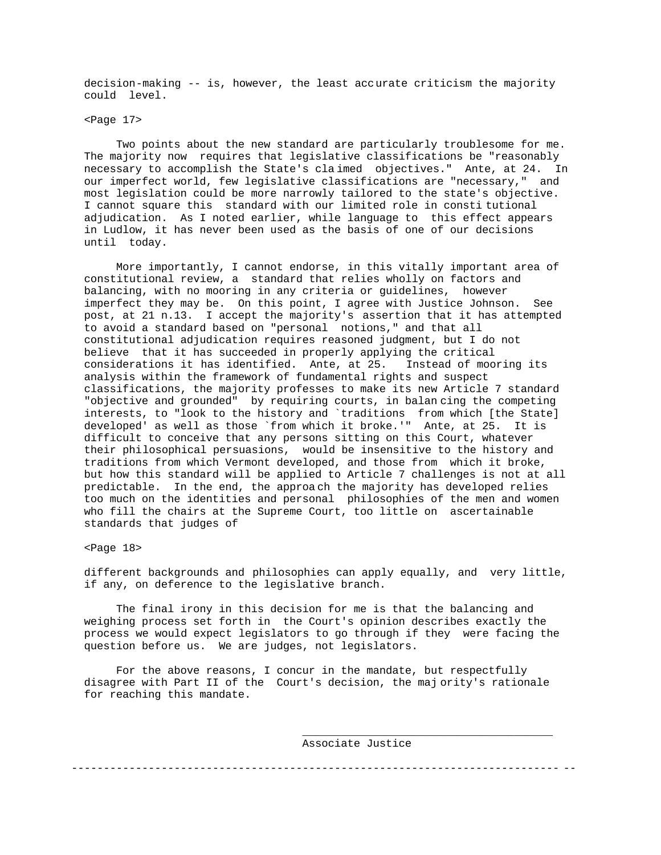decision-making -- is, however, the least accurate criticism the majority could level.

<Page 17>

 Two points about the new standard are particularly troublesome for me. The majority now requires that legislative classifications be "reasonably necessary to accomplish the State's cla imed objectives." Ante, at 24. In our imperfect world, few legislative classifications are "necessary," and most legislation could be more narrowly tailored to the state's objective. I cannot square this standard with our limited role in consti tutional adjudication. As I noted earlier, while language to this effect appears in Ludlow, it has never been used as the basis of one of our decisions until today.

 More importantly, I cannot endorse, in this vitally important area of constitutional review, a standard that relies wholly on factors and balancing, with no mooring in any criteria or guidelines, however imperfect they may be. On this point, I agree with Justice Johnson. See post, at 21 n.13. I accept the majority's assertion that it has attempted to avoid a standard based on "personal notions," and that all constitutional adjudication requires reasoned judgment, but I do not believe that it has succeeded in properly applying the critical considerations it has identified. Ante, at 25. Instead of mooring its analysis within the framework of fundamental rights and suspect classifications, the majority professes to make its new Article 7 standard "objective and grounded" by requiring courts, in balan cing the competing interests, to "look to the history and `traditions from which [the State] developed' as well as those `from which it broke.'" Ante, at 25. It is difficult to conceive that any persons sitting on this Court, whatever their philosophical persuasions, would be insensitive to the history and traditions from which Vermont developed, and those from which it broke, but how this standard will be applied to Article 7 challenges is not at all predictable. In the end, the approa ch the majority has developed relies too much on the identities and personal philosophies of the men and women who fill the chairs at the Supreme Court, too little on ascertainable standards that judges of

<Page 18>

 different backgrounds and philosophies can apply equally, and very little, if any, on deference to the legislative branch.

 The final irony in this decision for me is that the balancing and weighing process set forth in the Court's opinion describes exactly the process we would expect legislators to go through if they were facing the question before us. We are judges, not legislators.

For the above reasons, I concur in the mandate, but respectfully disagree with Part II of the Court's decision, the maj ority's rationale for reaching this mandate.

 $\overline{\phantom{a}}$  , and the state of the state of the state of the state of the state of the state of the state of the state of the state of the state of the state of the state of the state of the state of the state of the stat

---------------------------------------------------------------------------- --

Associate Justice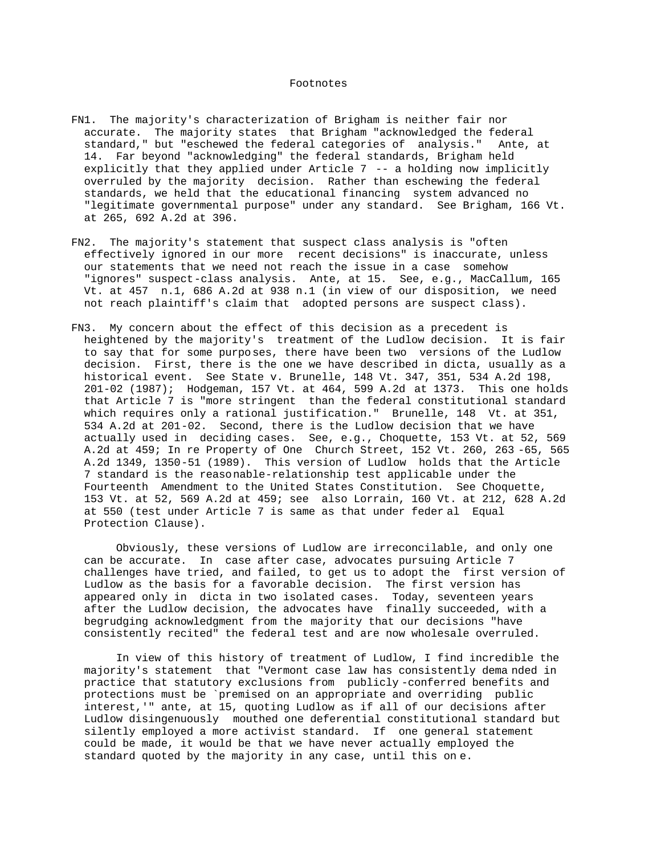# Footnotes

- FN1. The majority's characterization of Brigham is neither fair nor accurate. The majority states that Brigham "acknowledged the federal standard," but "eschewed the federal categories of analysis." Ante, at 14. Far beyond "acknowledging" the federal standards, Brigham held explicitly that they applied under Article 7 -- a holding now implicitly overruled by the majority decision. Rather than eschewing the federal standards, we held that the educational financing system advanced no "legitimate governmental purpose" under any standard. See Brigham, 166 Vt. at 265, 692 A.2d at 396.
- FN2. The majority's statement that suspect class analysis is "often effectively ignored in our more recent decisions" is inaccurate, unless our statements that we need not reach the issue in a case somehow "ignores" suspect-class analysis. Ante, at 15. See, e.g., MacCallum, 165 Vt. at 457 n.1, 686 A.2d at 938 n.1 (in view of our disposition, we need not reach plaintiff's claim that adopted persons are suspect class).
- FN3. My concern about the effect of this decision as a precedent is heightened by the majority's treatment of the Ludlow decision. It is fair to say that for some purposes, there have been two versions of the Ludlow decision. First, there is the one we have described in dicta, usually as a historical event. See State v. Brunelle, 148 Vt. 347, 351, 534 A.2d 198, 201-02 (1987); Hodgeman, 157 Vt. at 464, 599 A.2d at 1373. This one holds that Article 7 is "more stringent than the federal constitutional standard which requires only a rational justification." Brunelle, 148 Vt. at 351, 534 A.2d at 201-02. Second, there is the Ludlow decision that we have actually used in deciding cases. See, e.g., Choquette, 153 Vt. at 52, 569 A.2d at 459; In re Property of One Church Street, 152 Vt. 260, 263 -65, 565 A.2d 1349, 1350-51 (1989). This version of Ludlow holds that the Article 7 standard is the reasonable-relationship test applicable under the Fourteenth Amendment to the United States Constitution. See Choquette, 153 Vt. at 52, 569 A.2d at 459; see also Lorrain, 160 Vt. at 212, 628 A.2d at 550 (test under Article 7 is same as that under feder al Equal Protection Clause).

 Obviously, these versions of Ludlow are irreconcilable, and only one can be accurate. In case after case, advocates pursuing Article 7 challenges have tried, and failed, to get us to adopt the first version of Ludlow as the basis for a favorable decision. The first version has appeared only in dicta in two isolated cases. Today, seventeen years after the Ludlow decision, the advocates have finally succeeded, with a begrudging acknowledgment from the majority that our decisions "have consistently recited" the federal test and are now wholesale overruled.

 In view of this history of treatment of Ludlow, I find incredible the majority's statement that "Vermont case law has consistently dema nded in practice that statutory exclusions from publicly -conferred benefits and protections must be `premised on an appropriate and overriding public interest,'" ante, at 15, quoting Ludlow as if all of our decisions after Ludlow disingenuously mouthed one deferential constitutional standard but silently employed a more activist standard. If one general statement could be made, it would be that we have never actually employed the standard quoted by the majority in any case, until this on e.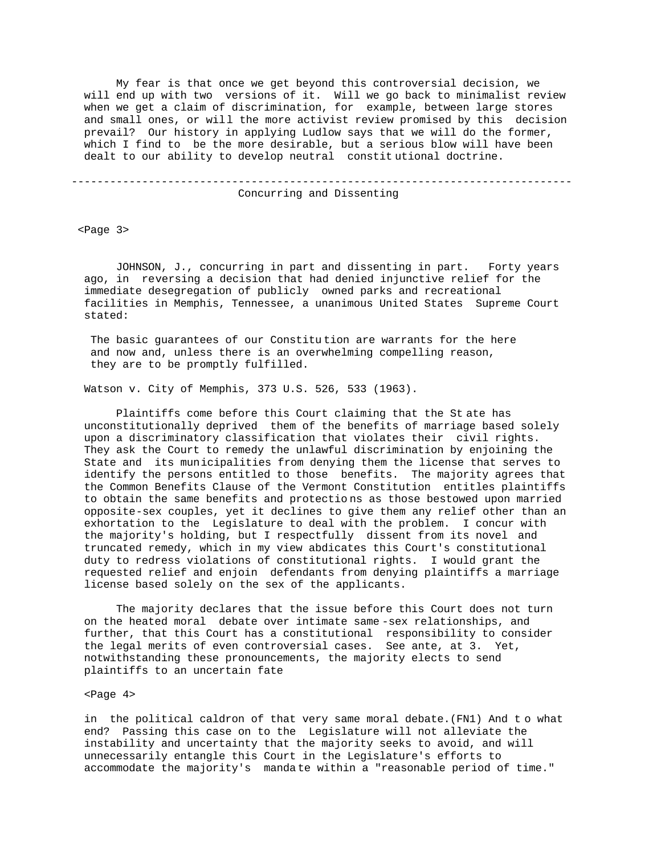My fear is that once we get beyond this controversial decision, we will end up with two versions of it. Will we go back to minimalist review when we get a claim of discrimination, for example, between large stores and small ones, or will the more activist review promised by this decision prevail? Our history in applying Ludlow says that we will do the former, which I find to be the more desirable, but a serious blow will have been dealt to our ability to develop neutral constit utional doctrine.

------------------------------------------------------------------------------ Concurring and Dissenting

<Page 3>

 JOHNSON, J., concurring in part and dissenting in part. Forty years ago, in reversing a decision that had denied injunctive relief for the immediate desegregation of publicly owned parks and recreational facilities in Memphis, Tennessee, a unanimous United States Supreme Court stated:

 The basic guarantees of our Constitu tion are warrants for the here and now and, unless there is an overwhelming compelling reason, they are to be promptly fulfilled.

Watson v. City of Memphis, 373 U.S. 526, 533 (1963).

 Plaintiffs come before this Court claiming that the St ate has unconstitutionally deprived them of the benefits of marriage based solely upon a discriminatory classification that violates their civil rights. They ask the Court to remedy the unlawful discrimination by enjoining the State and its municipalities from denying them the license that serves to identify the persons entitled to those benefits. The majority agrees that the Common Benefits Clause of the Vermont Constitution entitles plaintiffs to obtain the same benefits and protectio ns as those bestowed upon married opposite-sex couples, yet it declines to give them any relief other than an exhortation to the Legislature to deal with the problem. I concur with the majority's holding, but I respectfully dissent from its novel and truncated remedy, which in my view abdicates this Court's constitutional duty to redress violations of constitutional rights. I would grant the requested relief and enjoin defendants from denying plaintiffs a marriage license based solely on the sex of the applicants.

 The majority declares that the issue before this Court does not turn on the heated moral debate over intimate same -sex relationships, and further, that this Court has a constitutional responsibility to consider the legal merits of even controversial cases. See ante, at 3. Yet, notwithstanding these pronouncements, the majority elects to send plaintiffs to an uncertain fate

# <Page 4>

 in the political caldron of that very same moral debate.(FN1) And t o what end? Passing this case on to the Legislature will not alleviate the instability and uncertainty that the majority seeks to avoid, and will unnecessarily entangle this Court in the Legislature's efforts to accommodate the majority's manda te within a "reasonable period of time."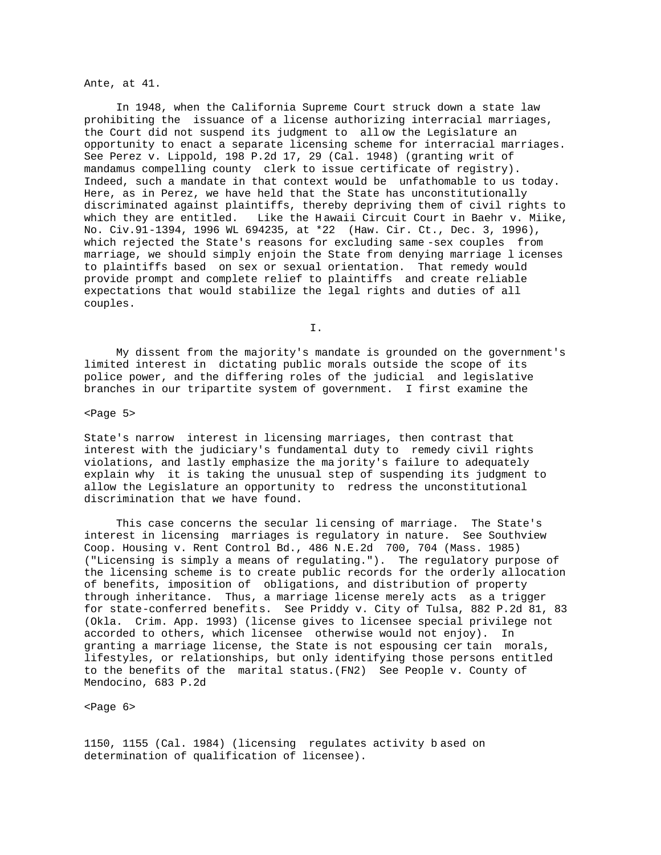# Ante, at 41.

 In 1948, when the California Supreme Court struck down a state law prohibiting the issuance of a license authorizing interracial marriages, the Court did not suspend its judgment to all ow the Legislature an opportunity to enact a separate licensing scheme for interracial marriages. See Perez v. Lippold, 198 P.2d 17, 29 (Cal. 1948) (granting writ of mandamus compelling county clerk to issue certificate of registry). Indeed, such a mandate in that context would be unfathomable to us today. Here, as in Perez, we have held that the State has unconstitutionally discriminated against plaintiffs, thereby depriving them of civil rights to which they are entitled. Like the Hawaii Circuit Court in Baehr v. Miike, Like the Hawaii Circuit Court in Baehr v. Miike, No. Civ.91-1394, 1996 WL 694235, at \*22 (Haw. Cir. Ct., Dec. 3, 1996), which rejected the State's reasons for excluding same -sex couples from marriage, we should simply enjoin the State from denying marriage l icenses to plaintiffs based on sex or sexual orientation. That remedy would provide prompt and complete relief to plaintiffs and create reliable expectations that would stabilize the legal rights and duties of all couples.

**I.** The contract of the contract of the contract of the contract of the contract of the contract of the contract of the contract of the contract of the contract of the contract of the contract of the contract of the contr

 My dissent from the majority's mandate is grounded on the government's limited interest in dictating public morals outside the scope of its police power, and the differing roles of the judicial and legislative branches in our tripartite system of government. I first examine the

### <Page 5>

 State's narrow interest in licensing marriages, then contrast that interest with the judiciary's fundamental duty to remedy civil rights violations, and lastly emphasize the ma jority's failure to adequately explain why it is taking the unusual step of suspending its judgment to allow the Legislature an opportunity to redress the unconstitutional discrimination that we have found.

 This case concerns the secular li censing of marriage. The State's interest in licensing marriages is regulatory in nature. See Southview Coop. Housing v. Rent Control Bd., 486 N.E.2d 700, 704 (Mass. 1985) ("Licensing is simply a means of regulating."). The regulatory purpose of the licensing scheme is to create public records for the orderly allocation of benefits, imposition of obligations, and distribution of property through inheritance. Thus, a marriage license merely acts as a trigger for state-conferred benefits. See Priddy v. City of Tulsa, 882 P.2d 81, 83 (Okla. Crim. App. 1993) (license gives to licensee special privilege not accorded to others, which licensee otherwise would not enjoy). In granting a marriage license, the State is not espousing cer tain morals, lifestyles, or relationships, but only identifying those persons entitled to the benefits of the marital status.(FN2) See People v. County of Mendocino, 683 P.2d

<Page 6>

 1150, 1155 (Cal. 1984) (licensing regulates activity b ased on determination of qualification of licensee).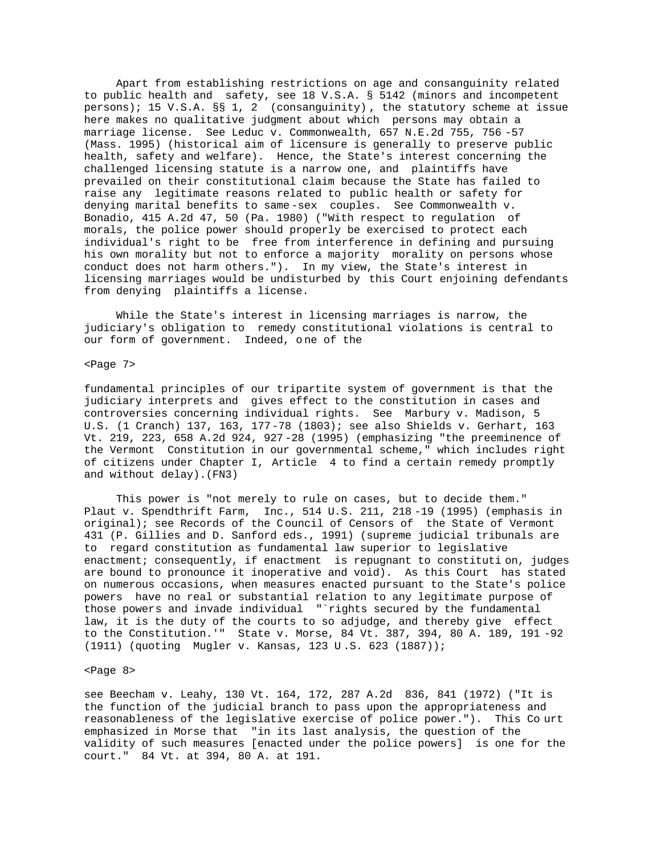Apart from establishing restrictions on age and consanguinity related to public health and safety, see 18 V.S.A. § 5142 (minors and incompetent persons); 15 V.S.A. §§ 1, 2 (consanguinity) , the statutory scheme at issue here makes no qualitative judgment about which persons may obtain a marriage license. See Leduc v. Commonwealth, 657 N.E.2d 755, 756 -57 (Mass. 1995) (historical aim of licensure is generally to preserve public health, safety and welfare). Hence, the State's interest concerning the challenged licensing statute is a narrow one, and plaintiffs have prevailed on their constitutional claim because the State has failed to raise any legitimate reasons related to public health or safety for denying marital benefits to same -sex couples. See Commonwealth v. Bonadio, 415 A.2d 47, 50 (Pa. 1980) ("With respect to regulation of morals, the police power should properly be exercised to protect each individual's right to be free from interference in defining and pursuing his own morality but not to enforce a majority morality on persons whose conduct does not harm others."). In my view, the State's interest in licensing marriages would be undisturbed by this Court enjoining defendants from denying plaintiffs a license.

 While the State's interest in licensing marriages is narrow, the judiciary's obligation to remedy constitutional violations is central to our form of government. Indeed, o ne of the

### <Page 7>

 fundamental principles of our tripartite system of government is that the judiciary interprets and gives effect to the constitution in cases and controversies concerning individual rights. See Marbury v. Madison, 5 U.S. (1 Cranch) 137, 163, 177-78 (1803); see also Shields v. Gerhart, 163 Vt. 219, 223, 658 A.2d 924, 927 -28 (1995) (emphasizing "the preeminence of the Vermont Constitution in our governmental scheme," which includes right of citizens under Chapter I, Article 4 to find a certain remedy promptly and without delay).(FN3)

 This power is "not merely to rule on cases, but to decide them." Plaut v. Spendthrift Farm, Inc., 514 U.S. 211, 218 -19 (1995) (emphasis in original); see Records of the C ouncil of Censors of the State of Vermont 431 (P. Gillies and D. Sanford eds., 1991) (supreme judicial tribunals are to regard constitution as fundamental law superior to legislative enactment; consequently, if enactment is repugnant to constituti on, judges are bound to pronounce it inoperative and void). As this Court has stated on numerous occasions, when measures enacted pursuant to the State's police powers have no real or substantial relation to any legitimate purpose of those powers and invade individual "`rights secured by the fundamental law, it is the duty of the courts to so adjudge, and thereby give effect to the Constitution.'" State v. Morse, 84 Vt. 387, 394, 80 A. 189, 191 -92 (1911) (quoting Mugler v. Kansas, 123 U .S. 623 (1887));

## <Page 8>

 see Beecham v. Leahy, 130 Vt. 164, 172, 287 A.2d 836, 841 (1972) ("It is the function of the judicial branch to pass upon the appropriateness and reasonableness of the legislative exercise of police power."). This Co urt emphasized in Morse that "in its last analysis, the question of the validity of such measures [enacted under the police powers] is one for the court." 84 Vt. at 394, 80 A. at 191.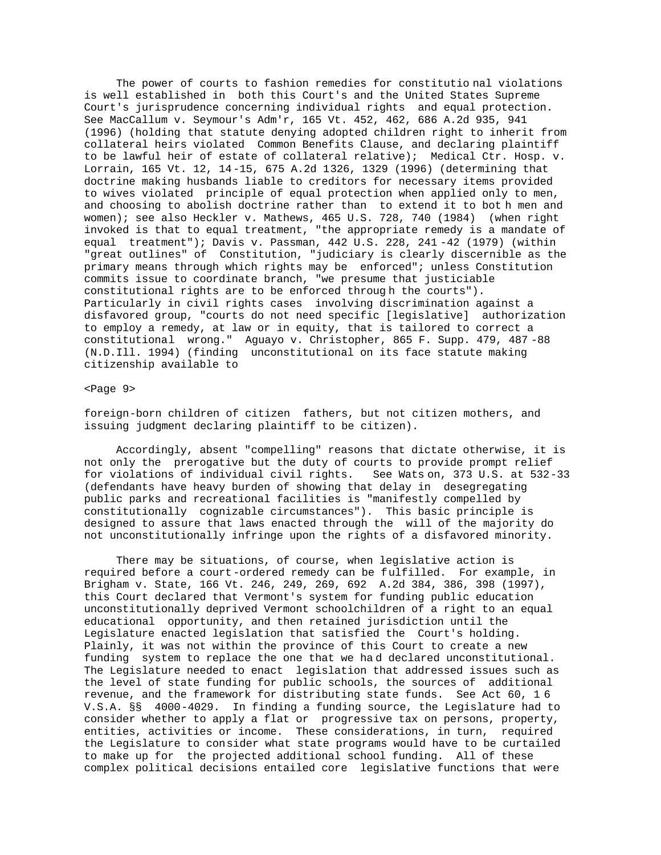The power of courts to fashion remedies for constitutio nal violations is well established in both this Court's and the United States Supreme Court's jurisprudence concerning individual rights and equal protection. See MacCallum v. Seymour's Adm'r, 165 Vt. 452, 462, 686 A.2d 935, 941 (1996) (holding that statute denying adopted children right to inherit from collateral heirs violated Common Benefits Clause, and declaring plaintiff to be lawful heir of estate of collateral relative); Medical Ctr. Hosp. v. Lorrain, 165 Vt. 12, 14-15, 675 A.2d 1326, 1329 (1996) (determining that doctrine making husbands liable to creditors for necessary items provided to wives violated principle of equal protection when applied only to men, and choosing to abolish doctrine rather than to extend it to bot h men and women); see also Heckler v. Mathews, 465 U.S. 728, 740 (1984) (when right invoked is that to equal treatment, "the appropriate remedy is a mandate of equal treatment"); Davis v. Passman, 442 U.S. 228, 241 -42 (1979) (within "great outlines" of Constitution, "judiciary is clearly discernible as the primary means through which rights may be enforced"; unless Constitution commits issue to coordinate branch, "we presume that justiciable constitutional rights are to be enforced throug h the courts"). Particularly in civil rights cases involving discrimination against a disfavored group, "courts do not need specific [legislative] authorization to employ a remedy, at law or in equity, that is tailored to correct a constitutional wrong." Aguayo v. Christopher, 865 F. Supp. 479, 487 -88 (N.D.Ill. 1994) (finding unconstitutional on its face statute making citizenship available to

### <Page 9>

 foreign-born children of citizen fathers, but not citizen mothers, and issuing judgment declaring plaintiff to be citizen).

 Accordingly, absent "compelling" reasons that dictate otherwise, it is not only the prerogative but the duty of courts to provide prompt relief for violations of individual civil rights. See Wats on, 373 U.S. at 532-33 (defendants have heavy burden of showing that delay in desegregating public parks and recreational facilities is "manifestly compelled by constitutionally cognizable circumstances"). This basic principle is designed to assure that laws enacted through the will of the majority do not unconstitutionally infringe upon the rights of a disfavored minority.

 There may be situations, of course, when legislative action is required before a court-ordered remedy can be fulfilled. For example, in Brigham v. State, 166 Vt. 246, 249, 269, 692 A.2d 384, 386, 398 (1997), this Court declared that Vermont's system for funding public education unconstitutionally deprived Vermont schoolchildren of a right to an equal educational opportunity, and then retained jurisdiction until the Legislature enacted legislation that satisfied the Court's holding. Plainly, it was not within the province of this Court to create a new funding system to replace the one that we had declared unconstitutional. The Legislature needed to enact legislation that addressed issues such as the level of state funding for public schools, the sources of additional revenue, and the framework for distributing state funds. See Act 60, 1 6 V.S.A. §§ 4000-4029. In finding a funding source, the Legislature had to consider whether to apply a flat or progressive tax on persons, property, entities, activities or income. These considerations, in turn, required the Legislature to consider what state programs would have to be curtailed to make up for the projected additional school funding. All of these complex political decisions entailed core legislative functions that were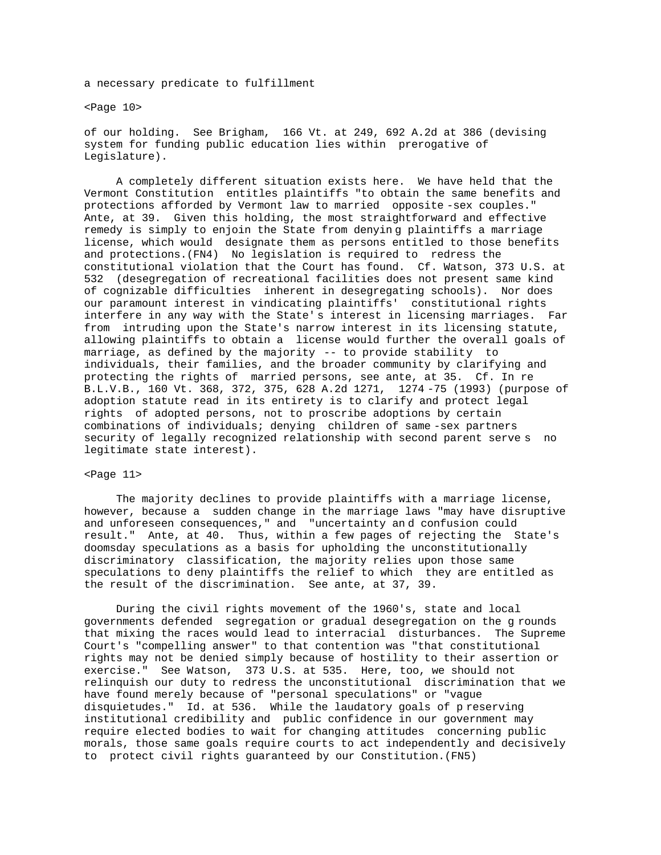a necessary predicate to fulfillment

<Page 10>

 of our holding. See Brigham, 166 Vt. at 249, 692 A.2d at 386 (devising system for funding public education lies within prerogative of Legislature).

 A completely different situation exists here. We have held that the Vermont Constitution entitles plaintiffs "to obtain the same benefits and protections afforded by Vermont law to married opposite -sex couples." Ante, at 39. Given this holding, the most straightforward and effective remedy is simply to enjoin the State from denyin g plaintiffs a marriage license, which would designate them as persons entitled to those benefits and protections.(FN4) No legislation is required to redress the constitutional violation that the Court has found. Cf. Watson, 373 U.S. at 532 (desegregation of recreational facilities does not present same kind of cognizable difficulties inherent in desegregating schools). Nor does our paramount interest in vindicating plaintiffs' constitutional rights interfere in any way with the State' s interest in licensing marriages. Far from intruding upon the State's narrow interest in its licensing statute, allowing plaintiffs to obtain a license would further the overall goals of marriage, as defined by the majority -- to provide stability to individuals, their families, and the broader community by clarifying and protecting the rights of married persons, see ante, at 35. Cf. In re B.L.V.B., 160 Vt. 368, 372, 375, 628 A.2d 1271, 1274 -75 (1993) (purpose of adoption statute read in its entirety is to clarify and protect legal rights of adopted persons, not to proscribe adoptions by certain combinations of individuals; denying children of same -sex partners security of legally recognized relationship with second parent serve s no legitimate state interest).

<Page 11>

 The majority declines to provide plaintiffs with a marriage license, however, because a sudden change in the marriage laws "may have disruptive and unforeseen consequences," and "uncertainty an d confusion could result." Ante, at 40. Thus, within a few pages of rejecting the State's doomsday speculations as a basis for upholding the unconstitutionally discriminatory classification, the majority relies upon those same speculations to deny plaintiffs the relief to which they are entitled as the result of the discrimination. See ante, at 37, 39.

 During the civil rights movement of the 1960's, state and local governments defended segregation or gradual desegregation on the g rounds that mixing the races would lead to interracial disturbances. The Supreme Court's "compelling answer" to that contention was "that constitutional rights may not be denied simply because of hostility to their assertion or exercise." See Watson, 373 U.S. at 535. Here, too, we should not relinquish our duty to redress the unconstitutional discrimination that we have found merely because of "personal speculations" or "vague disquietudes." Id. at 536. While the laudatory goals of p reserving institutional credibility and public confidence in our government may require elected bodies to wait for changing attitudes concerning public morals, those same goals require courts to act independently and decisively to protect civil rights guaranteed by our Constitution.(FN5)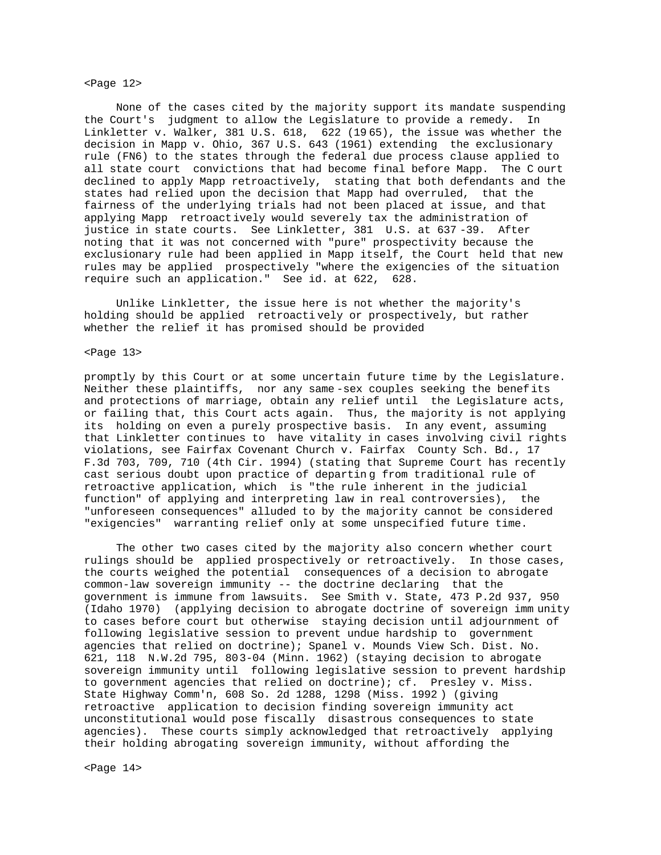# <Page 12>

 None of the cases cited by the majority support its mandate suspending the Court's judgment to allow the Legislature to provide a remedy. In Linkletter v. Walker, 381 U.S. 618, 622 (19 65), the issue was whether the decision in Mapp v. Ohio, 367 U.S. 643 (1961) extending the exclusionary rule (FN6) to the states through the federal due process clause applied to all state court convictions that had become final before Mapp. The C ourt declined to apply Mapp retroactively, stating that both defendants and the states had relied upon the decision that Mapp had overruled, that the fairness of the underlying trials had not been placed at issue, and that applying Mapp retroactively would severely tax the administration of justice in state courts. See Linkletter, 381 U.S. at 637 -39. After noting that it was not concerned with "pure" prospectivity because the exclusionary rule had been applied in Mapp itself, the Court held that new rules may be applied prospectively "where the exigencies of the situation require such an application." See id. at 622, 628.

 Unlike Linkletter, the issue here is not whether the majority's holding should be applied retroacti vely or prospectively, but rather whether the relief it has promised should be provided

## <Page 13>

 promptly by this Court or at some uncertain future time by the Legislature. Neither these plaintiffs, nor any same -sex couples seeking the benefits and protections of marriage, obtain any relief until the Legislature acts, or failing that, this Court acts again. Thus, the majority is not applying its holding on even a purely prospective basis. In any event, assuming that Linkletter continues to have vitality in cases involving civil rights violations, see Fairfax Covenant Church v. Fairfax County Sch. Bd., 17 F.3d 703, 709, 710 (4th Cir. 1994) (stating that Supreme Court has recently cast serious doubt upon practice of departing from traditional rule of retroactive application, which is "the rule inherent in the judicial function" of applying and interpreting law in real controversies), the "unforeseen consequences" alluded to by the majority cannot be considered "exigencies" warranting relief only at some unspecified future time.

 The other two cases cited by the majority also concern whether court rulings should be applied prospectively or retroactively. In those cases, the courts weighed the potential consequences of a decision to abrogate common-law sovereign immunity -- the doctrine declaring that the government is immune from lawsuits. See Smith v. State, 473 P.2d 937, 950 (Idaho 1970) (applying decision to abrogate doctrine of sovereign imm unity to cases before court but otherwise staying decision until adjournment of following legislative session to prevent undue hardship to government agencies that relied on doctrine); Spanel v. Mounds View Sch. Dist. No. 621, 118 N.W.2d 795, 803-04 (Minn. 1962) (staying decision to abrogate sovereign immunity until following legislative session to prevent hardship to government agencies that relied on doctrine); cf. Presley v. Miss. State Highway Comm'n, 608 So. 2d 1288, 1298 (Miss. 1992 ) (giving retroactive application to decision finding sovereign immunity act unconstitutional would pose fiscally disastrous consequences to state agencies). These courts simply acknowledged that retroactively applying their holding abrogating sovereign immunity, without affording the

<Page 14>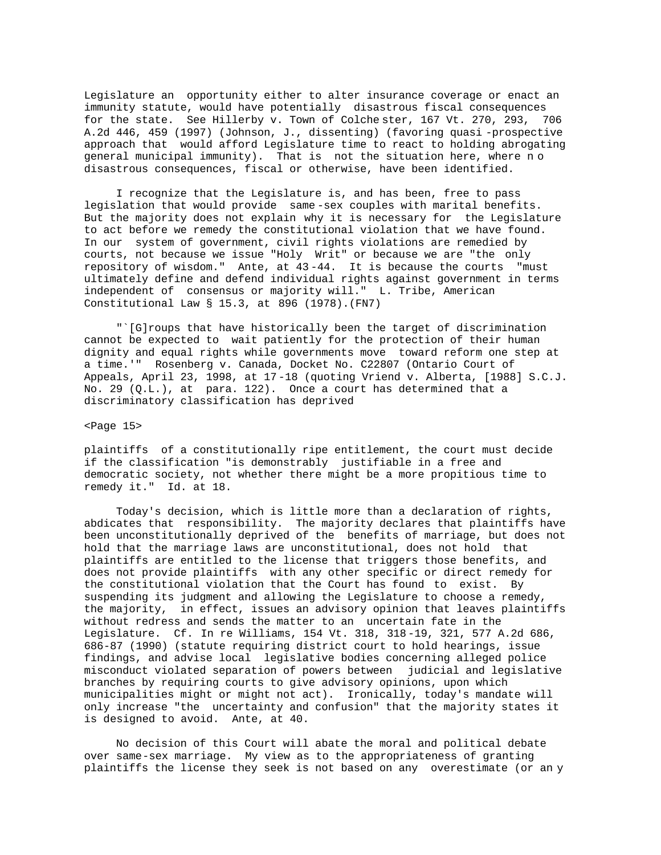Legislature an opportunity either to alter insurance coverage or enact an immunity statute, would have potentially disastrous fiscal consequences for the state. See Hillerby v. Town of Colche ster, 167 Vt. 270, 293, 706 A.2d 446, 459 (1997) (Johnson, J., dissenting) (favoring quasi -prospective approach that would afford Legislature time to react to holding abrogating general municipal immunity). That is not the situation here, where n o disastrous consequences, fiscal or otherwise, have been identified.

 I recognize that the Legislature is, and has been, free to pass legislation that would provide same -sex couples with marital benefits. But the majority does not explain why it is necessary for the Legislature to act before we remedy the constitutional violation that we have found. In our system of government, civil rights violations are remedied by courts, not because we issue "Holy Writ" or because we are "the only repository of wisdom." Ante, at 43 -44. It is because the courts "must ultimately define and defend individual rights against government in terms independent of consensus or majority will." L. Tribe, American Constitutional Law § 15.3, at 896 (1978).(FN7)

 "`[G]roups that have historically been the target of discrimination cannot be expected to wait patiently for the protection of their human dignity and equal rights while governments move toward reform one step at a time.'" Rosenberg v. Canada, Docket No. C22807 (Ontario Court of Appeals, April 23, 1998, at 17 -18 (quoting Vriend v. Alberta, [1988] S.C.J. No. 29 (Q.L.), at para. 122). Once a court has determined that a discriminatory classification has deprived

<Page 15>

 plaintiffs of a constitutionally ripe entitlement, the court must decide if the classification "is demonstrably justifiable in a free and democratic society, not whether there might be a more propitious time to remedy it." Id. at 18.

 Today's decision, which is little more than a declaration of rights, abdicates that responsibility. The majority declares that plaintiffs have been unconstitutionally deprived of the benefits of marriage, but does not hold that the marriage laws are unconstitutional, does not hold that plaintiffs are entitled to the license that triggers those benefits, and does not provide plaintiffs with any other specific or direct remedy for the constitutional violation that the Court has found to exist. By suspending its judgment and allowing the Legislature to choose a remedy, the majority, in effect, issues an advisory opinion that leaves plaintiffs without redress and sends the matter to an uncertain fate in the Legislature. Cf. In re Williams, 154 Vt. 318, 318 -19, 321, 577 A.2d 686, 686-87 (1990) (statute requiring district court to hold hearings, issue findings, and advise local legislative bodies concerning alleged police misconduct violated separation of powers between judicial and legislative branches by requiring courts to give advisory opinions, upon which municipalities might or might not act). Ironically, today's mandate will only increase "the uncertainty and confusion" that the majority states it is designed to avoid. Ante, at 40.

 No decision of this Court will abate the moral and political debate over same-sex marriage. My view as to the appropriateness of granting plaintiffs the license they seek is not based on any overestimate (or an y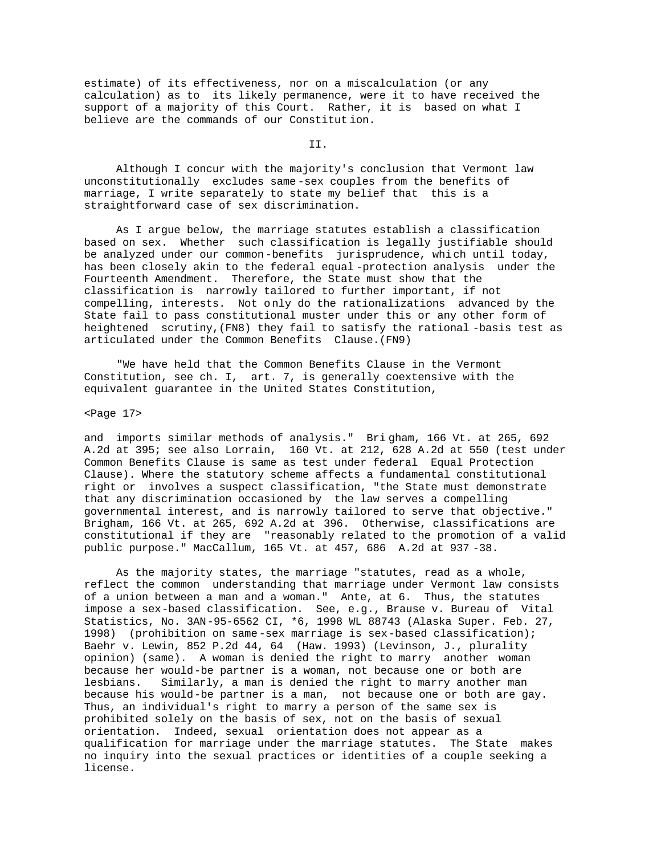estimate) of its effectiveness, nor on a miscalculation (or any calculation) as to its likely permanence, were it to have received the support of a majority of this Court. Rather, it is based on what I believe are the commands of our Constitut ion.

II.

 Although I concur with the majority's conclusion that Vermont law unconstitutionally excludes same -sex couples from the benefits of marriage, I write separately to state my belief that this is a straightforward case of sex discrimination.

 As I argue below, the marriage statutes establish a classification based on sex. Whether such classification is legally justifiable should be analyzed under our common-benefits jurisprudence, which until today, has been closely akin to the federal equal -protection analysis under the Fourteenth Amendment. Therefore, the State must show that the classification is narrowly tailored to further important, if not compelling, interests. Not o nly do the rationalizations advanced by the State fail to pass constitutional muster under this or any other form of heightened scrutiny,(FN8) they fail to satisfy the rational -basis test as articulated under the Common Benefits Clause.(FN9)

 "We have held that the Common Benefits Clause in the Vermont Constitution, see ch. I, art. 7, is generally coextensive with the equivalent guarantee in the United States Constitution,

### <Page 17>

 and imports similar methods of analysis." Bri gham, 166 Vt. at 265, 692 A.2d at 395; see also Lorrain, 160 Vt. at 212, 628 A.2d at 550 (test under Common Benefits Clause is same as test under federal Equal Protection Clause). Where the statutory scheme affects a fundamental constitutional right or involves a suspect classification, "the State must demonstrate that any discrimination occasioned by the law serves a compelling governmental interest, and is narrowly tailored to serve that objective." Brigham, 166 Vt. at 265, 692 A.2d at 396. Otherwise, classifications are constitutional if they are "reasonably related to the promotion of a valid public purpose." MacCallum, 165 Vt. at 457, 686 A.2d at 937 -38.

 As the majority states, the marriage "statutes, read as a whole, reflect the common understanding that marriage under Vermont law consists of a union between a man and a woman." Ante, at 6. Thus, the statutes impose a sex-based classification. See, e.g., Brause v. Bureau of Vital Statistics, No. 3AN-95-6562 CI, \*6, 1998 WL 88743 (Alaska Super. Feb. 27, 1998) (prohibition on same-sex marriage is sex-based classification); Baehr v. Lewin, 852 P.2d 44, 64 (Haw. 1993) (Levinson, J., plurality opinion) (same). A woman is denied the right to marry another woman because her would-be partner is a woman, not because one or both are lesbians. Similarly, a man is denied the right to marry another man because his would-be partner is a man, not because one or both are gay. Thus, an individual's right to marry a person of the same sex is prohibited solely on the basis of sex, not on the basis of sexual orientation. Indeed, sexual orientation does not appear as a qualification for marriage under the marriage statutes. The State makes no inquiry into the sexual practices or identities of a couple seeking a license.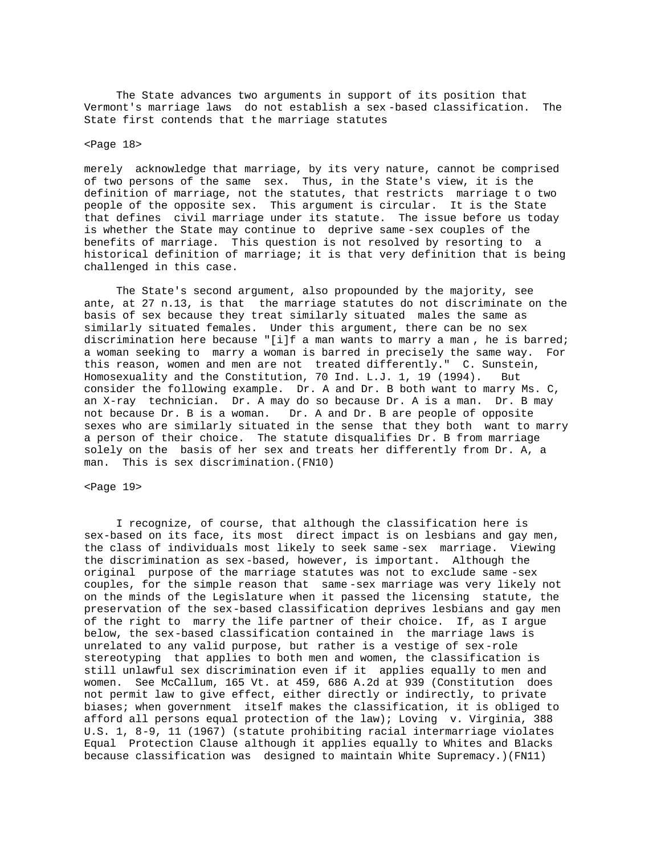The State advances two arguments in support of its position that Vermont's marriage laws do not establish a sex -based classification. The State first contends that the marriage statutes

#### <Page 18>

 merely acknowledge that marriage, by its very nature, cannot be comprised of two persons of the same sex. Thus, in the State's view, it is the definition of marriage, not the statutes, that restricts marriage t o two people of the opposite sex. This argument is circular. It is the State that defines civil marriage under its statute. The issue before us today is whether the State may continue to deprive same -sex couples of the benefits of marriage. This question is not resolved by resorting to a historical definition of marriage; it is that very definition that is being challenged in this case.

 The State's second argument, also propounded by the majority, see ante, at 27 n.13, is that the marriage statutes do not discriminate on the basis of sex because they treat similarly situated males the same as similarly situated females. Under this argument, there can be no sex discrimination here because "[i]f a man wants to marry a man , he is barred; a woman seeking to marry a woman is barred in precisely the same way. For this reason, women and men are not treated differently." C. Sunstein, Homosexuality and the Constitution, 70 Ind. L.J. 1, 19 (1994). But consider the following example. Dr. A and Dr. B both want to marry Ms. C, an X-ray technician. Dr. A may do so because Dr. A is a man. Dr. B may not because Dr. B is a woman. Dr. A and Dr. B are people of opposite sexes who are similarly situated in the sense that they both want to marry a person of their choice. The statute disqualifies Dr. B from marriage solely on the basis of her sex and treats her differently from Dr. A, a man. This is sex discrimination.(FN10)

## <Page 19>

 I recognize, of course, that although the classification here is sex-based on its face, its most direct impact is on lesbians and gay men, the class of individuals most likely to seek same -sex marriage. Viewing the discrimination as sex-based, however, is important. Although the original purpose of the marriage statutes was not to exclude same -sex couples, for the simple reason that same -sex marriage was very likely not on the minds of the Legislature when it passed the licensing statute, the preservation of the sex-based classification deprives lesbians and gay men of the right to marry the life partner of their choice. If, as I argue below, the sex-based classification contained in the marriage laws is unrelated to any valid purpose, but rather is a vestige of sex-role stereotyping that applies to both men and women, the classification is still unlawful sex discrimination even if it applies equally to men and women. See McCallum, 165 Vt. at 459, 686 A.2d at 939 (Constitution does not permit law to give effect, either directly or indirectly, to private biases; when government itself makes the classification, it is obliged to afford all persons equal protection of the law); Loving v. Virginia, 388 U.S. 1, 8-9, 11 (1967) (statute prohibiting racial intermarriage violates Equal Protection Clause although it applies equally to Whites and Blacks because classification was designed to maintain White Supremacy.)(FN11)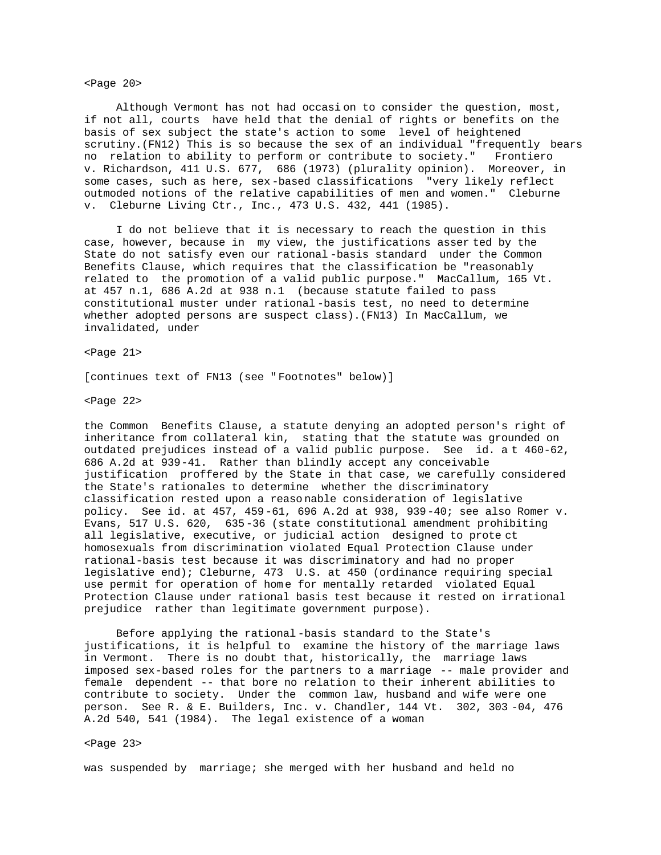## <Page 20>

 Although Vermont has not had occasi on to consider the question, most, if not all, courts have held that the denial of rights or benefits on the basis of sex subject the state's action to some level of heightened scrutiny.(FN12) This is so because the sex of an individual "frequently bears no relation to ability to perform or contribute to society." Frontiero v. Richardson, 411 U.S. 677, 686 (1973) (plurality opinion). Moreover, in some cases, such as here, sex -based classifications "very likely reflect outmoded notions of the relative capabilities of men and women." Cleburne v. Cleburne Living Ctr., Inc., 473 U.S. 432, 441 (1985).

 I do not believe that it is necessary to reach the question in this case, however, because in my view, the justifications asser ted by the State do not satisfy even our rational -basis standard under the Common Benefits Clause, which requires that the classification be "reasonably related to the promotion of a valid public purpose." MacCallum, 165 Vt. at 457 n.1, 686 A.2d at 938 n.1 (because statute failed to pass constitutional muster under rational -basis test, no need to determine whether adopted persons are suspect class).(FN13) In MacCallum, we invalidated, under

<Page 21>

[continues text of FN13 (see " Footnotes" below)]

<Page 22>

 the Common Benefits Clause, a statute denying an adopted person's right of inheritance from collateral kin, stating that the statute was grounded on outdated prejudices instead of a valid public purpose. See id. a t 460-62, 686 A.2d at 939-41. Rather than blindly accept any conceivable justification proffered by the State in that case, we carefully considered the State's rationales to determine whether the discriminatory classification rested upon a reaso nable consideration of legislative policy. See id. at 457, 459-61, 696 A.2d at 938, 939-40; see also Romer v. Evans, 517 U.S. 620, 635-36 (state constitutional amendment prohibiting all legislative, executive, or judicial action designed to prote ct homosexuals from discrimination violated Equal Protection Clause under rational-basis test because it was discriminatory and had no proper legislative end); Cleburne, 473 U.S. at 450 (ordinance requiring special use permit for operation of home for mentally retarded violated Equal Protection Clause under rational basis test because it rested on irrational prejudice rather than legitimate government purpose).

 Before applying the rational -basis standard to the State's justifications, it is helpful to examine the history of the marriage laws in Vermont. There is no doubt that, historically, the marriage laws imposed sex-based roles for the partners to a marriage -- male provider and female dependent -- that bore no relation to their inherent abilities to contribute to society. Under the common law, husband and wife were one person. See R. & E. Builders, Inc. v. Chandler, 144 Vt. 302, 303 -04, 476 A.2d 540, 541 (1984). The legal existence of a woman

<Page 23>

was suspended by marriage; she merged with her husband and held no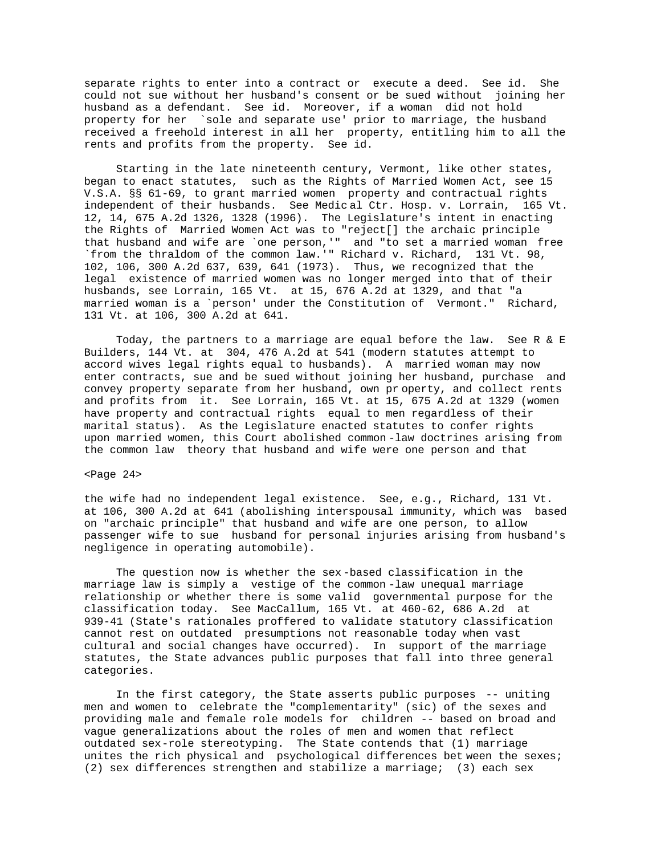separate rights to enter into a contract or execute a deed. See id. She could not sue without her husband's consent or be sued without joining her husband as a defendant. See id. Moreover, if a woman did not hold property for her `sole and separate use' prior to marriage, the husband received a freehold interest in all her property, entitling him to all the rents and profits from the property. See id.

 Starting in the late nineteenth century, Vermont, like other states, began to enact statutes, such as the Rights of Married Women Act, see 15 V.S.A. §§ 61-69, to grant married women property and contractual rights independent of their husbands. See Medic al Ctr. Hosp. v. Lorrain, 165 Vt. 12, 14, 675 A.2d 1326, 1328 (1996). The Legislature's intent in enacting the Rights of Married Women Act was to "reject[] the archaic principle that husband and wife are `one person,'" and "to set a married woman free `from the thraldom of the common law.'" Richard v. Richard, 131 Vt. 98, 102, 106, 300 A.2d 637, 639, 641 (1973). Thus, we recognized that the legal existence of married women was no longer merged into that of their husbands, see Lorrain, 165 Vt. at 15, 676 A.2d at 1329, and that "a married woman is a `person' under the Constitution of Vermont." Richard, 131 Vt. at 106, 300 A.2d at 641.

 Today, the partners to a marriage are equal before the law. See R & E Builders, 144 Vt. at 304, 476 A.2d at 541 (modern statutes attempt to accord wives legal rights equal to husbands). A married woman may now enter contracts, sue and be sued without joining her husband, purchase and convey property separate from her husband, own pr operty, and collect rents and profits from it. See Lorrain, 165 Vt. at 15, 675 A.2d at 1329 (women have property and contractual rights equal to men regardless of their marital status). As the Legislature enacted statutes to confer rights upon married women, this Court abolished common -law doctrines arising from the common law theory that husband and wife were one person and that

# <Page 24>

 the wife had no independent legal existence. See, e.g., Richard, 131 Vt. at 106, 300 A.2d at 641 (abolishing interspousal immunity, which was based on "archaic principle" that husband and wife are one person, to allow passenger wife to sue husband for personal injuries arising from husband's negligence in operating automobile).

 The question now is whether the sex -based classification in the marriage law is simply a vestige of the common -law unequal marriage relationship or whether there is some valid governmental purpose for the classification today. See MacCallum, 165 Vt. at 460-62, 686 A.2d at 939-41 (State's rationales proffered to validate statutory classification cannot rest on outdated presumptions not reasonable today when vast cultural and social changes have occurred). In support of the marriage statutes, the State advances public purposes that fall into three general categories.

 In the first category, the State asserts public purposes -- uniting men and women to celebrate the "complementarity" (sic) of the sexes and providing male and female role models for children -- based on broad and vague generalizations about the roles of men and women that reflect outdated sex-role stereotyping. The State contends that (1) marriage unites the rich physical and psychological differences bet ween the sexes; (2) sex differences strengthen and stabilize a marriage; (3) each sex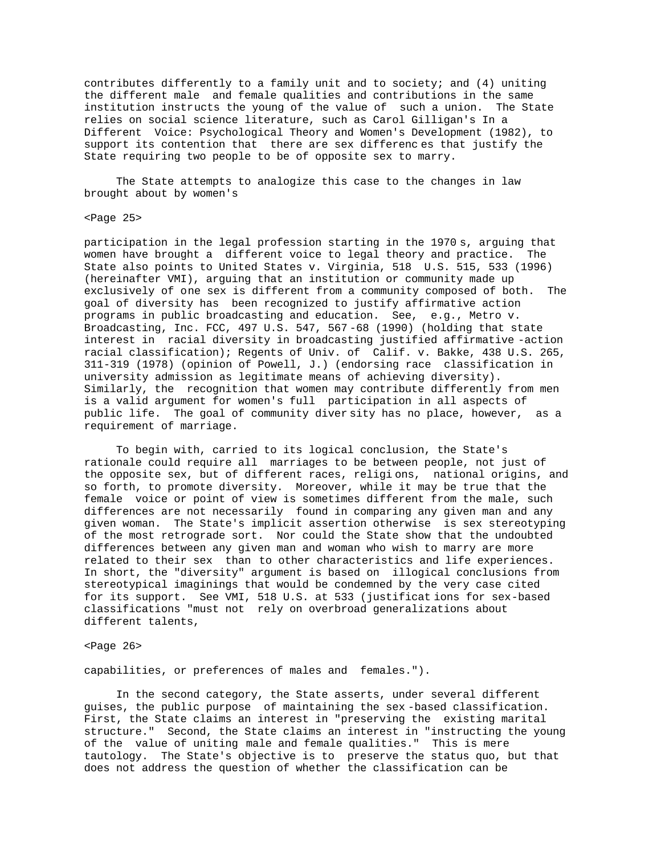contributes differently to a family unit and to society; and (4) uniting the different male and female qualities and contributions in the same institution instructs the young of the value of such a union. The State relies on social science literature, such as Carol Gilligan's In a Different Voice: Psychological Theory and Women's Development (1982), to support its contention that there are sex differenc es that justify the State requiring two people to be of opposite sex to marry.

 The State attempts to analogize this case to the changes in law brought about by women's

### <Page 25>

 participation in the legal profession starting in the 1970 s, arguing that women have brought a different voice to legal theory and practice. The State also points to United States v. Virginia, 518 U.S. 515, 533 (1996) (hereinafter VMI), arguing that an institution or community made up exclusively of one sex is different from a community composed of both. The goal of diversity has been recognized to justify affirmative action programs in public broadcasting and education. See, e.g., Metro v. Broadcasting, Inc. FCC, 497 U.S. 547, 567 -68 (1990) (holding that state interest in racial diversity in broadcasting justified affirmative -action racial classification); Regents of Univ. of Calif. v. Bakke, 438 U.S. 265, 311-319 (1978) (opinion of Powell, J.) (endorsing race classification in university admission as legitimate means of achieving diversity). Similarly, the recognition that women may contribute differently from men is a valid argument for women's full participation in all aspects of public life. The goal of community diver sity has no place, however, as a requirement of marriage.

 To begin with, carried to its logical conclusion, the State's rationale could require all marriages to be between people, not just of the opposite sex, but of different races, religi ons, national origins, and so forth, to promote diversity. Moreover, while it may be true that the female voice or point of view is sometimes different from the male, such differences are not necessarily found in comparing any given man and any given woman. The State's implicit assertion otherwise is sex stereotyping of the most retrograde sort. Nor could the State show that the undoubted differences between any given man and woman who wish to marry are more related to their sex than to other characteristics and life experiences. In short, the "diversity" argument is based on illogical conclusions from stereotypical imaginings that would be condemned by the very case cited for its support. See VMI, 518 U.S. at 533 (justificat ions for sex-based classifications "must not rely on overbroad generalizations about different talents,

## <Page 26>

capabilities, or preferences of males and females.").

 In the second category, the State asserts, under several different guises, the public purpose of maintaining the sex -based classification. First, the State claims an interest in "preserving the existing marital structure." Second, the State claims an interest in "instructing the young of the value of uniting male and female qualities." This is mere tautology. The State's objective is to preserve the status quo, but that does not address the question of whether the classification can be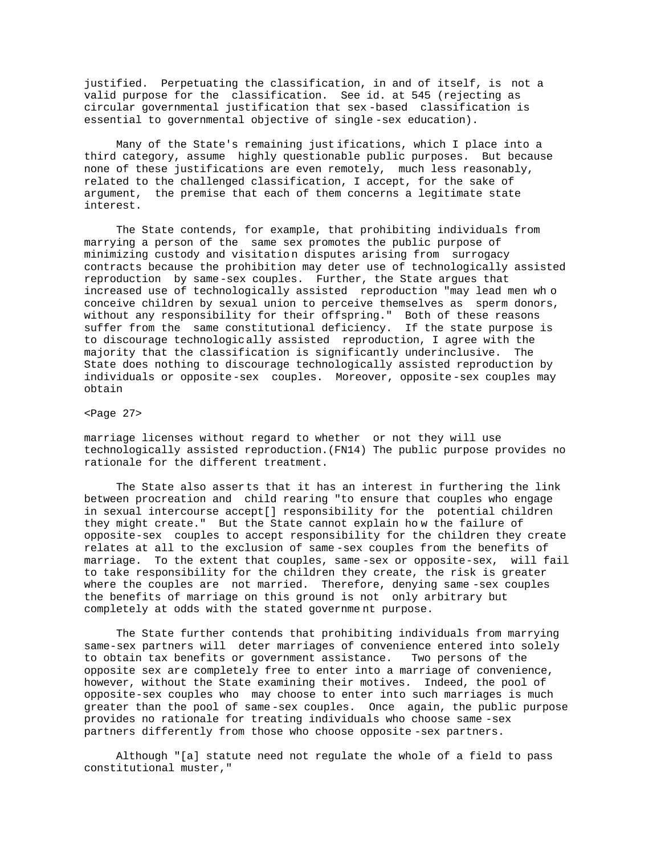justified. Perpetuating the classification, in and of itself, is not a valid purpose for the classification. See id. at 545 (rejecting as circular governmental justification that sex -based classification is essential to governmental objective of single -sex education).

 Many of the State's remaining just ifications, which I place into a third category, assume highly questionable public purposes. But because none of these justifications are even remotely, much less reasonably, related to the challenged classification, I accept, for the sake of argument, the premise that each of them concerns a legitimate state interest.

 The State contends, for example, that prohibiting individuals from marrying a person of the same sex promotes the public purpose of minimizing custody and visitation disputes arising from surrogacy contracts because the prohibition may deter use of technologically assisted reproduction by same-sex couples. Further, the State argues that increased use of technologically assisted reproduction "may lead men wh o conceive children by sexual union to perceive themselves as sperm donors, without any responsibility for their offspring." Both of these reasons suffer from the same constitutional deficiency. If the state purpose is to discourage technologically assisted reproduction, I agree with the majority that the classification is significantly underinclusive. The State does nothing to discourage technologically assisted reproduction by individuals or opposite-sex couples. Moreover, opposite -sex couples may obtain

### <Page 27>

 marriage licenses without regard to whether or not they will use technologically assisted reproduction.(FN14) The public purpose provides no rationale for the different treatment.

 The State also asserts that it has an interest in furthering the link between procreation and child rearing "to ensure that couples who engage in sexual intercourse accept[] responsibility for the potential children they might create." But the State cannot explain ho w the failure of opposite-sex couples to accept responsibility for the children they create relates at all to the exclusion of same -sex couples from the benefits of marriage. To the extent that couples, same -sex or opposite-sex, will fail to take responsibility for the children they create, the risk is greater where the couples are not married. Therefore, denying same -sex couples the benefits of marriage on this ground is not only arbitrary but completely at odds with the stated governme nt purpose.

 The State further contends that prohibiting individuals from marrying same-sex partners will deter marriages of convenience entered into solely to obtain tax benefits or government assistance. Two persons of the opposite sex are completely free to enter into a marriage of convenience, however, without the State examining their motives. Indeed, the pool of opposite-sex couples who may choose to enter into such marriages is much greater than the pool of same -sex couples. Once again, the public purpose provides no rationale for treating individuals who choose same -sex partners differently from those who choose opposite -sex partners.

 Although "[a] statute need not regulate the whole of a field to pass constitutional muster,"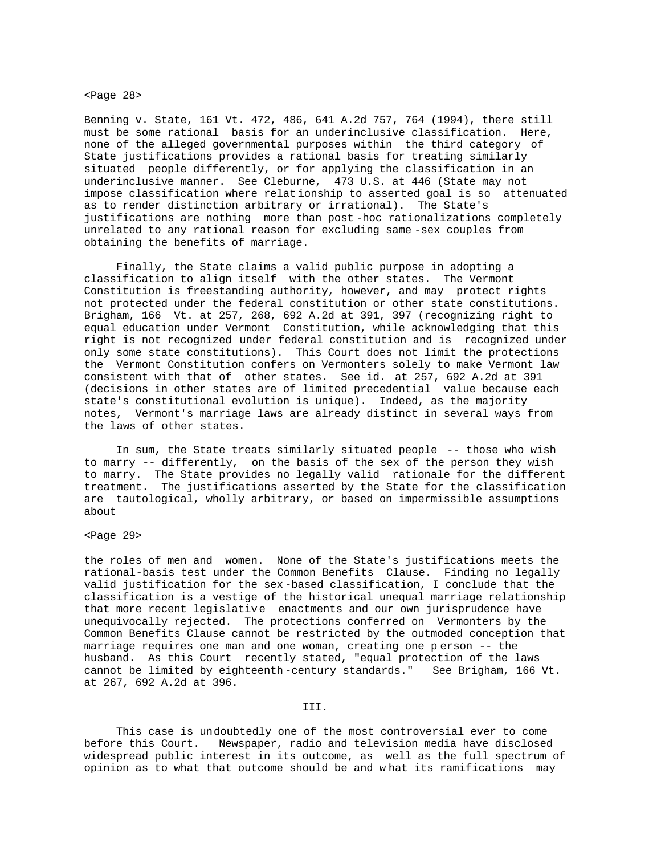<Page 28>

 Benning v. State, 161 Vt. 472, 486, 641 A.2d 757, 764 (1994), there still must be some rational basis for an underinclusive classification. Here, none of the alleged governmental purposes within the third category of State justifications provides a rational basis for treating similarly situated people differently, or for applying the classification in an underinclusive manner. See Cleburne, 473 U.S. at 446 (State may not impose classification where relat ionship to asserted goal is so attenuated as to render distinction arbitrary or irrational). The State's justifications are nothing more than post -hoc rationalizations completely unrelated to any rational reason for excluding same -sex couples from obtaining the benefits of marriage.

 Finally, the State claims a valid public purpose in adopting a classification to align itself with the other states. The Vermont Constitution is freestanding authority, however, and may protect rights not protected under the federal constitution or other state constitutions. Brigham, 166 Vt. at 257, 268, 692 A.2d at 391, 397 (recognizing right to equal education under Vermont Constitution, while acknowledging that this right is not recognized under federal constitution and is recognized under only some state constitutions). This Court does not limit the protections the Vermont Constitution confers on Vermonters solely to make Vermont law consistent with that of other states. See id. at 257, 692 A.2d at 391 (decisions in other states are of limited precedential value because each state's constitutional evolution is unique). Indeed, as the majority notes, Vermont's marriage laws are already distinct in several ways from the laws of other states.

 In sum, the State treats similarly situated people -- those who wish to marry -- differently, on the basis of the sex of the person they wish to marry. The State provides no legally valid rationale for the different treatment. The justifications asserted by the State for the classification are tautological, wholly arbitrary, or based on impermissible assumptions about

# <Page 29>

 the roles of men and women. None of the State's justifications meets the rational-basis test under the Common Benefits Clause. Finding no legally valid justification for the sex -based classification, I conclude that the classification is a vestige of the historical unequal marriage relationship that more recent legislative enactments and our own jurisprudence have unequivocally rejected. The protections conferred on Vermonters by the Common Benefits Clause cannot be restricted by the outmoded conception that marriage requires one man and one woman, creating one p erson -- the husband. As this Court recently stated, "equal protection of the laws cannot be limited by eighteenth -century standards." See Brigham, 166 Vt. at 267, 692 A.2d at 396.

III.

 This case is undoubtedly one of the most controversial ever to come before this Court. Newspaper, radio and television media have disclosed widespread public interest in its outcome, as well as the full spectrum of opinion as to what that outcome should be and w hat its ramifications may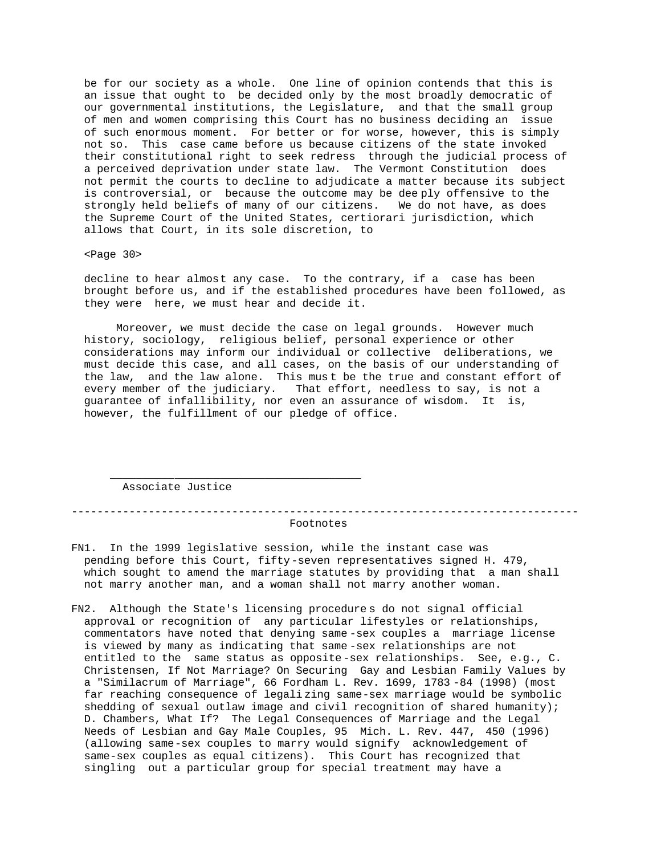be for our society as a whole. One line of opinion contends that this is an issue that ought to be decided only by the most broadly democratic of our governmental institutions, the Legislature, and that the small group of men and women comprising this Court has no business deciding an issue of such enormous moment. For better or for worse, however, this is simply not so. This case came before us because citizens of the state invoked their constitutional right to seek redress through the judicial process of a perceived deprivation under state law. The Vermont Constitution does not permit the courts to decline to adjudicate a matter because its subject is controversial, or because the outcome may be dee ply offensive to the strongly held beliefs of many of our citizens. We do not have, as does the Supreme Court of the United States, certiorari jurisdiction, which allows that Court, in its sole discretion, to

<Page 30>

 decline to hear almost any case. To the contrary, if a case has been brought before us, and if the established procedures have been followed, as they were here, we must hear and decide it.

 Moreover, we must decide the case on legal grounds. However much history, sociology, religious belief, personal experience or other considerations may inform our individual or collective deliberations, we must decide this case, and all cases, on the basis of our understanding of the law, and the law alone. This must be the true and constant effort of every member of the judiciary. That effort, needless to say, is not a guarantee of infallibility, nor even an assurance of wisdom. It is, however, the fulfillment of our pledge of office.

Associate Justice

\_\_\_\_\_\_\_\_\_\_\_\_\_\_\_\_\_\_\_\_\_\_\_\_\_\_\_\_\_\_\_\_\_\_\_\_\_\_\_

-------------------------------------------------------------------------------

#### Footnotes

- FN1. In the 1999 legislative session, while the instant case was pending before this Court, fifty-seven representatives signed H. 479, which sought to amend the marriage statutes by providing that a man shall not marry another man, and a woman shall not marry another woman.
- FN2. Although the State's licensing procedure s do not signal official approval or recognition of any particular lifestyles or relationships, commentators have noted that denying same -sex couples a marriage license is viewed by many as indicating that same -sex relationships are not entitled to the same status as opposite -sex relationships. See, e.g., C. Christensen, If Not Marriage? On Securing Gay and Lesbian Family Values by a "Similacrum of Marriage", 66 Fordham L. Rev. 1699, 1783 -84 (1998) (most far reaching consequence of legali zing same-sex marriage would be symbolic shedding of sexual outlaw image and civil recognition of shared humanity); D. Chambers, What If? The Legal Consequences of Marriage and the Legal Needs of Lesbian and Gay Male Couples, 95 Mich. L. Rev. 447, 450 (1996) (allowing same-sex couples to marry would signify acknowledgement of same-sex couples as equal citizens). This Court has recognized that singling out a particular group for special treatment may have a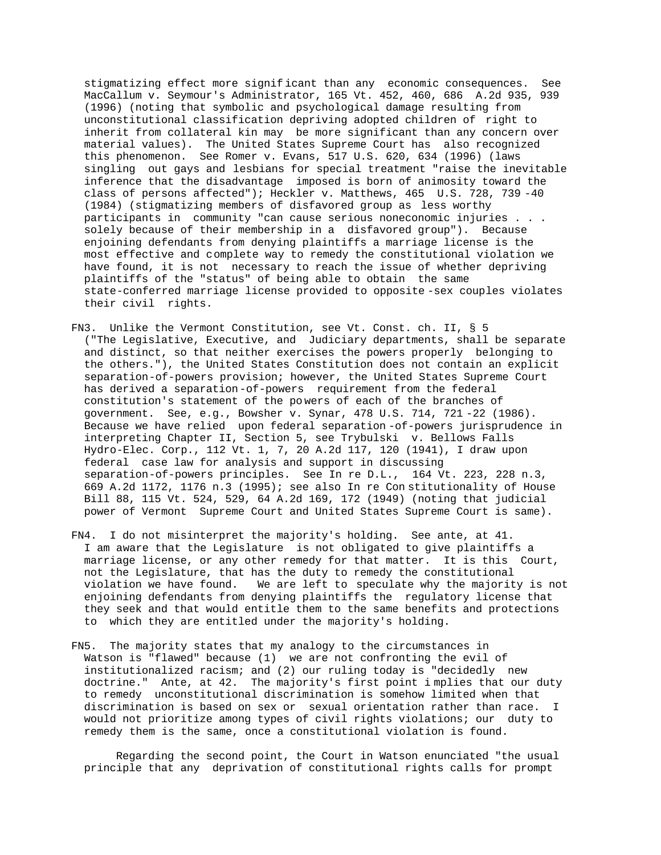stigmatizing effect more signif icant than any economic consequences. See MacCallum v. Seymour's Administrator, 165 Vt. 452, 460, 686 A.2d 935, 939 (1996) (noting that symbolic and psychological damage resulting from unconstitutional classification depriving adopted children of right to inherit from collateral kin may be more significant than any concern over material values). The United States Supreme Court has also recognized this phenomenon. See Romer v. Evans, 517 U.S. 620, 634 (1996) (laws singling out gays and lesbians for special treatment "raise the inevitable inference that the disadvantage imposed is born of animosity toward the class of persons affected"); Heckler v. Matthews, 465 U.S. 728, 739 -40 (1984) (stigmatizing members of disfavored group as less worthy participants in community "can cause serious noneconomic injuries . . . solely because of their membership in a disfavored group"). Because enjoining defendants from denying plaintiffs a marriage license is the most effective and complete way to remedy the constitutional violation we have found, it is not necessary to reach the issue of whether depriving plaintiffs of the "status" of being able to obtain the same state-conferred marriage license provided to opposite -sex couples violates their civil rights.

- FN3. Unlike the Vermont Constitution, see Vt. Const. ch. II, § 5 ("The Legislative, Executive, and Judiciary departments, shall be separate and distinct, so that neither exercises the powers properly belonging to the others."), the United States Constitution does not contain an explicit separation-of-powers provision; however, the United States Supreme Court has derived a separation-of-powers requirement from the federal constitution's statement of the po wers of each of the branches of government. See, e.g., Bowsher v. Synar, 478 U.S. 714, 721 -22 (1986). Because we have relied upon federal separation -of-powers jurisprudence in interpreting Chapter II, Section 5, see Trybulski v. Bellows Falls Hydro-Elec. Corp., 112 Vt. 1, 7, 20 A.2d 117, 120 (1941), I draw upon federal case law for analysis and support in discussing separation-of-powers principles. See In re D.L., 164 Vt. 223, 228 n.3, 669 A.2d 1172, 1176 n.3 (1995); see also In re Con stitutionality of House Bill 88, 115 Vt. 524, 529, 64 A.2d 169, 172 (1949) (noting that judicial power of Vermont Supreme Court and United States Supreme Court is same).
- FN4. I do not misinterpret the majority's holding. See ante, at 41. I am aware that the Legislature is not obligated to give plaintiffs a marriage license, or any other remedy for that matter. It is this Court, not the Legislature, that has the duty to remedy the constitutional violation we have found. We are left to speculate why the majority is not enjoining defendants from denying plaintiffs the regulatory license that they seek and that would entitle them to the same benefits and protections to which they are entitled under the majority's holding.
- FN5. The majority states that my analogy to the circumstances in Watson is "flawed" because (1) we are not confronting the evil of institutionalized racism; and (2) our ruling today is "decidedly new doctrine." Ante, at 42. The majority's first point i mplies that our duty to remedy unconstitutional discrimination is somehow limited when that discrimination is based on sex or sexual orientation rather than race. would not prioritize among types of civil rights violations; our duty to remedy them is the same, once a constitutional violation is found.

 Regarding the second point, the Court in Watson enunciated "the usual principle that any deprivation of constitutional rights calls for prompt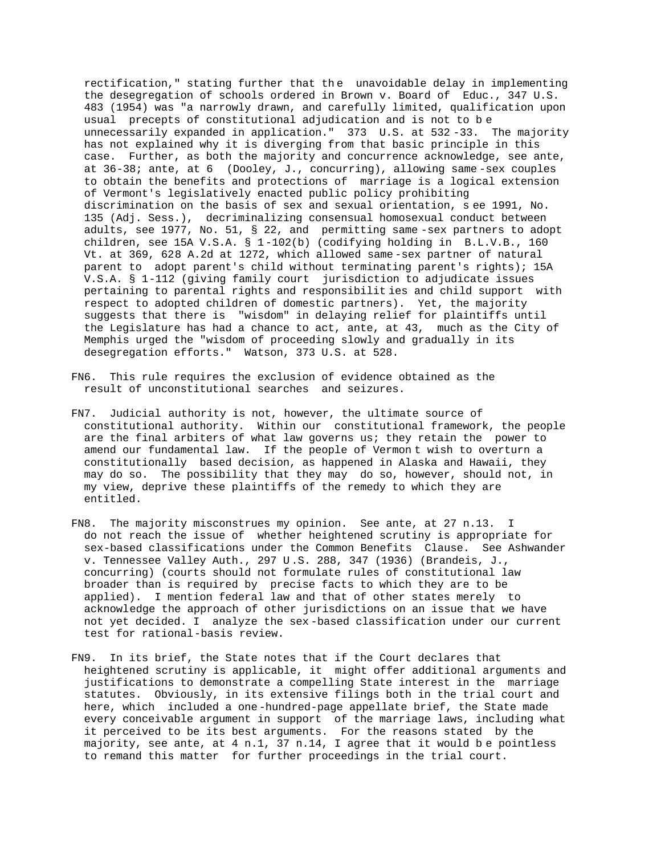rectification," stating further that the unavoidable delay in implementing the desegregation of schools ordered in Brown v. Board of Educ., 347 U.S. 483 (1954) was "a narrowly drawn, and carefully limited, qualification upon usual precepts of constitutional adjudication and is not to b e unnecessarily expanded in application." 373 U.S. at 532 -33. The majority has not explained why it is diverging from that basic principle in this case. Further, as both the majority and concurrence acknowledge, see ante, at 36-38; ante, at 6 (Dooley, J., concurring), allowing same -sex couples to obtain the benefits and protections of marriage is a logical extension of Vermont's legislatively enacted public policy prohibiting discrimination on the basis of sex and sexual orientation, s ee 1991, No. 135 (Adj. Sess.), decriminalizing consensual homosexual conduct between adults, see 1977, No. 51, § 22, and permitting same -sex partners to adopt children, see 15A V.S.A. § 1-102(b) (codifying holding in B.L.V.B., 160 Vt. at 369, 628 A.2d at 1272, which allowed same -sex partner of natural parent to adopt parent's child without terminating parent's rights); 15A V.S.A. § 1-112 (giving family court jurisdiction to adjudicate issues pertaining to parental rights and responsibilit ies and child support with respect to adopted children of domestic partners). Yet, the majority suggests that there is "wisdom" in delaying relief for plaintiffs until the Legislature has had a chance to act, ante, at 43, much as the City of Memphis urged the "wisdom of proceeding slowly and gradually in its desegregation efforts." Watson, 373 U.S. at 528.

- FN6. This rule requires the exclusion of evidence obtained as the result of unconstitutional searches and seizures.
- FN7. Judicial authority is not, however, the ultimate source of constitutional authority. Within our constitutional framework, the people are the final arbiters of what law governs us; they retain the power to amend our fundamental law. If the people of Vermont wish to overturn a constitutionally based decision, as happened in Alaska and Hawaii, they may do so. The possibility that they may do so, however, should not, in my view, deprive these plaintiffs of the remedy to which they are entitled.
- FN8. The majority misconstrues my opinion. See ante, at 27 n.13. I do not reach the issue of whether heightened scrutiny is appropriate for sex-based classifications under the Common Benefits Clause. See Ashwander v. Tennessee Valley Auth., 297 U .S. 288, 347 (1936) (Brandeis, J., concurring) (courts should not formulate rules of constitutional law broader than is required by precise facts to which they are to be applied). I mention federal law and that of other states merely to acknowledge the approach of other jurisdictions on an issue that we have not yet decided. I analyze the sex -based classification under our current test for rational-basis review.
- FN9. In its brief, the State notes that if the Court declares that heightened scrutiny is applicable, it might offer additional arguments and justifications to demonstrate a compelling State interest in the marriage statutes. Obviously, in its extensive filings both in the trial court and here, which included a one-hundred-page appellate brief, the State made every conceivable argument in support of the marriage laws, including what it perceived to be its best arguments. For the reasons stated by the majority, see ante, at  $4$  n.1, 37 n.14, I agree that it would be pointless to remand this matter for further proceedings in the trial court.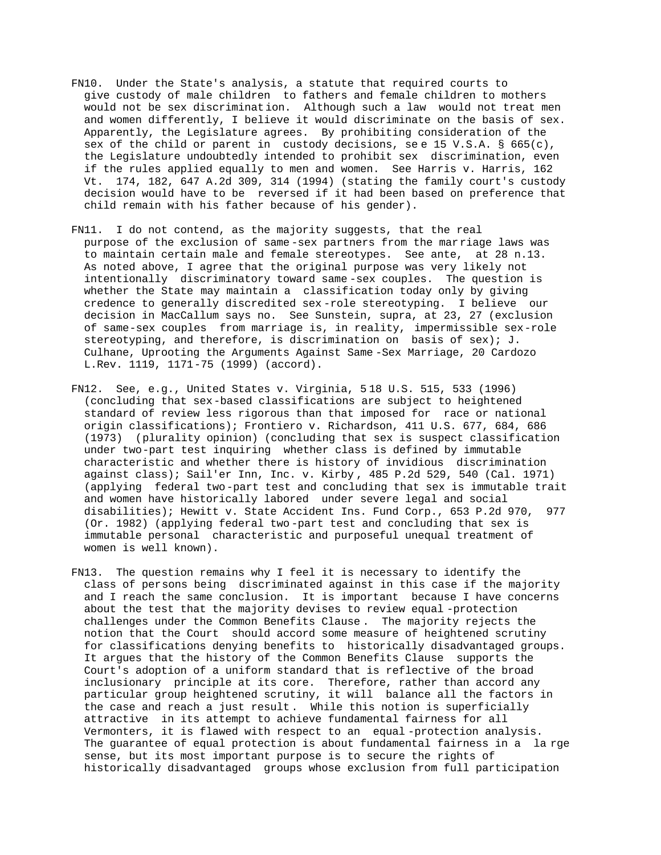- FN10. Under the State's analysis, a statute that required courts to give custody of male children to fathers and female children to mothers would not be sex discrimination. Although such a law would not treat men and women differently, I believe it would discriminate on the basis of sex. Apparently, the Legislature agrees. By prohibiting consideration of the sex of the child or parent in custody decisions, se e 15 V.S.A. § 665(c), the Legislature undoubtedly intended to prohibit sex discrimination, even if the rules applied equally to men and women. See Harris v. Harris, 162 Vt. 174, 182, 647 A.2d 309, 314 (1994) (stating the family court's custody decision would have to be reversed if it had been based on preference that child remain with his father because of his gender).
- FN11. I do not contend, as the majority suggests, that the real purpose of the exclusion of same -sex partners from the marriage laws was to maintain certain male and female stereotypes. See ante, at 28 n.13. As noted above, I agree that the original purpose was very likely not intentionally discriminatory toward same -sex couples. The question is whether the State may maintain a classification today only by giving credence to generally discredited sex -role stereotyping. I believe our decision in MacCallum says no. See Sunstein, supra, at 23, 27 (exclusion of same-sex couples from marriage is, in reality, impermissible sex-role stereotyping, and therefore, is discrimination on basis of sex); J. Culhane, Uprooting the Arguments Against Same -Sex Marriage, 20 Cardozo L.Rev. 1119, 1171-75 (1999) (accord).
- FN12. See, e.g., United States v. Virginia, 5 18 U.S. 515, 533 (1996) (concluding that sex-based classifications are subject to heightened standard of review less rigorous than that imposed for race or national origin classifications); Frontiero v. Richardson, 411 U.S. 677, 684, 686 (1973) (plurality opinion) (concluding that sex is suspect classification under two-part test inquiring whether class is defined by immutable characteristic and whether there is history of invidious discrimination against class); Sail'er Inn, Inc. v. Kirby , 485 P.2d 529, 540 (Cal. 1971) (applying federal two-part test and concluding that sex is immutable trait and women have historically labored under severe legal and social disabilities); Hewitt v. State Accident Ins. Fund Corp., 653 P.2d 970, 977 (Or. 1982) (applying federal two -part test and concluding that sex is immutable personal characteristic and purposeful unequal treatment of women is well known).
- FN13. The question remains why I feel it is necessary to identify the class of persons being discriminated against in this case if the majority and I reach the same conclusion. It is important because I have concerns about the test that the majority devises to review equal -protection challenges under the Common Benefits Clause . The majority rejects the notion that the Court should accord some measure of heightened scrutiny for classifications denying benefits to historically disadvantaged groups. It argues that the history of the Common Benefits Clause supports the Court's adoption of a uniform standard that is reflective of the broad inclusionary principle at its core. Therefore, rather than accord any particular group heightened scrutiny, it will balance all the factors in the case and reach a just result . While this notion is superficially attractive in its attempt to achieve fundamental fairness for all Vermonters, it is flawed with respect to an equal -protection analysis. The guarantee of equal protection is about fundamental fairness in a la rge sense, but its most important purpose is to secure the rights of historically disadvantaged groups whose exclusion from full participation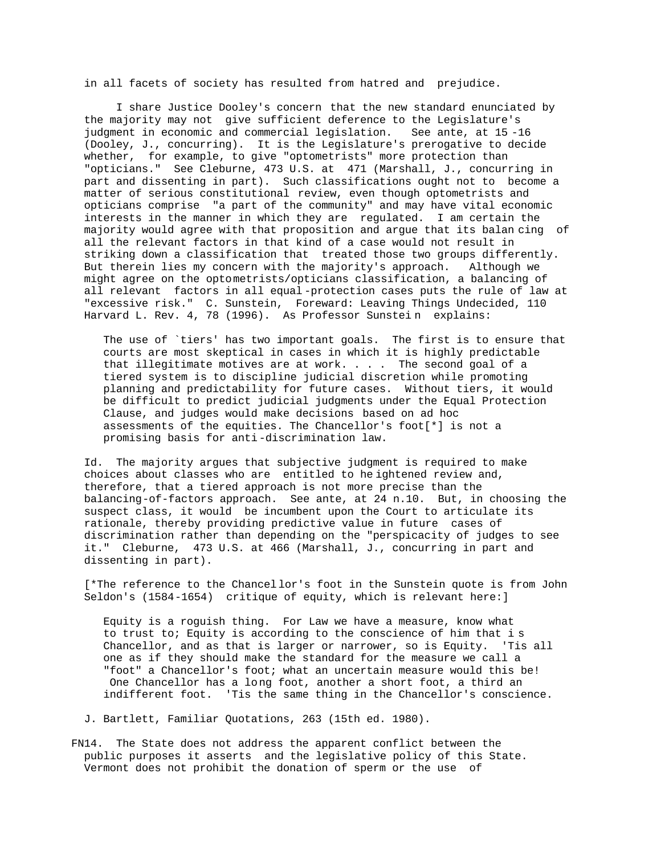in all facets of society has resulted from hatred and prejudice.

 I share Justice Dooley's concern that the new standard enunciated by the majority may not give sufficient deference to the Legislature's judgment in economic and commercial legislation. See ante, at 15 -16 (Dooley, J., concurring). It is the Legislature's prerogative to decide whether, for example, to give "optometrists" more protection than "opticians." See Cleburne, 473 U.S. at 471 (Marshall, J., concurring in part and dissenting in part). Such classifications ought not to become a matter of serious constitutional review, even though optometrists and opticians comprise "a part of the community" and may have vital economic interests in the manner in which they are regulated. I am certain the majority would agree with that proposition and argue that its balan cing of all the relevant factors in that kind of a case would not result in striking down a classification that treated those two groups differently. But therein lies my concern with the majority's approach. Although we might agree on the optometrists/opticians classification, a balancing of all relevant factors in all equal -protection cases puts the rule of law at "excessive risk." C. Sunstein, Foreward: Leaving Things Undecided, 110 Harvard L. Rev. 4, 78 (1996). As Professor Sunstein explains:

 The use of `tiers' has two important goals. The first is to ensure that courts are most skeptical in cases in which it is highly predictable that illegitimate motives are at work. . . . The second goal of a tiered system is to discipline judicial discretion while promoting planning and predictability for future cases. Without tiers, it would be difficult to predict judicial judgments under the Equal Protection Clause, and judges would make decisions based on ad hoc assessments of the equities. The Chancellor's foot[\*] is not a promising basis for anti-discrimination law.

 Id. The majority argues that subjective judgment is required to make choices about classes who are entitled to he ightened review and, therefore, that a tiered approach is not more precise than the balancing-of-factors approach. See ante, at 24 n.10. But, in choosing the suspect class, it would be incumbent upon the Court to articulate its rationale, thereby providing predictive value in future cases of discrimination rather than depending on the "perspicacity of judges to see it." Cleburne, 473 U.S. at 466 (Marshall, J., concurring in part and dissenting in part).

 [\*The reference to the Chancel lor's foot in the Sunstein quote is from John Seldon's (1584-1654) critique of equity, which is relevant here:]

 Equity is a roguish thing. For Law we have a measure, know what to trust to; Equity is according to the conscience of him that i s Chancellor, and as that is larger or narrower, so is Equity. 'Tis all one as if they should make the standard for the measure we call a "foot" a Chancellor's foot; what an uncertain measure would this be! One Chancellor has a long foot, another a short foot, a third an indifferent foot. 'Tis the same thing in the Chancellor's conscience.

J. Bartlett, Familiar Quotations, 263 (15th ed. 1980).

FN14. The State does not address the apparent conflict between the public purposes it asserts and the legislative policy of this State. Vermont does not prohibit the donation of sperm or the use of